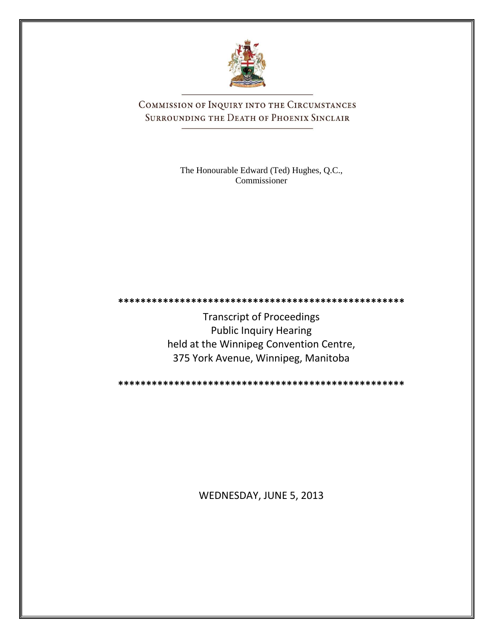

COMMISSION OF INQUIRY INTO THE CIRCUMSTANCES SURROUNDING THE DEATH OF PHOENIX SINCLAIR

> The Honourable Edward (Ted) Hughes, Q.C., Commissioner

**\*\*\*\*\*\*\*\*\*\*\*\*\*\*\*\*\*\*\*\*\*\*\*\*\*\*\*\*\*\*\*\*\*\*\*\*\*\*\*\*\*\*\*\*\*\*\*\*\*\*\***

Transcript of Proceedings Public Inquiry Hearing held at the Winnipeg Convention Centre, 375 York Avenue, Winnipeg, Manitoba

**\*\*\*\*\*\*\*\*\*\*\*\*\*\*\*\*\*\*\*\*\*\*\*\*\*\*\*\*\*\*\*\*\*\*\*\*\*\*\*\*\*\*\*\*\*\*\*\*\*\*\***

WEDNESDAY, JUNE 5, 2013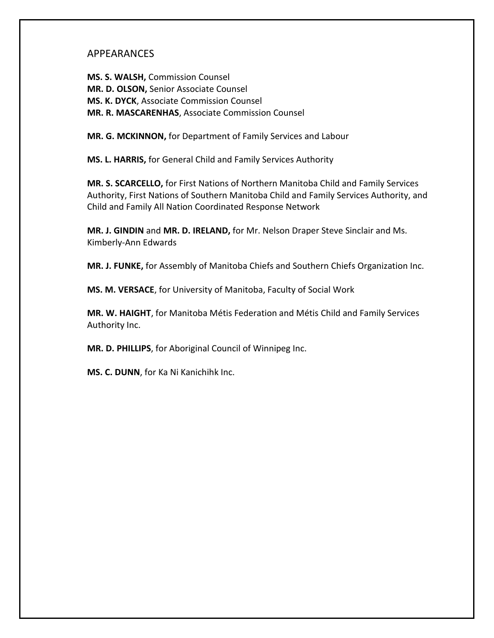### APPEARANCES

**MS. S. WALSH,** Commission Counsel **MR. D. OLSON,** Senior Associate Counsel **MS. K. DYCK**, Associate Commission Counsel **MR. R. MASCARENHAS**, Associate Commission Counsel

**MR. G. MCKINNON,** for Department of Family Services and Labour

**MS. L. HARRIS,** for General Child and Family Services Authority

**MR. S. SCARCELLO,** for First Nations of Northern Manitoba Child and Family Services Authority, First Nations of Southern Manitoba Child and Family Services Authority, and Child and Family All Nation Coordinated Response Network

**MR. J. GINDIN** and **MR. D. IRELAND,** for Mr. Nelson Draper Steve Sinclair and Ms. Kimberly-Ann Edwards

**MR. J. FUNKE,** for Assembly of Manitoba Chiefs and Southern Chiefs Organization Inc.

**MS. M. VERSACE**, for University of Manitoba, Faculty of Social Work

**MR. W. HAIGHT**, for Manitoba Métis Federation and Métis Child and Family Services Authority Inc.

**MR. D. PHILLIPS**, for Aboriginal Council of Winnipeg Inc.

**MS. C. DUNN**, for Ka Ni Kanichihk Inc.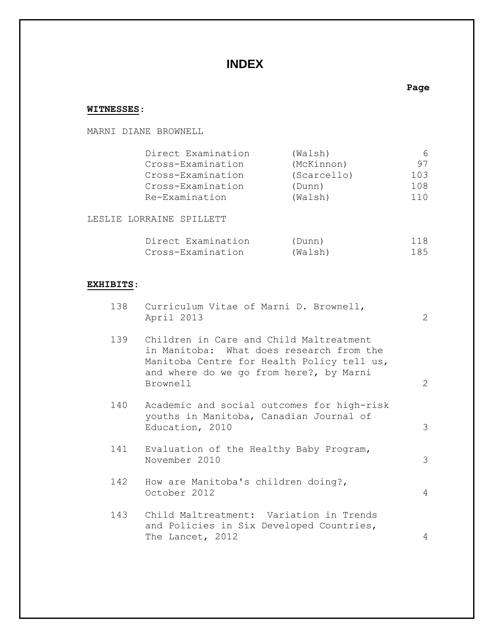# **INDEX**

# **WITNESSES**:

MARNI DIANE BROWNELL

| Direct Examination | (Walsh)     | 6    |
|--------------------|-------------|------|
| Cross-Examination  | (McKinnon)  | 97   |
| Cross-Examination  | (Scarcello) | 103  |
| Cross-Examination  | (Dunn)      | 108  |
| Re-Examination     | (Walsh)     | 11 O |

**Page**

LESLIE LORRAINE SPILLETT

| Direct Examination | (Dunn)  | 118 |
|--------------------|---------|-----|
| Cross-Examination  | (Walsh) | 185 |

# **EXHIBITS**:

|     | 138 Curriculum Vitae of Marni D. Brownell,<br>April 2013                                                                                                                                 | $\mathbf{2}$ |
|-----|------------------------------------------------------------------------------------------------------------------------------------------------------------------------------------------|--------------|
| 139 | Children in Care and Child Maltreatment<br>in Manitoba: What does research from the<br>Manitoba Centre for Health Policy tell us,<br>and where do we go from here?, by Marni<br>Brownell | 2            |
| 140 | Academic and social outcomes for high-risk<br>youths in Manitoba, Canadian Journal of<br>Education, 2010                                                                                 | 3            |
| 141 | Evaluation of the Healthy Baby Program,<br>November 2010                                                                                                                                 | 3            |
| 142 | How are Manitoba's children doing?,<br>October 2012                                                                                                                                      | 4            |
| 143 | Child Maltreatment: Variation in Trends<br>and Policies in Six Developed Countries,<br>The Lancet, 2012                                                                                  | 4            |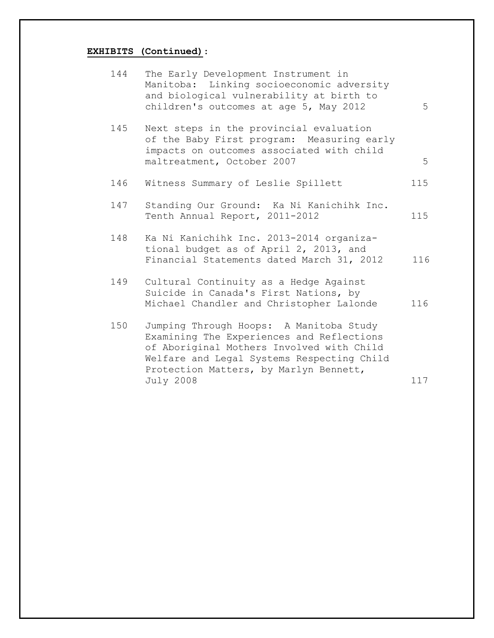## **EXHIBITS (Continued)**:

| 144 | The Early Development Instrument in<br>Manitoba: Linking socioeconomic adversity<br>and biological vulnerability at birth to<br>children's outcomes at age 5, May 2012                                                                        | 5   |
|-----|-----------------------------------------------------------------------------------------------------------------------------------------------------------------------------------------------------------------------------------------------|-----|
| 145 | Next steps in the provincial evaluation<br>of the Baby First program: Measuring early<br>impacts on outcomes associated with child<br>maltreatment, October 2007                                                                              | 5   |
| 146 | Witness Summary of Leslie Spillett                                                                                                                                                                                                            | 115 |
| 147 | Standing Our Ground: Ka Ni Kanichihk Inc.<br>Tenth Annual Report, 2011-2012                                                                                                                                                                   | 115 |
| 148 | Ka Ni Kanichihk Inc. 2013-2014 organiza-<br>tional budget as of April 2, 2013, and<br>Financial Statements dated March 31, 2012                                                                                                               | 116 |
| 149 | Cultural Continuity as a Hedge Against<br>Suicide in Canada's First Nations, by<br>Michael Chandler and Christopher Lalonde                                                                                                                   | 116 |
| 150 | Jumping Through Hoops: A Manitoba Study<br>Examining The Experiences and Reflections<br>of Aboriginal Mothers Involved with Child<br>Welfare and Legal Systems Respecting Child<br>Protection Matters, by Marlyn Bennett,<br><b>July 2008</b> | 117 |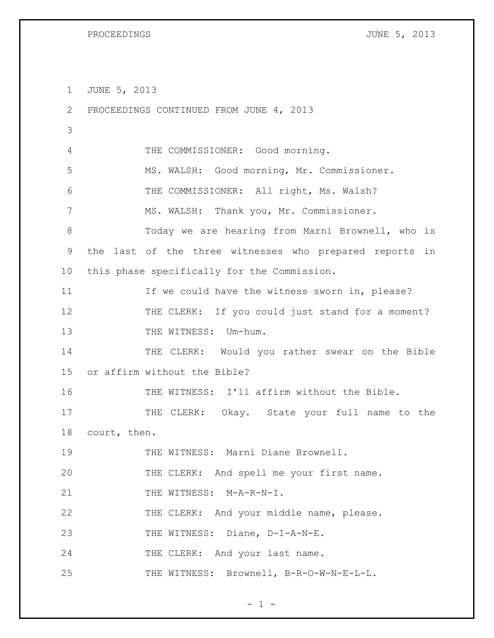1 JUNE 5, 2013

| 2           | PROCEEDINGS CONTINUED FROM JUNE 4, 2013                 |
|-------------|---------------------------------------------------------|
| 3           |                                                         |
| 4           | THE COMMISSIONER: Good morning.                         |
| 5           | MS. WALSH: Good morning, Mr. Commissioner.              |
| 6           | THE COMMISSIONER: All right, Ms. Walsh?                 |
| 7           | MS. WALSH: Thank you, Mr. Commissioner.                 |
| 8           | Today we are hearing from Marni Brownell, who is        |
| $\mathsf 9$ | the last of the three witnesses who prepared reports in |
| 10          | this phase specifically for the Commission.             |
| 11          | If we could have the witness sworn in, please?          |
| 12          | THE CLERK: If you could just stand for a moment?        |
| 13          | THE WITNESS: Um-hum.                                    |
| 14          | THE CLERK: Would you rather swear on the Bible          |
| 15          | or affirm without the Bible?                            |
| 16          | THE WITNESS: I'll affirm without the Bible.             |
| 17          | THE CLERK: Okay. State your full name to the            |
| 18          | court, then.                                            |
| 19          | THE WITNESS: Marni Diane Brownell.                      |
| 20          | THE CLERK: And spell me your first name.                |
| 21          | THE WITNESS: M-A-R-N-I.                                 |
| 22          | THE CLERK: And your middle name, please.                |
| 23          | THE WITNESS: Diane, D-I-A-N-E.                          |
| 24          | THE CLERK: And your last name.                          |
| 25          | THE WITNESS: Brownell, B-R-O-W-N-E-L-L.                 |

 $- 1 -$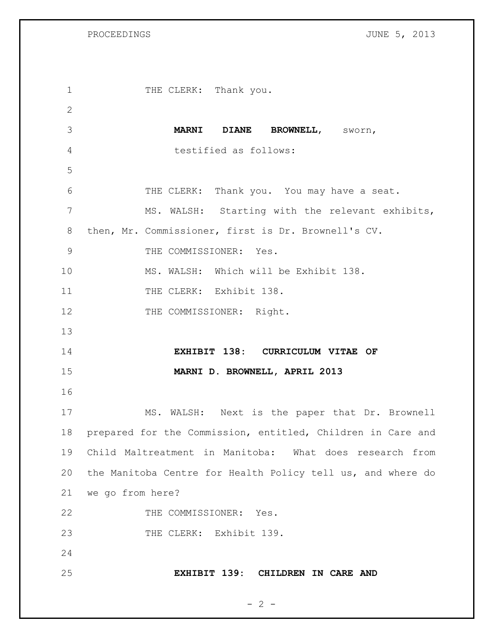1 THE CLERK: Thank you. **MARNI DIANE BROWNELL**, sworn, testified as follows: 6 THE CLERK: Thank you. You may have a seat. 7 MS. WALSH: Starting with the relevant exhibits, then, Mr. Commissioner, first is Dr. Brownell's CV. 9 THE COMMISSIONER: Yes. MS. WALSH: Which will be Exhibit 138. 11 THE CLERK: Exhibit 138. 12 THE COMMISSIONER: Right. **EXHIBIT 138: CURRICULUM VITAE OF MARNI D. BROWNELL, APRIL 2013** MS. WALSH: Next is the paper that Dr. Brownell prepared for the Commission, entitled, Children in Care and Child Maltreatment in Manitoba: What does research from the Manitoba Centre for Health Policy tell us, and where do we go from here? 22 THE COMMISSIONER: Yes. 23 THE CLERK: Exhibit 139. **EXHIBIT 139: CHILDREN IN CARE AND** 

 $- 2 -$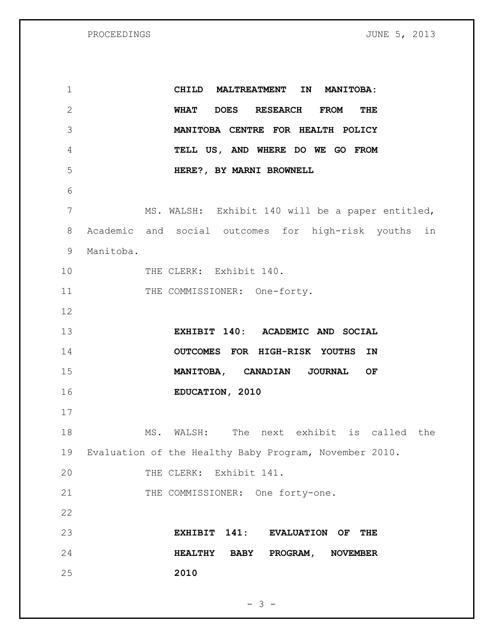PROCEEDINGS **FROCEEDINGS CONSERVERS PROCEEDINGS** 

 **CHILD MALTREATMENT IN MANITOBA: WHAT DOES RESEARCH FROM THE MANITOBA CENTRE FOR HEALTH POLICY TELL US, AND WHERE DO WE GO FROM HERE?, BY MARNI BROWNELL** MS. WALSH: Exhibit 140 will be a paper entitled, Academic and social outcomes for high-risk youths in Manitoba. 10 THE CLERK: Exhibit 140. 11 THE COMMISSIONER: One-forty. **EXHIBIT 140: ACADEMIC AND SOCIAL OUTCOMES FOR HIGH-RISK YOUTHS IN MANITOBA, CANADIAN JOURNAL OF EDUCATION, 2010**  MS. WALSH: The next exhibit is called the Evaluation of the Healthy Baby Program, November 2010. THE CLERK: Exhibit 141. 21 THE COMMISSIONER: One forty-one. **EXHIBIT 141: EVALUATION OF THE HEALTHY BABY PROGRAM, NOVEMBER 2010**

 $- 3 -$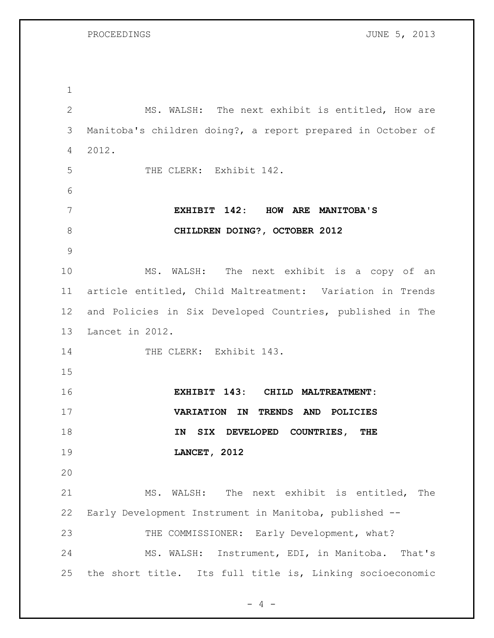PROCEEDINGS **DESCRIPTIONS** JUNE 5, 2013

 MS. WALSH: The next exhibit is entitled, How are Manitoba's children doing?, a report prepared in October of 2012. 5 THE CLERK: Exhibit 142. **EXHIBIT 142: HOW ARE MANITOBA'S CHILDREN DOING?, OCTOBER 2012** MS. WALSH: The next exhibit is a copy of an article entitled, Child Maltreatment: Variation in Trends and Policies in Six Developed Countries, published in The Lancet in 2012. 14 THE CLERK: Exhibit 143. **EXHIBIT 143: CHILD MALTREATMENT: VARIATION IN TRENDS AND POLICIES IN SIX DEVELOPED COUNTRIES, THE LANCET, 2012** MS. WALSH: The next exhibit is entitled, The Early Development Instrument in Manitoba, published -- 23 THE COMMISSIONER: Early Development, what? MS. WALSH: Instrument, EDI, in Manitoba. That's the short title. Its full title is, Linking socioeconomic

 $- 4 -$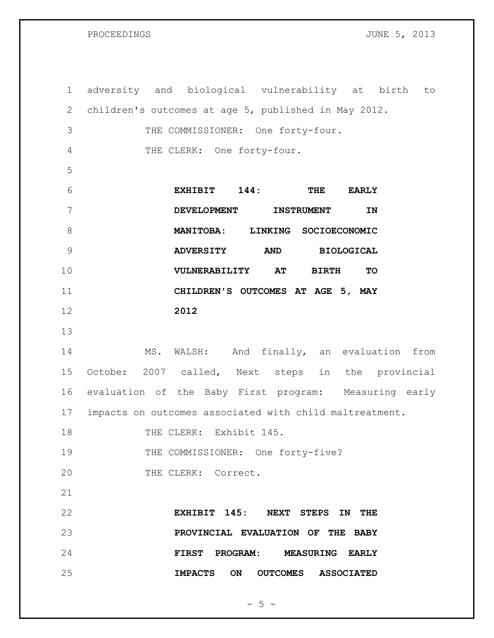adversity and biological vulnerability at birth to children's outcomes at age 5, published in May 2012. THE COMMISSIONER: One forty-four. THE CLERK: One forty-four. **EXHIBIT 144: THE EARLY DEVELOPMENT INSTRUMENT IN MANITOBA: LINKING SOCIOECONOMIC ADVERSITY AND BIOLOGICAL VULNERABILITY AT BIRTH TO CHILDREN'S OUTCOMES AT AGE 5, MAY 2012** MS. WALSH: And finally, an evaluation from October 2007 called, Next steps in the provincial evaluation of the Baby First program: Measuring early impacts on outcomes associated with child maltreatment. 18 THE CLERK: Exhibit 145. 19 THE COMMISSIONER: One forty-five? 20 THE CLERK: Correct. **EXHIBIT 145: NEXT STEPS IN THE PROVINCIAL EVALUATION OF THE BABY FIRST PROGRAM: MEASURING EARLY** 

 $-5 -$ 

**IMPACTS ON OUTCOMES ASSOCIATED**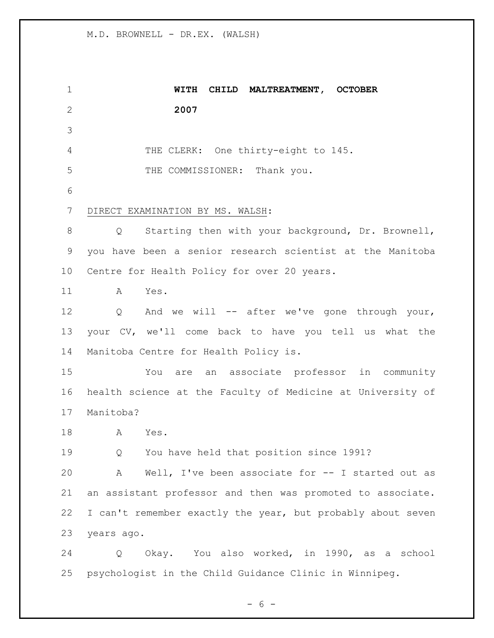**WITH CHILD MALTREATMENT, OCTOBER 2007** THE CLERK: One thirty-eight to 145. THE COMMISSIONER: Thank you. DIRECT EXAMINATION BY MS. WALSH: Q Starting then with your background, Dr. Brownell, you have been a senior research scientist at the Manitoba Centre for Health Policy for over 20 years. A Yes. 12 Q And we will -- after we've gone through your, your CV, we'll come back to have you tell us what the Manitoba Centre for Health Policy is. You are an associate professor in community health science at the Faculty of Medicine at University of Manitoba? A Yes. Q You have held that position since 1991? A Well, I've been associate for -- I started out as an assistant professor and then was promoted to associate. I can't remember exactly the year, but probably about seven years ago. Q Okay. You also worked, in 1990, as a school psychologist in the Child Guidance Clinic in Winnipeg.

$$
-6-
$$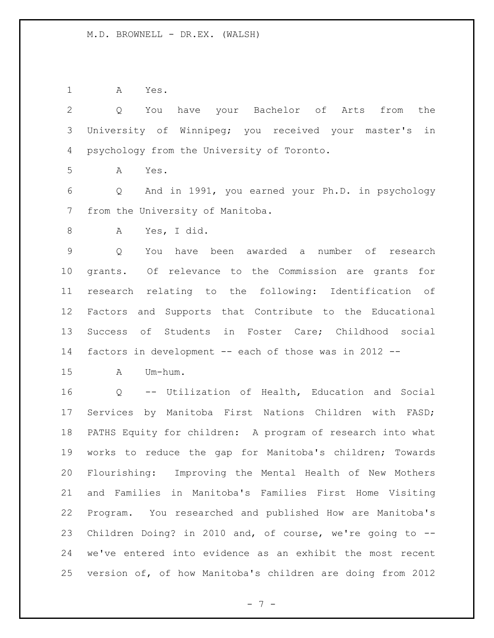A Yes.

| $\overline{2}$ | You have your Bachelor of Arts from the<br>Q                          |
|----------------|-----------------------------------------------------------------------|
| 3              | University of Winnipeg; you received your master's<br>in              |
| 4              | psychology from the University of Toronto.                            |
| 5              | Yes.<br>A                                                             |
| 6              | And in 1991, you earned your Ph.D. in psychology<br>$Q \qquad \qquad$ |
| 7              | from the University of Manitoba.                                      |
| 8              | Yes, I did.<br>A                                                      |
| $\mathsf 9$    | You have been awarded a number of research<br>Q                       |
| 10             | grants. Of relevance to the Commission are grants for                 |
| 11             | research relating to the following: Identification of                 |
| 12             | Factors and Supports that Contribute to the Educational               |
| 13             | Success of Students in Foster Care; Childhood social                  |
| 14             | factors in development -- each of those was in 2012 --                |
| 15             | Um-hum.<br>A                                                          |
| 16             | Q -- Utilization of Health, Education and Social                      |
| 17             | Services by Manitoba First Nations Children with FASD;                |
| 18             | PATHS Equity for children: A program of research into what            |
| 19             | works to reduce the gap for Manitoba's children; Towards              |
| 20             | Flourishing: Improving the Mental Health of New Mothers               |
| 21             | and Families in Manitoba's Families First Home Visiting               |
| 22             | Program. You researched and published How are Manitoba's              |
| 23             | Children Doing? in 2010 and, of course, we're going to --             |
| 24             | we've entered into evidence as an exhibit the most recent             |
| 25             | version of, of how Manitoba's children are doing from 2012            |

- 7 -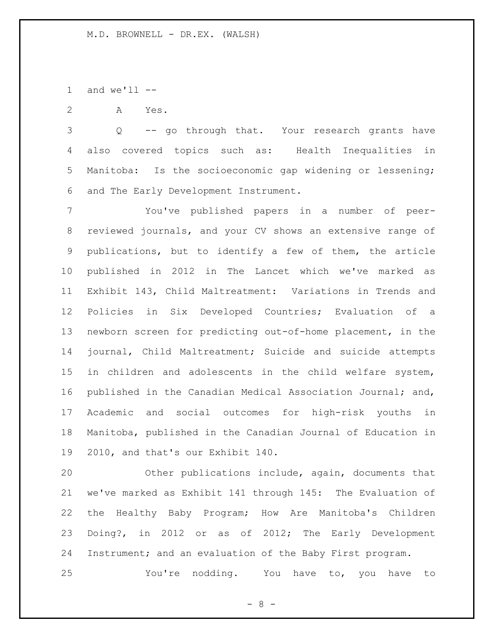1 and  $we'll$   $-$ 

A Yes.

 Q -- go through that. Your research grants have also covered topics such as: Health Inequalities in Manitoba: Is the socioeconomic gap widening or lessening; and The Early Development Instrument.

 You've published papers in a number of peer- reviewed journals, and your CV shows an extensive range of publications, but to identify a few of them, the article published in 2012 in The Lancet which we've marked as Exhibit 143, Child Maltreatment: Variations in Trends and Policies in Six Developed Countries; Evaluation of a newborn screen for predicting out-of-home placement, in the journal, Child Maltreatment; Suicide and suicide attempts in children and adolescents in the child welfare system, published in the Canadian Medical Association Journal; and, Academic and social outcomes for high-risk youths in Manitoba, published in the Canadian Journal of Education in 2010, and that's our Exhibit 140.

 Other publications include, again, documents that we've marked as Exhibit 141 through 145: The Evaluation of the Healthy Baby Program; How Are Manitoba's Children Doing?, in 2012 or as of 2012; The Early Development Instrument; and an evaluation of the Baby First program.

You're nodding. You have to, you have to

 $- 8 -$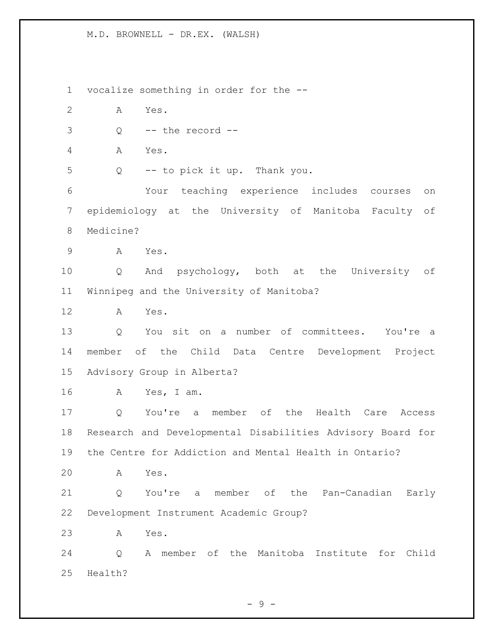vocalize something in order for the -- A Yes.  $3 \qquad Q \qquad -- \text{ the record --}$  A Yes. Q -- to pick it up. Thank you. Your teaching experience includes courses on epidemiology at the University of Manitoba Faculty of Medicine? A Yes. Q And psychology, both at the University of Winnipeg and the University of Manitoba? A Yes. Q You sit on a number of committees. You're a member of the Child Data Centre Development Project Advisory Group in Alberta? A Yes, I am. Q You're a member of the Health Care Access Research and Developmental Disabilities Advisory Board for the Centre for Addiction and Mental Health in Ontario? A Yes. Q You're a member of the Pan-Canadian Early Development Instrument Academic Group? A Yes. Q A member of the Manitoba Institute for Child Health?

 $-9 -$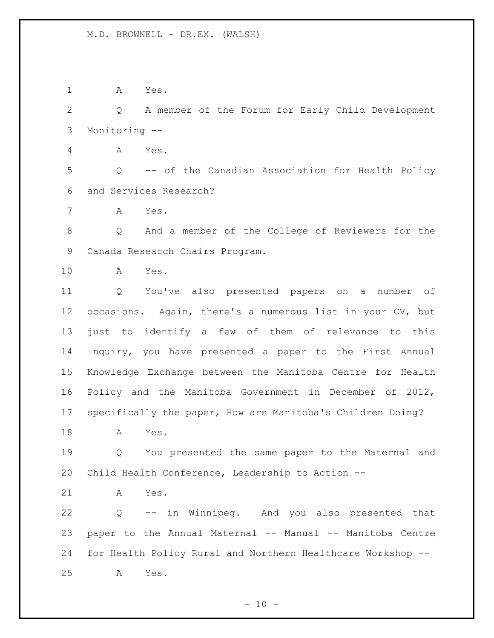A Yes.

 Q A member of the Forum for Early Child Development Monitoring --

A Yes.

 Q -- of the Canadian Association for Health Policy and Services Research?

A Yes.

 Q And a member of the College of Reviewers for the Canada Research Chairs Program.

A Yes.

 Q You've also presented papers on a number of occasions. Again, there's a numerous list in your CV, but just to identify a few of them of relevance to this Inquiry, you have presented a paper to the First Annual Knowledge Exchange between the Manitoba Centre for Health Policy and the Manitoba Government in December of 2012, specifically the paper, How are Manitoba's Children Doing?

A Yes.

 Q You presented the same paper to the Maternal and Child Health Conference, Leadership to Action --

A Yes.

 Q -- in Winnipeg. And you also presented that paper to the Annual Maternal -- Manual -- Manitoba Centre for Health Policy Rural and Northern Healthcare Workshop -- A Yes.

 $- 10 -$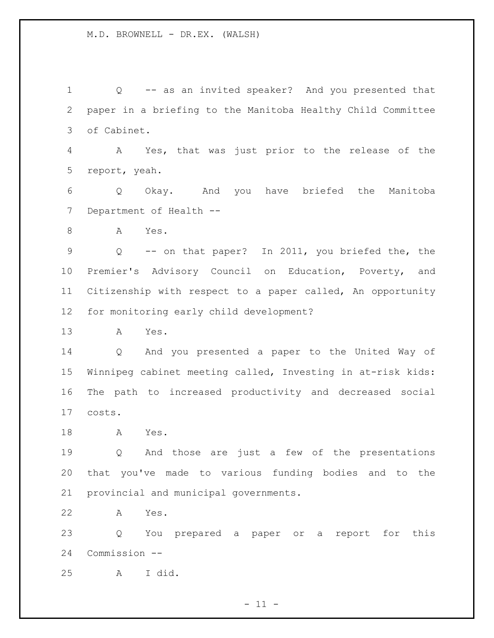Q -- as an invited speaker? And you presented that paper in a briefing to the Manitoba Healthy Child Committee of Cabinet. A Yes, that was just prior to the release of the report, yeah. Q Okay. And you have briefed the Manitoba 7 Department of Health -- A Yes. Q -- on that paper? In 2011, you briefed the, the Premier's Advisory Council on Education, Poverty, and Citizenship with respect to a paper called, An opportunity for monitoring early child development? A Yes. Q And you presented a paper to the United Way of Winnipeg cabinet meeting called, Investing in at-risk kids: The path to increased productivity and decreased social costs. A Yes. Q And those are just a few of the presentations that you've made to various funding bodies and to the provincial and municipal governments. A Yes. Q You prepared a paper or a report for this

A I did.

Commission --

 $- 11 -$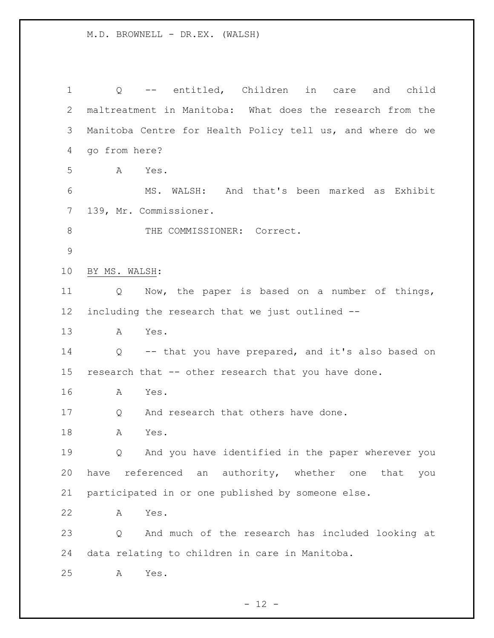Q -- entitled, Children in care and child maltreatment in Manitoba: What does the research from the Manitoba Centre for Health Policy tell us, and where do we go from here? A Yes. MS. WALSH: And that's been marked as Exhibit 139, Mr. Commissioner. 8 THE COMMISSIONER: Correct. BY MS. WALSH: Q Now, the paper is based on a number of things, including the research that we just outlined -- A Yes. Q -- that you have prepared, and it's also based on research that -- other research that you have done. A Yes. 17 Q And research that others have done. A Yes. Q And you have identified in the paper wherever you have referenced an authority, whether one that you participated in or one published by someone else. A Yes. Q And much of the research has included looking at data relating to children in care in Manitoba. A Yes.

 $- 12 -$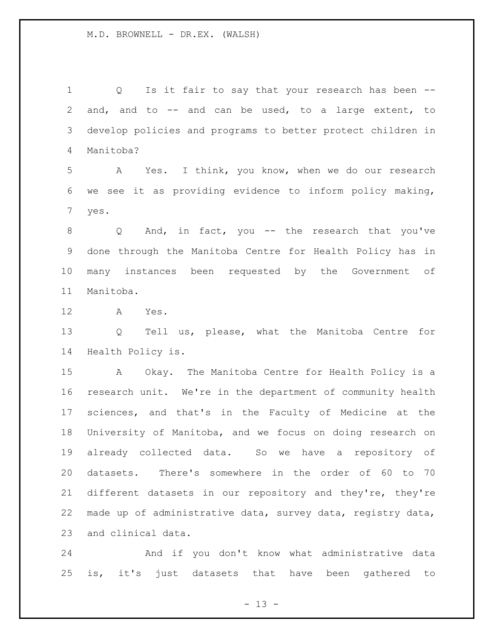1 Q Is it fair to say that your research has been -- and, and to -- and can be used, to a large extent, to develop policies and programs to better protect children in Manitoba?

 A Yes. I think, you know, when we do our research we see it as providing evidence to inform policy making, yes.

 Q And, in fact, you -- the research that you've done through the Manitoba Centre for Health Policy has in many instances been requested by the Government of Manitoba.

A Yes.

 Q Tell us, please, what the Manitoba Centre for Health Policy is.

 A Okay. The Manitoba Centre for Health Policy is a research unit. We're in the department of community health sciences, and that's in the Faculty of Medicine at the University of Manitoba, and we focus on doing research on already collected data. So we have a repository of datasets. There's somewhere in the order of 60 to 70 different datasets in our repository and they're, they're made up of administrative data, survey data, registry data, and clinical data.

 And if you don't know what administrative data is, it's just datasets that have been gathered to

 $- 13 -$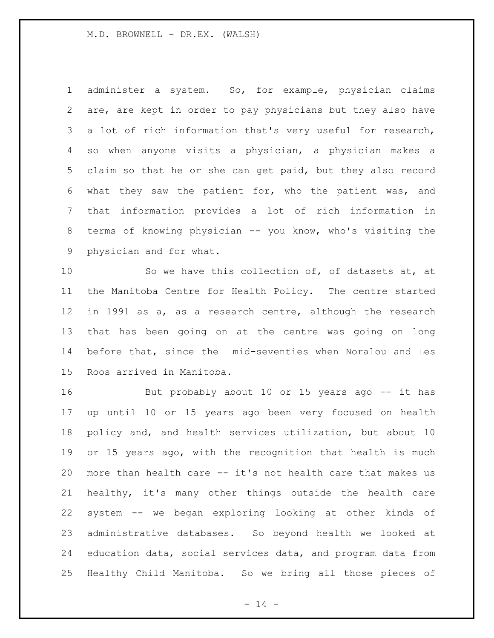administer a system. So, for example, physician claims are, are kept in order to pay physicians but they also have a lot of rich information that's very useful for research, so when anyone visits a physician, a physician makes a claim so that he or she can get paid, but they also record what they saw the patient for, who the patient was, and that information provides a lot of rich information in terms of knowing physician -- you know, who's visiting the physician and for what.

 So we have this collection of, of datasets at, at the Manitoba Centre for Health Policy. The centre started in 1991 as a, as a research centre, although the research that has been going on at the centre was going on long before that, since the mid-seventies when Noralou and Les Roos arrived in Manitoba.

16 But probably about 10 or 15 years ago -- it has up until 10 or 15 years ago been very focused on health policy and, and health services utilization, but about 10 or 15 years ago, with the recognition that health is much more than health care -- it's not health care that makes us healthy, it's many other things outside the health care system -- we began exploring looking at other kinds of administrative databases. So beyond health we looked at education data, social services data, and program data from Healthy Child Manitoba. So we bring all those pieces of

 $- 14 -$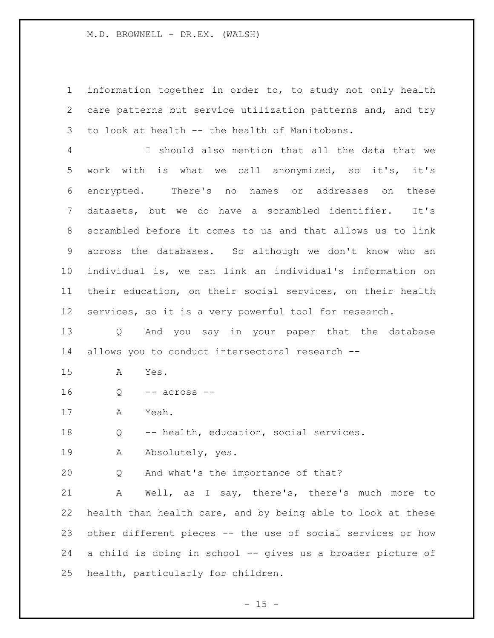information together in order to, to study not only health care patterns but service utilization patterns and, and try to look at health -- the health of Manitobans.

 I should also mention that all the data that we work with is what we call anonymized, so it's, it's encrypted. There's no names or addresses on these datasets, but we do have a scrambled identifier. It's scrambled before it comes to us and that allows us to link across the databases. So although we don't know who an individual is, we can link an individual's information on their education, on their social services, on their health services, so it is a very powerful tool for research.

 Q And you say in your paper that the database allows you to conduct intersectoral research --

A Yes.

Q -- across --

A Yeah.

Q -- health, education, social services.

19 A Absolutely, yes.

Q And what's the importance of that?

 A Well, as I say, there's, there's much more to health than health care, and by being able to look at these other different pieces -- the use of social services or how a child is doing in school -- gives us a broader picture of health, particularly for children.

 $- 15 -$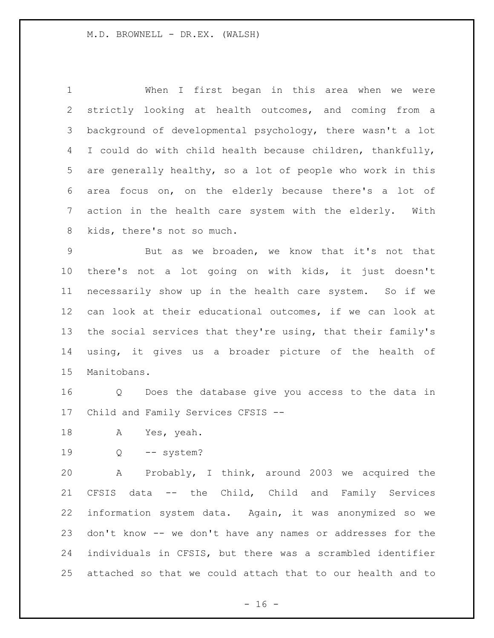When I first began in this area when we were strictly looking at health outcomes, and coming from a background of developmental psychology, there wasn't a lot I could do with child health because children, thankfully, are generally healthy, so a lot of people who work in this area focus on, on the elderly because there's a lot of action in the health care system with the elderly. With kids, there's not so much.

 But as we broaden, we know that it's not that there's not a lot going on with kids, it just doesn't necessarily show up in the health care system. So if we can look at their educational outcomes, if we can look at the social services that they're using, that their family's using, it gives us a broader picture of the health of Manitobans.

 Q Does the database give you access to the data in Child and Family Services CFSIS --

- A Yes, yeah.
- Q -- system?

 A Probably, I think, around 2003 we acquired the CFSIS data -- the Child, Child and Family Services information system data. Again, it was anonymized so we don't know -- we don't have any names or addresses for the individuals in CFSIS, but there was a scrambled identifier attached so that we could attach that to our health and to

 $- 16 -$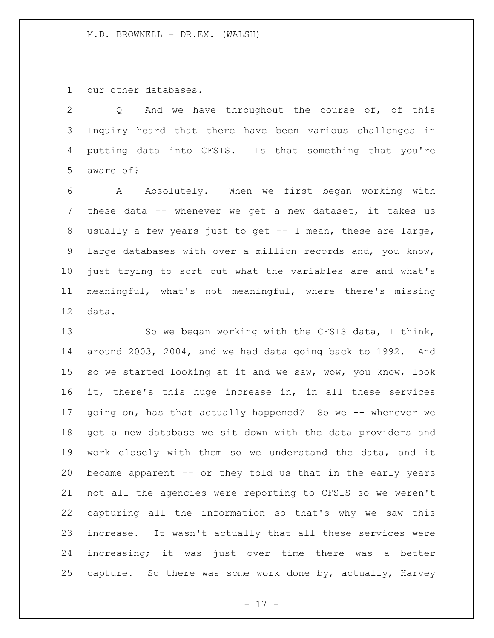our other databases.

 Q And we have throughout the course of, of this Inquiry heard that there have been various challenges in putting data into CFSIS. Is that something that you're aware of?

 A Absolutely. When we first began working with these data -- whenever we get a new dataset, it takes us usually a few years just to get -- I mean, these are large, large databases with over a million records and, you know, just trying to sort out what the variables are and what's meaningful, what's not meaningful, where there's missing data.

 So we began working with the CFSIS data, I think, around 2003, 2004, and we had data going back to 1992. And so we started looking at it and we saw, wow, you know, look it, there's this huge increase in, in all these services 17 going on, has that actually happened? So we -- whenever we get a new database we sit down with the data providers and work closely with them so we understand the data, and it became apparent -- or they told us that in the early years not all the agencies were reporting to CFSIS so we weren't capturing all the information so that's why we saw this increase. It wasn't actually that all these services were increasing; it was just over time there was a better capture. So there was some work done by, actually, Harvey

- 17 -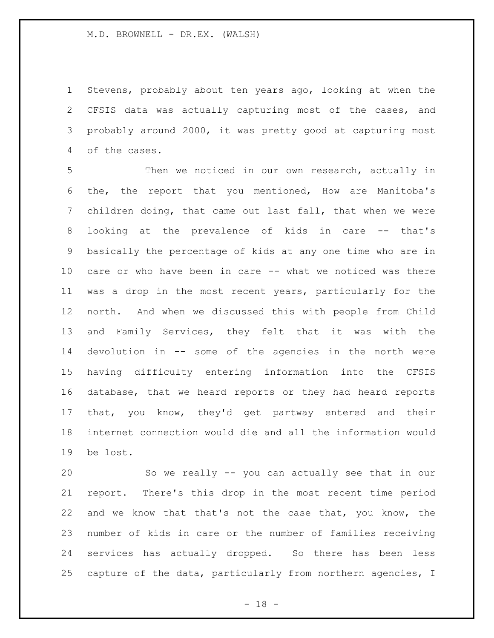Stevens, probably about ten years ago, looking at when the CFSIS data was actually capturing most of the cases, and probably around 2000, it was pretty good at capturing most of the cases.

 Then we noticed in our own research, actually in the, the report that you mentioned, How are Manitoba's children doing, that came out last fall, that when we were looking at the prevalence of kids in care -- that's basically the percentage of kids at any one time who are in care or who have been in care -- what we noticed was there was a drop in the most recent years, particularly for the north. And when we discussed this with people from Child and Family Services, they felt that it was with the devolution in -- some of the agencies in the north were having difficulty entering information into the CFSIS database, that we heard reports or they had heard reports that, you know, they'd get partway entered and their internet connection would die and all the information would be lost.

 So we really -- you can actually see that in our report. There's this drop in the most recent time period and we know that that's not the case that, you know, the number of kids in care or the number of families receiving services has actually dropped. So there has been less capture of the data, particularly from northern agencies, I

 $- 18 -$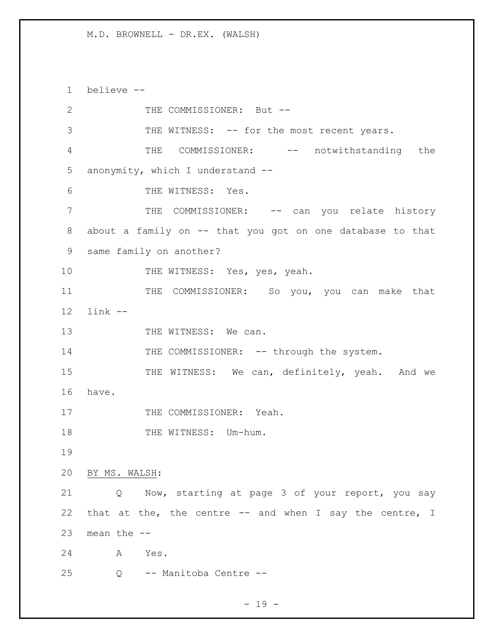1 believe --

2 THE COMMISSIONER: But --3 THE WITNESS: -- for the most recent years. 4 THE COMMISSIONER: -- notwithstanding the 5 anonymity, which I understand -- 6 THE WITNESS: Yes. 7 THE COMMISSIONER: -- can you relate history 8 about a family on -- that you got on one database to that 9 same family on another? 10 THE WITNESS: Yes, yes, yeah. 11 THE COMMISSIONER: So you, you can make that 12 link -- 13 THE WITNESS: We can. 14 THE COMMISSIONER: -- through the system. 15 THE WITNESS: We can, definitely, yeah. And we 16 have. 17 THE COMMISSIONER: Yeah. 18 THE WITNESS: Um-hum. 19 20 BY MS. WALSH: 21 Q Now, starting at page 3 of your report, you say 22 that at the, the centre -- and when I say the centre, I 23 mean the -- 24 A Yes. 25 Q -- Manitoba Centre --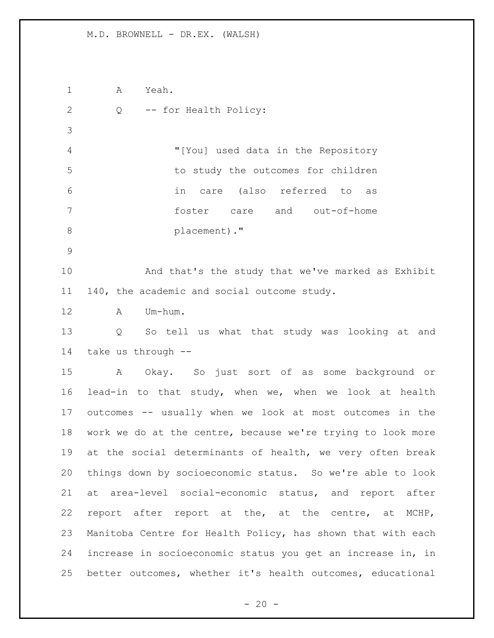A Yeah. Q -- for Health Policy: "[You] used data in the Repository to study the outcomes for children in care (also referred to as foster care and out-of-home **placement**)." And that's the study that we've marked as Exhibit 140, the academic and social outcome study. A Um-hum. Q So tell us what that study was looking at and take us through -- A Okay. So just sort of as some background or lead-in to that study, when we, when we look at health outcomes -- usually when we look at most outcomes in the work we do at the centre, because we're trying to look more at the social determinants of health, we very often break things down by socioeconomic status. So we're able to look at area-level social-economic status, and report after report after report at the, at the centre, at MCHP, Manitoba Centre for Health Policy, has shown that with each increase in socioeconomic status you get an increase in, in better outcomes, whether it's health outcomes, educational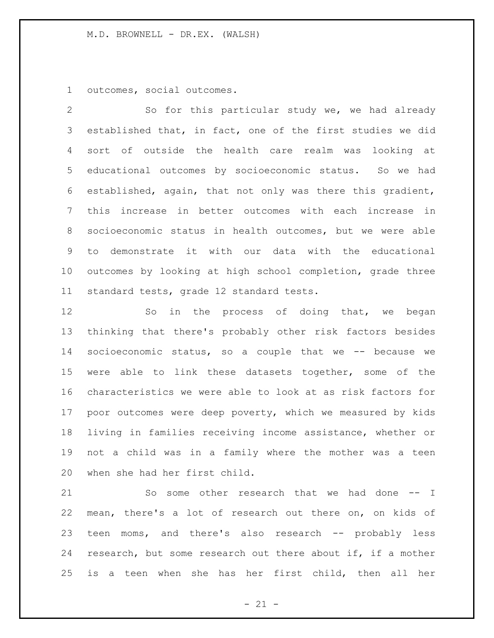outcomes, social outcomes.

 So for this particular study we, we had already established that, in fact, one of the first studies we did sort of outside the health care realm was looking at educational outcomes by socioeconomic status. So we had established, again, that not only was there this gradient, this increase in better outcomes with each increase in socioeconomic status in health outcomes, but we were able to demonstrate it with our data with the educational outcomes by looking at high school completion, grade three standard tests, grade 12 standard tests.

12 So in the process of doing that, we began thinking that there's probably other risk factors besides socioeconomic status, so a couple that we -- because we were able to link these datasets together, some of the characteristics we were able to look at as risk factors for poor outcomes were deep poverty, which we measured by kids living in families receiving income assistance, whether or not a child was in a family where the mother was a teen when she had her first child.

21 So some other research that we had done -- I mean, there's a lot of research out there on, on kids of teen moms, and there's also research -- probably less research, but some research out there about if, if a mother is a teen when she has her first child, then all her

 $- 21 -$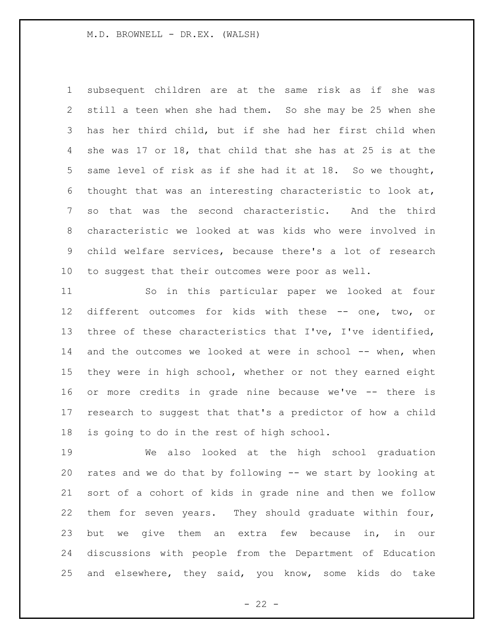subsequent children are at the same risk as if she was still a teen when she had them. So she may be 25 when she has her third child, but if she had her first child when she was 17 or 18, that child that she has at 25 is at the same level of risk as if she had it at 18. So we thought, 6 thought that was an interesting characteristic to look at, so that was the second characteristic. And the third characteristic we looked at was kids who were involved in child welfare services, because there's a lot of research to suggest that their outcomes were poor as well.

 So in this particular paper we looked at four different outcomes for kids with these -- one, two, or three of these characteristics that I've, I've identified, 14 and the outcomes we looked at were in school -- when, when they were in high school, whether or not they earned eight or more credits in grade nine because we've -- there is research to suggest that that's a predictor of how a child is going to do in the rest of high school.

 We also looked at the high school graduation rates and we do that by following -- we start by looking at sort of a cohort of kids in grade nine and then we follow them for seven years. They should graduate within four, but we give them an extra few because in, in our discussions with people from the Department of Education and elsewhere, they said, you know, some kids do take

 $- 22 -$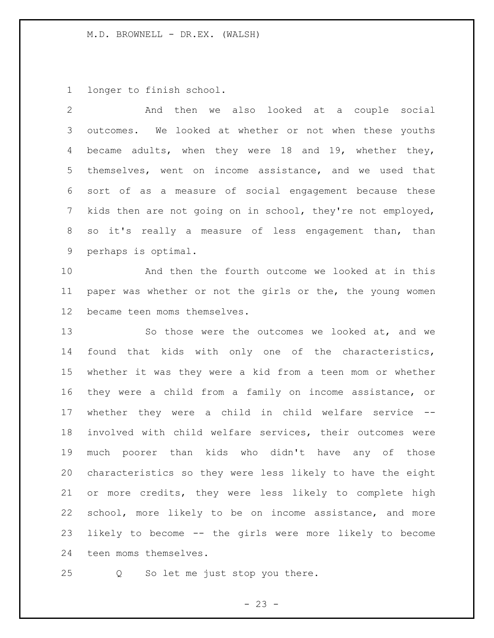longer to finish school.

| $\overline{2}$  | And then we also looked at a couple social                  |
|-----------------|-------------------------------------------------------------|
| $\mathfrak{Z}$  | outcomes. We looked at whether or not when these youths     |
| 4               | became adults, when they were 18 and 19, whether they,      |
| 5               | themselves, went on income assistance, and we used that     |
| 6               | sort of as a measure of social engagement because these     |
| $7\phantom{.0}$ | kids then are not going on in school, they're not employed, |
| 8               | so it's really a measure of less engagement than, than      |
| 9               | perhaps is optimal.                                         |
| 10              | And then the fourth outcome we looked at in this            |
| 11              | paper was whether or not the girls or the, the young women  |
| 12              | became teen moms themselves.                                |
| 13              | So those were the outcomes we looked at, and we             |
| 14              | found that kids with only one of the characteristics,       |
| 15              | whether it was they were a kid from a teen mom or whether   |
| 16              | they were a child from a family on income assistance, or    |
| 17              | whether they were a child in child welfare service --       |
| 18              | involved with child welfare services, their outcomes were   |
| 19              | much poorer than kids who didn't have any of those          |
| 20              | characteristics so they were less likely to have the eight  |
| 21              | or more credits, they were less likely to complete high     |
| 22              | school, more likely to be on income assistance, and more    |
| 23              | likely to become -- the girls were more likely to become    |
| 24              | teen moms themselves.                                       |

Q So let me just stop you there.

- 23 -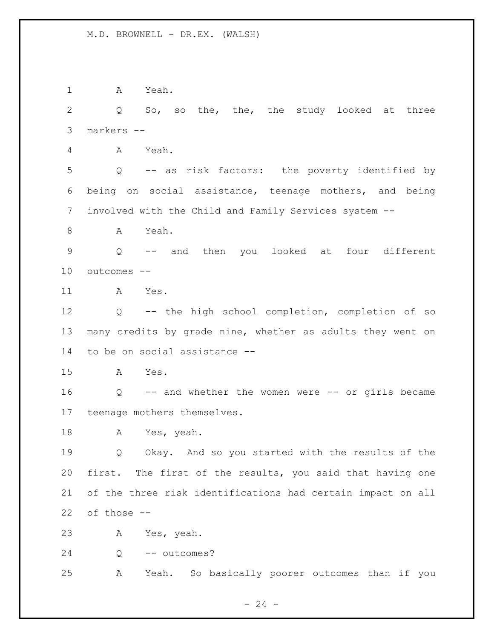A Yeah. Q So, so the, the, the study looked at three markers -- A Yeah. Q -- as risk factors: the poverty identified by being on social assistance, teenage mothers, and being involved with the Child and Family Services system -- A Yeah. Q -- and then you looked at four different outcomes -- A Yes. Q -- the high school completion, completion of so many credits by grade nine, whether as adults they went on to be on social assistance -- A Yes. Q -- and whether the women were -- or girls became teenage mothers themselves. A Yes, yeah. Q Okay. And so you started with the results of the first. The first of the results, you said that having one of the three risk identifications had certain impact on all of those -- A Yes, yeah. 24 Q -- outcomes? A Yeah. So basically poorer outcomes than if you

 $- 24 -$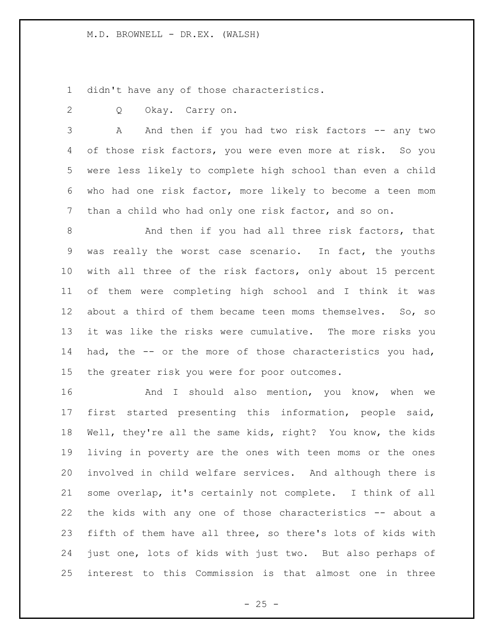didn't have any of those characteristics.

Q Okay. Carry on.

3 A And then if you had two risk factors -- any two of those risk factors, you were even more at risk. So you were less likely to complete high school than even a child who had one risk factor, more likely to become a teen mom than a child who had only one risk factor, and so on.

8 And then if you had all three risk factors, that was really the worst case scenario. In fact, the youths with all three of the risk factors, only about 15 percent of them were completing high school and I think it was about a third of them became teen moms themselves. So, so it was like the risks were cumulative. The more risks you had, the -- or the more of those characteristics you had, the greater risk you were for poor outcomes.

16 And I should also mention, you know, when we first started presenting this information, people said, Well, they're all the same kids, right? You know, the kids living in poverty are the ones with teen moms or the ones involved in child welfare services. And although there is some overlap, it's certainly not complete. I think of all the kids with any one of those characteristics -- about a fifth of them have all three, so there's lots of kids with just one, lots of kids with just two. But also perhaps of interest to this Commission is that almost one in three

 $- 25 -$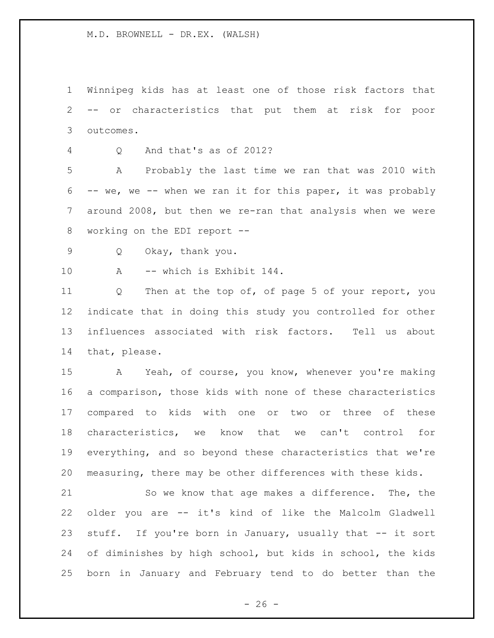Winnipeg kids has at least one of those risk factors that -- or characteristics that put them at risk for poor outcomes.

Q And that's as of 2012?

 A Probably the last time we ran that was 2010 with -- we, we -- when we ran it for this paper, it was probably around 2008, but then we re-ran that analysis when we were working on the EDI report --

Q Okay, thank you.

A -- which is Exhibit 144.

 Q Then at the top of, of page 5 of your report, you indicate that in doing this study you controlled for other influences associated with risk factors. Tell us about that, please.

 A Yeah, of course, you know, whenever you're making a comparison, those kids with none of these characteristics compared to kids with one or two or three of these characteristics, we know that we can't control for everything, and so beyond these characteristics that we're measuring, there may be other differences with these kids.

 So we know that age makes a difference. The, the older you are -- it's kind of like the Malcolm Gladwell 23 stuff. If you're born in January, usually that -- it sort of diminishes by high school, but kids in school, the kids born in January and February tend to do better than the

 $- 26 -$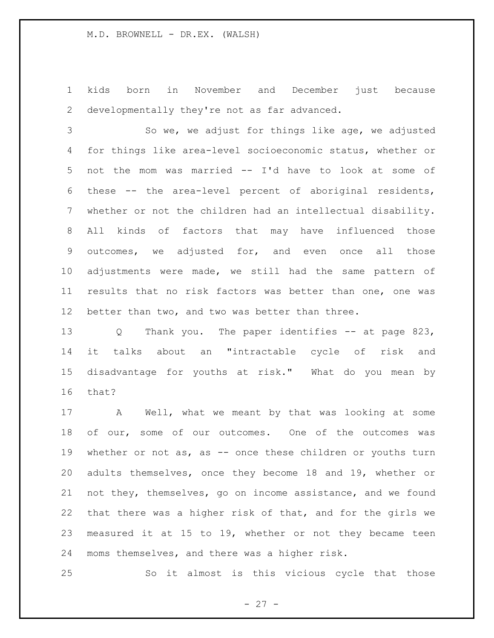kids born in November and December just because developmentally they're not as far advanced.

 So we, we adjust for things like age, we adjusted for things like area-level socioeconomic status, whether or not the mom was married -- I'd have to look at some of these -- the area-level percent of aboriginal residents, whether or not the children had an intellectual disability. All kinds of factors that may have influenced those outcomes, we adjusted for, and even once all those adjustments were made, we still had the same pattern of results that no risk factors was better than one, one was better than two, and two was better than three.

 Q Thank you. The paper identifies -- at page 823, it talks about an "intractable cycle of risk and disadvantage for youths at risk." What do you mean by that?

 A Well, what we meant by that was looking at some 18 of our, some of our outcomes. One of the outcomes was 19 whether or not as, as -- once these children or youths turn adults themselves, once they become 18 and 19, whether or not they, themselves, go on income assistance, and we found that there was a higher risk of that, and for the girls we measured it at 15 to 19, whether or not they became teen moms themselves, and there was a higher risk.

So it almost is this vicious cycle that those

- 27 -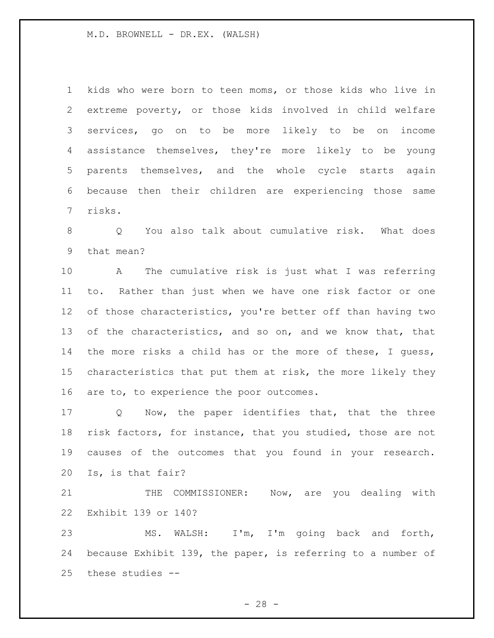kids who were born to teen moms, or those kids who live in extreme poverty, or those kids involved in child welfare services, go on to be more likely to be on income assistance themselves, they're more likely to be young parents themselves, and the whole cycle starts again because then their children are experiencing those same risks.

 Q You also talk about cumulative risk. What does that mean?

 A The cumulative risk is just what I was referring to. Rather than just when we have one risk factor or one 12 of those characteristics, you're better off than having two of the characteristics, and so on, and we know that, that the more risks a child has or the more of these, I guess, characteristics that put them at risk, the more likely they 16 are to, to experience the poor outcomes.

 Q Now, the paper identifies that, that the three risk factors, for instance, that you studied, those are not causes of the outcomes that you found in your research. Is, is that fair?

21 THE COMMISSIONER: Now, are you dealing with Exhibit 139 or 140?

 MS. WALSH: I'm, I'm going back and forth, because Exhibit 139, the paper, is referring to a number of these studies --

 $- 28 -$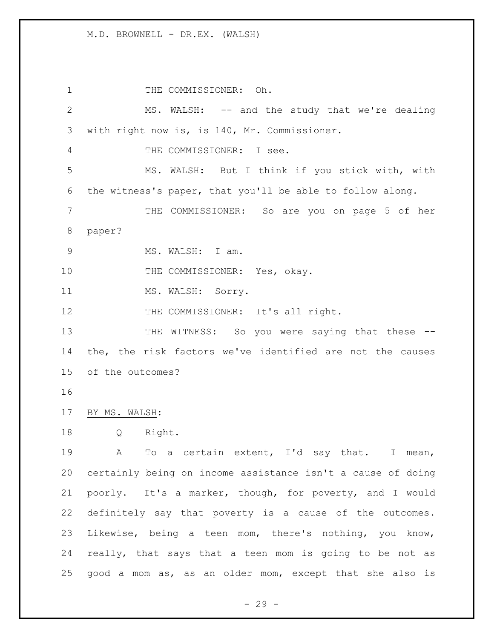1 THE COMMISSIONER: Oh. MS. WALSH: -- and the study that we're dealing with right now is, is 140, Mr. Commissioner. THE COMMISSIONER: I see. MS. WALSH: But I think if you stick with, with the witness's paper, that you'll be able to follow along. THE COMMISSIONER: So are you on page 5 of her paper? MS. WALSH: I am. 10 THE COMMISSIONER: Yes, okay. 11 MS. WALSH: Sorry. 12 THE COMMISSIONER: It's all right. 13 THE WITNESS: So you were saying that these -- the, the risk factors we've identified are not the causes of the outcomes? BY MS. WALSH: Q Right. A To a certain extent, I'd say that. I mean, certainly being on income assistance isn't a cause of doing poorly. It's a marker, though, for poverty, and I would definitely say that poverty is a cause of the outcomes. Likewise, being a teen mom, there's nothing, you know, really, that says that a teen mom is going to be not as good a mom as, as an older mom, except that she also is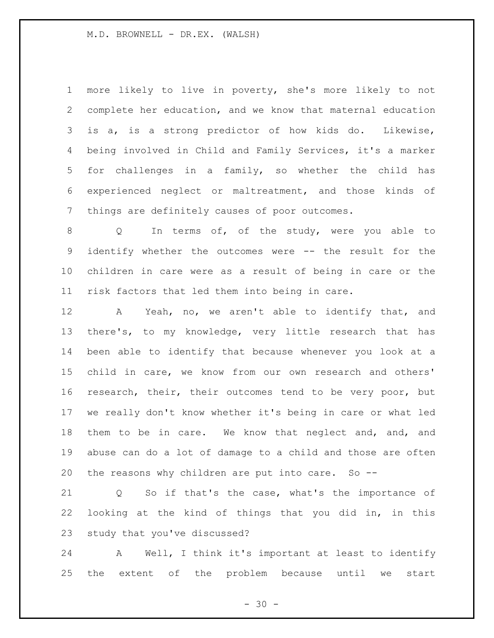more likely to live in poverty, she's more likely to not complete her education, and we know that maternal education is a, is a strong predictor of how kids do. Likewise, being involved in Child and Family Services, it's a marker for challenges in a family, so whether the child has experienced neglect or maltreatment, and those kinds of things are definitely causes of poor outcomes.

8 Q In terms of, of the study, were you able to identify whether the outcomes were -- the result for the children in care were as a result of being in care or the risk factors that led them into being in care.

 A Yeah, no, we aren't able to identify that, and there's, to my knowledge, very little research that has been able to identify that because whenever you look at a child in care, we know from our own research and others' research, their, their outcomes tend to be very poor, but we really don't know whether it's being in care or what led them to be in care. We know that neglect and, and, and abuse can do a lot of damage to a child and those are often the reasons why children are put into care. So --

 Q So if that's the case, what's the importance of looking at the kind of things that you did in, in this study that you've discussed?

 A Well, I think it's important at least to identify the extent of the problem because until we start

 $- 30 -$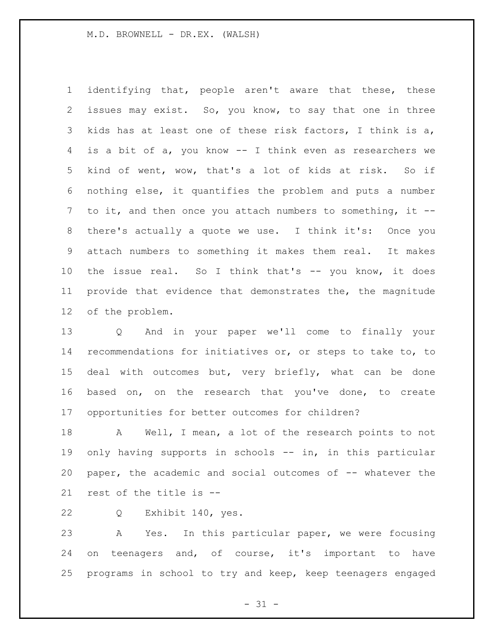identifying that, people aren't aware that these, these issues may exist. So, you know, to say that one in three kids has at least one of these risk factors, I think is a, is a bit of a, you know -- I think even as researchers we kind of went, wow, that's a lot of kids at risk. So if nothing else, it quantifies the problem and puts a number to it, and then once you attach numbers to something, it -- there's actually a quote we use. I think it's: Once you attach numbers to something it makes them real. It makes the issue real. So I think that's -- you know, it does provide that evidence that demonstrates the, the magnitude of the problem.

 Q And in your paper we'll come to finally your recommendations for initiatives or, or steps to take to, to deal with outcomes but, very briefly, what can be done based on, on the research that you've done, to create opportunities for better outcomes for children?

 A Well, I mean, a lot of the research points to not 19 only having supports in schools -- in, in this particular paper, the academic and social outcomes of -- whatever the rest of the title is --

Q Exhibit 140, yes.

 A Yes. In this particular paper, we were focusing on teenagers and, of course, it's important to have programs in school to try and keep, keep teenagers engaged

 $- 31 -$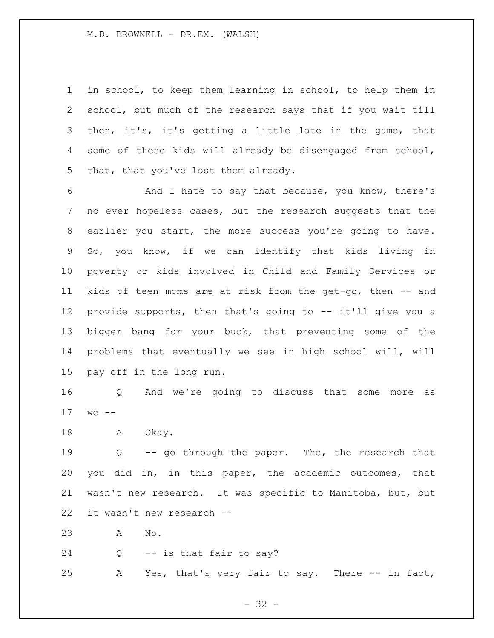in school, to keep them learning in school, to help them in school, but much of the research says that if you wait till then, it's, it's getting a little late in the game, that some of these kids will already be disengaged from school, that, that you've lost them already.

 And I hate to say that because, you know, there's no ever hopeless cases, but the research suggests that the earlier you start, the more success you're going to have. So, you know, if we can identify that kids living in poverty or kids involved in Child and Family Services or kids of teen moms are at risk from the get-go, then -- and provide supports, then that's going to -- it'll give you a bigger bang for your buck, that preventing some of the problems that eventually we see in high school will, will pay off in the long run.

 Q And we're going to discuss that some more as we --

18 A Okay.

 Q -- go through the paper. The, the research that you did in, in this paper, the academic outcomes, that wasn't new research. It was specific to Manitoba, but, but it wasn't new research --

A No.

Q -- is that fair to say?

A Yes, that's very fair to say. There -- in fact,

- 32 -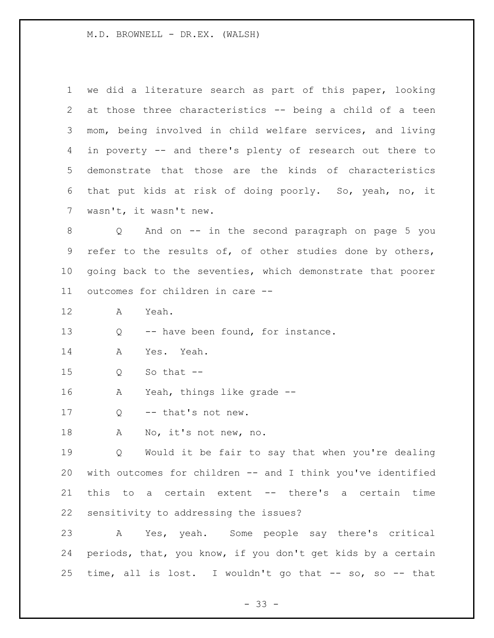we did a literature search as part of this paper, looking at those three characteristics -- being a child of a teen mom, being involved in child welfare services, and living in poverty -- and there's plenty of research out there to demonstrate that those are the kinds of characteristics that put kids at risk of doing poorly. So, yeah, no, it wasn't, it wasn't new.

 Q And on -- in the second paragraph on page 5 you refer to the results of, of other studies done by others, going back to the seventies, which demonstrate that poorer outcomes for children in care --

A Yeah.

13 Q -- have been found, for instance.

A Yes. Yeah.

Q So that --

A Yeah, things like grade --

17 Q -- that's not new.

A No, it's not new, no.

 Q Would it be fair to say that when you're dealing with outcomes for children -- and I think you've identified this to a certain extent -- there's a certain time sensitivity to addressing the issues?

 A Yes, yeah. Some people say there's critical periods, that, you know, if you don't get kids by a certain time, all is lost. I wouldn't go that -- so, so -- that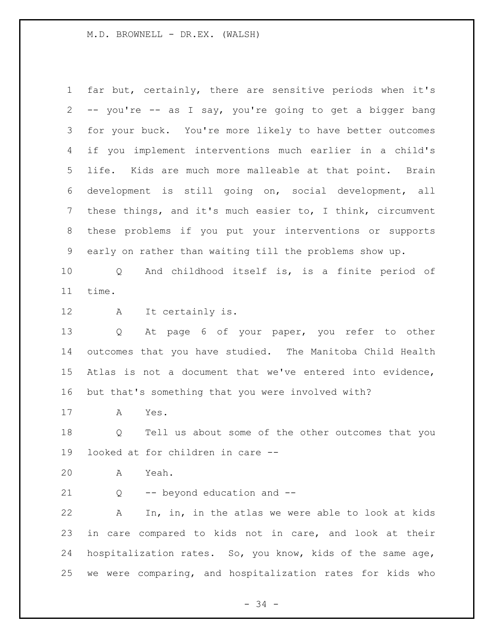far but, certainly, there are sensitive periods when it's -- you're -- as I say, you're going to get a bigger bang for your buck. You're more likely to have better outcomes if you implement interventions much earlier in a child's life. Kids are much more malleable at that point. Brain development is still going on, social development, all these things, and it's much easier to, I think, circumvent these problems if you put your interventions or supports early on rather than waiting till the problems show up.

 Q And childhood itself is, is a finite period of time.

A It certainly is.

 Q At page 6 of your paper, you refer to other outcomes that you have studied. The Manitoba Child Health Atlas is not a document that we've entered into evidence, but that's something that you were involved with?

A Yes.

 Q Tell us about some of the other outcomes that you looked at for children in care --

A Yeah.

21 Q -- beyond education and --

 A In, in, in the atlas we were able to look at kids in care compared to kids not in care, and look at their hospitalization rates. So, you know, kids of the same age, we were comparing, and hospitalization rates for kids who

 $- 34 -$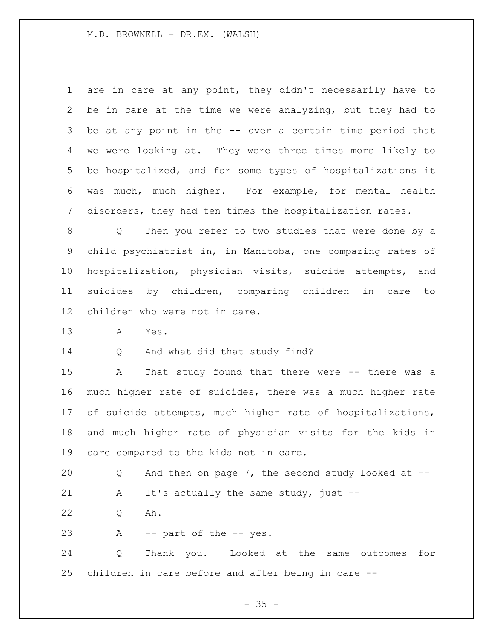are in care at any point, they didn't necessarily have to be in care at the time we were analyzing, but they had to be at any point in the -- over a certain time period that we were looking at. They were three times more likely to be hospitalized, and for some types of hospitalizations it was much, much higher. For example, for mental health disorders, they had ten times the hospitalization rates.

 Q Then you refer to two studies that were done by a child psychiatrist in, in Manitoba, one comparing rates of hospitalization, physician visits, suicide attempts, and suicides by children, comparing children in care to children who were not in care.

A Yes.

Q And what did that study find?

 A That study found that there were -- there was a much higher rate of suicides, there was a much higher rate 17 of suicide attempts, much higher rate of hospitalizations, and much higher rate of physician visits for the kids in care compared to the kids not in care.

 Q And then on page 7, the second study looked at -- 21 A It's actually the same study, just --

Q Ah.

A -- part of the -- yes.

 Q Thank you. Looked at the same outcomes for children in care before and after being in care --

 $- 35 -$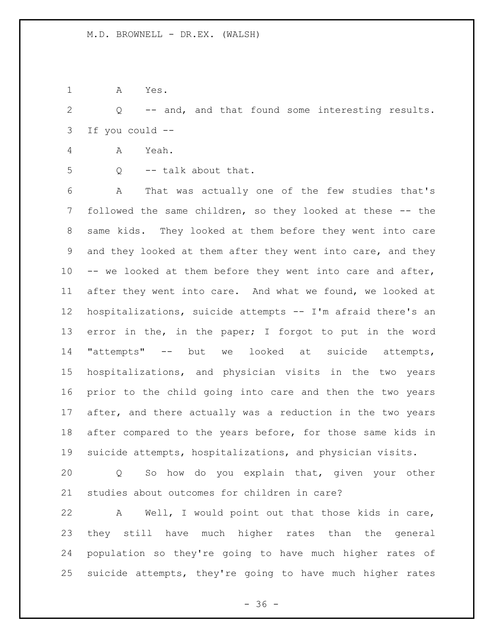A Yes.

 Q -- and, and that found some interesting results. If you could --

- A Yeah.
- 
- 5 Q -- talk about that.

 A That was actually one of the few studies that's followed the same children, so they looked at these -- the same kids. They looked at them before they went into care and they looked at them after they went into care, and they -- we looked at them before they went into care and after, after they went into care. And what we found, we looked at hospitalizations, suicide attempts -- I'm afraid there's an error in the, in the paper; I forgot to put in the word "attempts" -- but we looked at suicide attempts, hospitalizations, and physician visits in the two years prior to the child going into care and then the two years after, and there actually was a reduction in the two years after compared to the years before, for those same kids in suicide attempts, hospitalizations, and physician visits.

 Q So how do you explain that, given your other studies about outcomes for children in care?

 A Well, I would point out that those kids in care, they still have much higher rates than the general population so they're going to have much higher rates of suicide attempts, they're going to have much higher rates

 $- 36 -$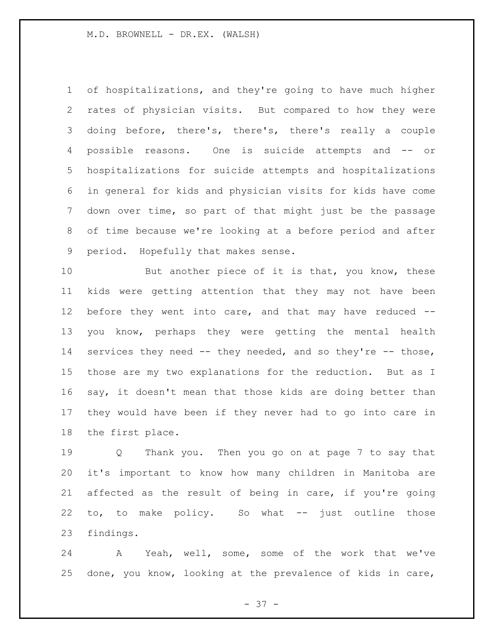of hospitalizations, and they're going to have much higher rates of physician visits. But compared to how they were doing before, there's, there's, there's really a couple possible reasons. One is suicide attempts and -- or hospitalizations for suicide attempts and hospitalizations in general for kids and physician visits for kids have come down over time, so part of that might just be the passage of time because we're looking at a before period and after period. Hopefully that makes sense.

10 But another piece of it is that, you know, these kids were getting attention that they may not have been before they went into care, and that may have reduced -- you know, perhaps they were getting the mental health 14 services they need -- they needed, and so they're -- those, those are my two explanations for the reduction. But as I say, it doesn't mean that those kids are doing better than they would have been if they never had to go into care in the first place.

 Q Thank you. Then you go on at page 7 to say that it's important to know how many children in Manitoba are affected as the result of being in care, if you're going to, to make policy. So what -- just outline those findings.

 A Yeah, well, some, some of the work that we've done, you know, looking at the prevalence of kids in care,

- 37 -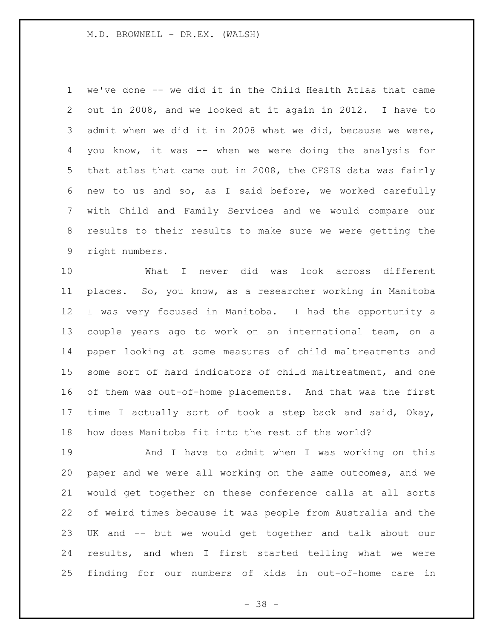we've done -- we did it in the Child Health Atlas that came out in 2008, and we looked at it again in 2012. I have to admit when we did it in 2008 what we did, because we were, you know, it was -- when we were doing the analysis for that atlas that came out in 2008, the CFSIS data was fairly new to us and so, as I said before, we worked carefully with Child and Family Services and we would compare our results to their results to make sure we were getting the right numbers.

 What I never did was look across different places. So, you know, as a researcher working in Manitoba I was very focused in Manitoba. I had the opportunity a couple years ago to work on an international team, on a paper looking at some measures of child maltreatments and some sort of hard indicators of child maltreatment, and one of them was out-of-home placements. And that was the first time I actually sort of took a step back and said, Okay, how does Manitoba fit into the rest of the world?

 And I have to admit when I was working on this paper and we were all working on the same outcomes, and we would get together on these conference calls at all sorts of weird times because it was people from Australia and the UK and -- but we would get together and talk about our results, and when I first started telling what we were finding for our numbers of kids in out-of-home care in

- 38 -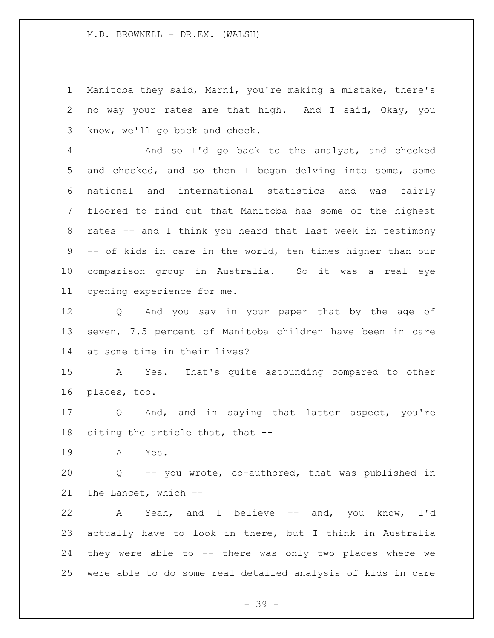Manitoba they said, Marni, you're making a mistake, there's no way your rates are that high. And I said, Okay, you know, we'll go back and check.

 And so I'd go back to the analyst, and checked and checked, and so then I began delving into some, some national and international statistics and was fairly floored to find out that Manitoba has some of the highest rates -- and I think you heard that last week in testimony -- of kids in care in the world, ten times higher than our comparison group in Australia. So it was a real eye opening experience for me.

 Q And you say in your paper that by the age of seven, 7.5 percent of Manitoba children have been in care at some time in their lives?

 A Yes. That's quite astounding compared to other places, too.

 Q And, and in saying that latter aspect, you're citing the article that, that --

A Yes.

 Q -- you wrote, co-authored, that was published in The Lancet, which --

 A Yeah, and I believe -- and, you know, I'd actually have to look in there, but I think in Australia they were able to -- there was only two places where we were able to do some real detailed analysis of kids in care

- 39 -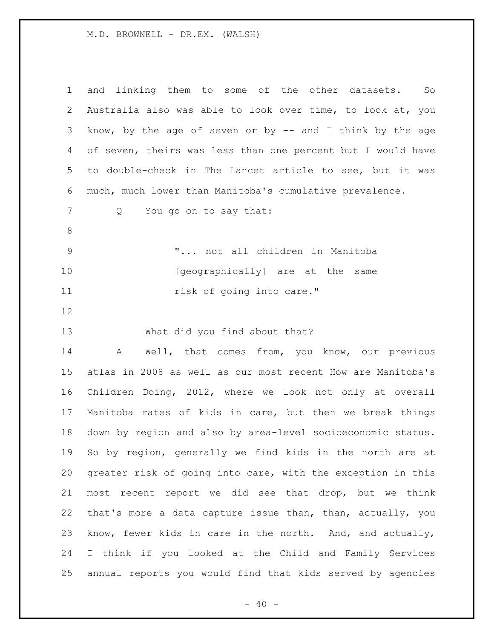| $\mathbf 1$ | and linking them to some of the other datasets.<br>So       |
|-------------|-------------------------------------------------------------|
| 2           | Australia also was able to look over time, to look at, you  |
| 3           | know, by the age of seven or by $-$ and I think by the age  |
| 4           | of seven, theirs was less than one percent but I would have |
| 5           | to double-check in The Lancet article to see, but it was    |
| 6           | much, much lower than Manitoba's cumulative prevalence.     |
| 7           | You go on to say that:<br>Q                                 |
| 8           |                                                             |
| $\mathsf 9$ | " not all children in Manitoba                              |
| 10          | [geographically] are at the same                            |
| 11          | risk of going into care."                                   |
| 12          |                                                             |
| 13          | What did you find about that?                               |
| 14          | Well, that comes from, you know, our previous<br>A          |
| 15          | atlas in 2008 as well as our most recent How are Manitoba's |
| 16          | Children Doing, 2012, where we look not only at overall     |
| 17          | Manitoba rates of kids in care, but then we break things    |
| 18          | down by region and also by area-level socioeconomic status. |
| 19          | So by region, generally we find kids in the north are at    |
| 20          | greater risk of going into care, with the exception in this |
| 21          | most recent report we did see that drop, but we think       |
| 22          | that's more a data capture issue than, than, actually, you  |
| 23          | know, fewer kids in care in the north. And, and actually,   |
| 24          | I think if you looked at the Child and Family Services      |
| 25          | annual reports you would find that kids served by agencies  |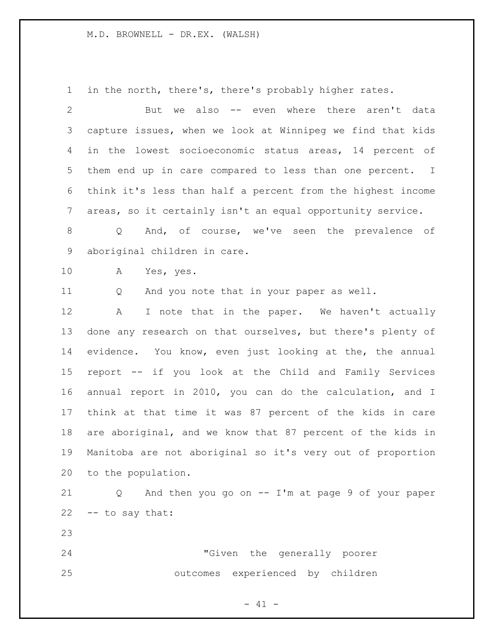in the north, there's, there's probably higher rates.

 But we also -- even where there aren't data capture issues, when we look at Winnipeg we find that kids in the lowest socioeconomic status areas, 14 percent of them end up in care compared to less than one percent. I think it's less than half a percent from the highest income areas, so it certainly isn't an equal opportunity service. Q And, of course, we've seen the prevalence of aboriginal children in care. A Yes, yes. Q And you note that in your paper as well. 12 A I note that in the paper. We haven't actually done any research on that ourselves, but there's plenty of evidence. You know, even just looking at the, the annual report -- if you look at the Child and Family Services annual report in 2010, you can do the calculation, and I think at that time it was 87 percent of the kids in care are aboriginal, and we know that 87 percent of the kids in Manitoba are not aboriginal so it's very out of proportion to the population.

 Q And then you go on -- I'm at page 9 of your paper -- to say that:

 "Given the generally poorer outcomes experienced by children

 $- 41 -$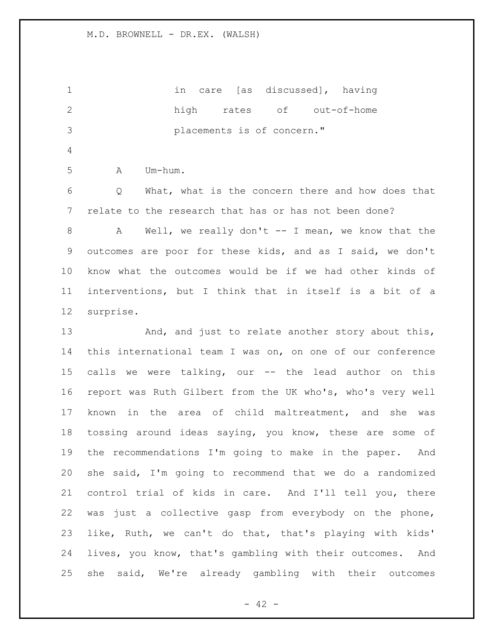in care [as discussed], having high rates of out-of-home placements is of concern." A Um-hum. Q What, what is the concern there and how does that relate to the research that has or has not been done? 8 A Well, we really don't -- I mean, we know that the outcomes are poor for these kids, and as I said, we don't know what the outcomes would be if we had other kinds of interventions, but I think that in itself is a bit of a surprise. 13 And, and just to relate another story about this, this international team I was on, on one of our conference calls we were talking, our -- the lead author on this report was Ruth Gilbert from the UK who's, who's very well known in the area of child maltreatment, and she was tossing around ideas saying, you know, these are some of the recommendations I'm going to make in the paper. And she said, I'm going to recommend that we do a randomized control trial of kids in care. And I'll tell you, there was just a collective gasp from everybody on the phone, like, Ruth, we can't do that, that's playing with kids' lives, you know, that's gambling with their outcomes. And she said, We're already gambling with their outcomes

 $- 42 -$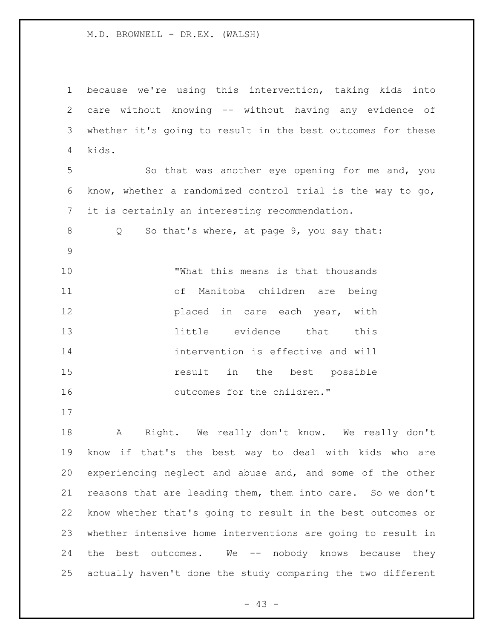because we're using this intervention, taking kids into care without knowing -- without having any evidence of whether it's going to result in the best outcomes for these kids. So that was another eye opening for me and, you know, whether a randomized control trial is the way to go, it is certainly an interesting recommendation. Q So that's where, at page 9, you say that: "What this means is that thousands of Manitoba children are being **placed** in care each year, with little evidence that this intervention is effective and will **15** result in the best possible 16 outcomes for the children." 

 A Right. We really don't know. We really don't know if that's the best way to deal with kids who are experiencing neglect and abuse and, and some of the other reasons that are leading them, them into care. So we don't know whether that's going to result in the best outcomes or whether intensive home interventions are going to result in 24 the best outcomes. We -- nobody knows because they actually haven't done the study comparing the two different

 $- 43 -$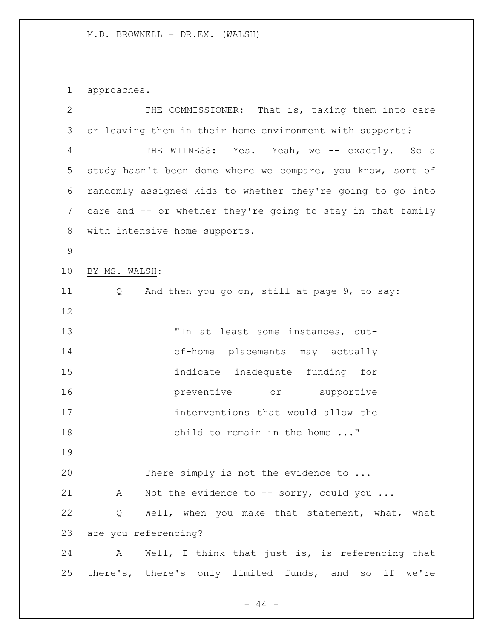approaches.

| $\mathbf{2}$   | THE COMMISSIONER: That is, taking them into care            |
|----------------|-------------------------------------------------------------|
| 3              | or leaving them in their home environment with supports?    |
| 4              | THE WITNESS: Yes. Yeah, we -- exactly. So a                 |
| 5              | study hasn't been done where we compare, you know, sort of  |
| 6              | randomly assigned kids to whether they're going to go into  |
| $7\phantom{.}$ | care and -- or whether they're going to stay in that family |
| 8              | with intensive home supports.                               |
| $\mathsf 9$    |                                                             |
| 10             | BY MS. WALSH:                                               |
| 11             | And then you go on, still at page 9, to say:<br>Q           |
| 12             |                                                             |
| 13             | "In at least some instances, out-                           |
| 14             | of-home placements may actually                             |
| 15             | indicate inadequate funding for                             |
| 16             | preventive or supportive                                    |
| 17             | interventions that would allow the                          |
| 18             | child to remain in the home "                               |
| 19             |                                                             |
| 20             | There simply is not the evidence to                         |
| 21             | A Not the evidence to -- sorry, could you                   |
| 22             | Well, when you make that statement, what, what<br>Q         |
| 23             | are you referencing?                                        |
| 24             | A Well, I think that just is, is referencing that           |
| 25             | there's, there's only limited funds, and so if we're        |

- 44 -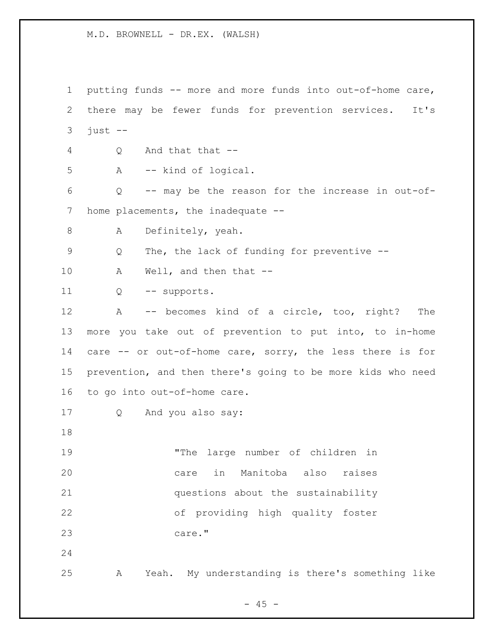putting funds -- more and more funds into out-of-home care, there may be fewer funds for prevention services. It's just  $-$  Q And that that -- A -- kind of logical. Q -- may be the reason for the increase in out-of-7 home placements, the inadequate --8 A Definitely, yeah. Q The, the lack of funding for preventive -- 10 A Well, and then that -- Q -- supports. A -- becomes kind of a circle, too, right? The more you take out of prevention to put into, to in-home care -- or out-of-home care, sorry, the less there is for prevention, and then there's going to be more kids who need to go into out-of-home care. Q And you also say: "The large number of children in care in Manitoba also raises questions about the sustainability of providing high quality foster care." A Yeah. My understanding is there's something like

 $- 45 -$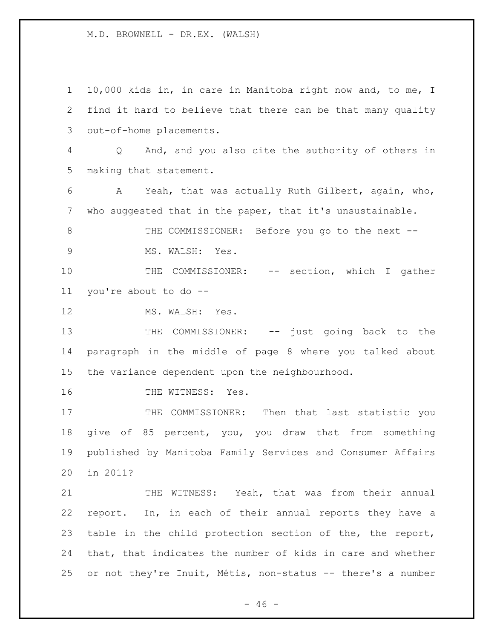10,000 kids in, in care in Manitoba right now and, to me, I find it hard to believe that there can be that many quality out-of-home placements. Q And, and you also cite the authority of others in making that statement. A Yeah, that was actually Ruth Gilbert, again, who, who suggested that in the paper, that it's unsustainable. 8 THE COMMISSIONER: Before you go to the next --9 MS. WALSH: Yes. THE COMMISSIONER: -- section, which I gather you're about to do -- 12 MS. WALSH: Yes. 13 THE COMMISSIONER: -- just going back to the paragraph in the middle of page 8 where you talked about the variance dependent upon the neighbourhood. 16 THE WITNESS: Yes. 17 THE COMMISSIONER: Then that last statistic you give of 85 percent, you, you draw that from something published by Manitoba Family Services and Consumer Affairs in 2011? THE WITNESS: Yeah, that was from their annual report. In, in each of their annual reports they have a table in the child protection section of the, the report, that, that indicates the number of kids in care and whether or not they're Inuit, Métis, non-status -- there's a number

 $- 46 -$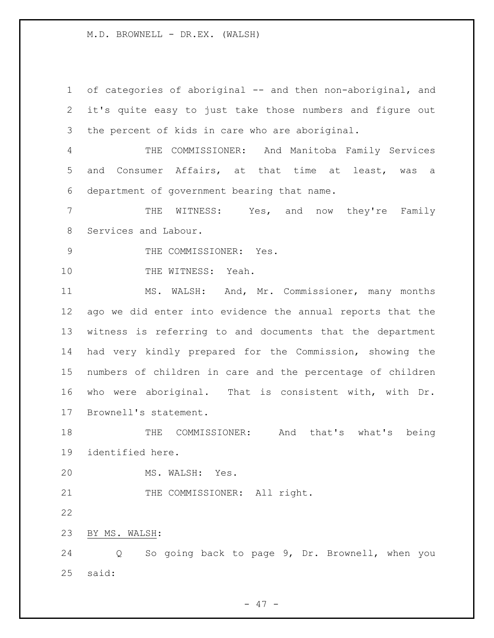of categories of aboriginal -- and then non-aboriginal, and it's quite easy to just take those numbers and figure out the percent of kids in care who are aboriginal. THE COMMISSIONER: And Manitoba Family Services and Consumer Affairs, at that time at least, was a department of government bearing that name. THE WITNESS: Yes, and now they're Family Services and Labour. 9 THE COMMISSIONER: Yes. 10 THE WITNESS: Yeah. MS. WALSH: And, Mr. Commissioner, many months ago we did enter into evidence the annual reports that the witness is referring to and documents that the department had very kindly prepared for the Commission, showing the numbers of children in care and the percentage of children who were aboriginal. That is consistent with, with Dr. Brownell's statement. THE COMMISSIONER: And that's what's being identified here. MS. WALSH: Yes. 21 THE COMMISSIONER: All right. BY MS. WALSH: Q So going back to page 9, Dr. Brownell, when you said:

 $- 47 -$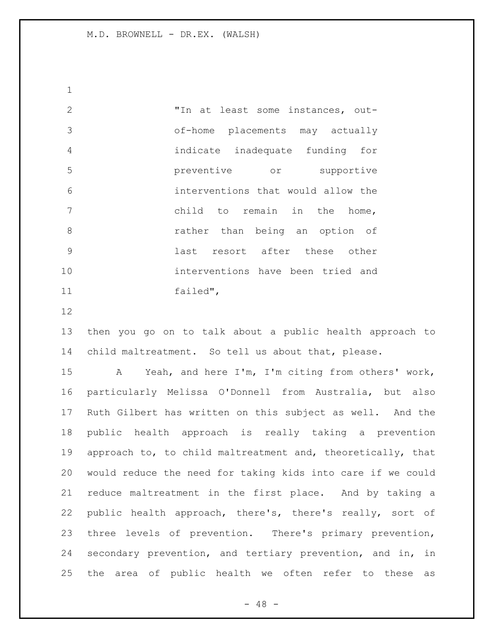"In at least some instances, out- of-home placements may actually indicate inadequate funding for preventive or supportive interventions that would allow the child to remain in the home, rather than being an option of last resort after these other interventions have been tried and failed",

 then you go on to talk about a public health approach to child maltreatment. So tell us about that, please.

 A Yeah, and here I'm, I'm citing from others' work, particularly Melissa O'Donnell from Australia, but also Ruth Gilbert has written on this subject as well. And the public health approach is really taking a prevention 19 approach to, to child maltreatment and, theoretically, that would reduce the need for taking kids into care if we could reduce maltreatment in the first place. And by taking a public health approach, there's, there's really, sort of three levels of prevention. There's primary prevention, secondary prevention, and tertiary prevention, and in, in the area of public health we often refer to these as

- 48 -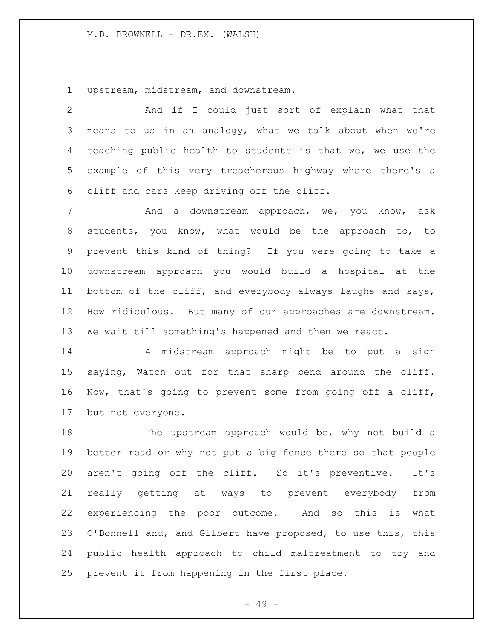upstream, midstream, and downstream.

 And if I could just sort of explain what that means to us in an analogy, what we talk about when we're teaching public health to students is that we, we use the example of this very treacherous highway where there's a cliff and cars keep driving off the cliff.

 And a downstream approach, we, you know, ask students, you know, what would be the approach to, to prevent this kind of thing? If you were going to take a downstream approach you would build a hospital at the bottom of the cliff, and everybody always laughs and says, How ridiculous. But many of our approaches are downstream. We wait till something's happened and then we react.

 A midstream approach might be to put a sign saying, Watch out for that sharp bend around the cliff. Now, that's going to prevent some from going off a cliff, but not everyone.

18 The upstream approach would be, why not build a better road or why not put a big fence there so that people aren't going off the cliff. So it's preventive. It's really getting at ways to prevent everybody from experiencing the poor outcome. And so this is what O'Donnell and, and Gilbert have proposed, to use this, this public health approach to child maltreatment to try and prevent it from happening in the first place.

- 49 -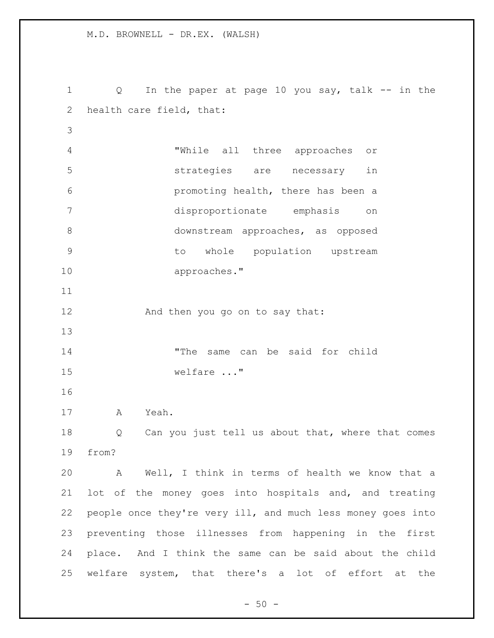Q In the paper at page 10 you say, talk -- in the health care field, that: "While all three approaches or strategies are necessary in promoting health, there has been a disproportionate emphasis on downstream approaches, as opposed to whole population upstream approaches." 12 And then you go on to say that: "The same can be said for child welfare ..." A Yeah. 18 Q Can you just tell us about that, where that comes from? A Well, I think in terms of health we know that a lot of the money goes into hospitals and, and treating people once they're very ill, and much less money goes into preventing those illnesses from happening in the first place. And I think the same can be said about the child welfare system, that there's a lot of effort at the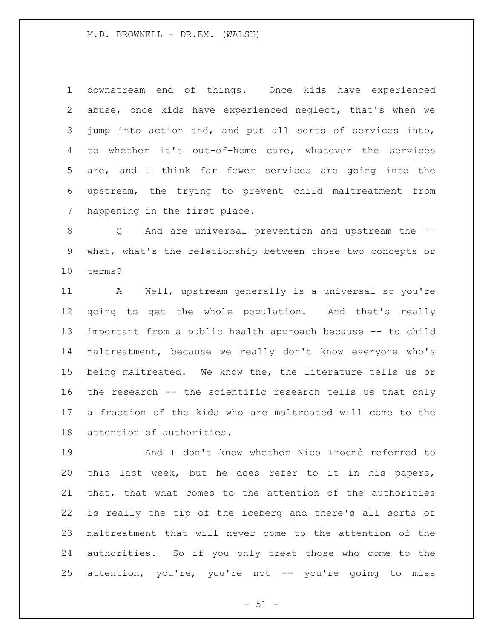downstream end of things. Once kids have experienced abuse, once kids have experienced neglect, that's when we jump into action and, and put all sorts of services into, to whether it's out-of-home care, whatever the services are, and I think far fewer services are going into the upstream, the trying to prevent child maltreatment from happening in the first place.

 Q And are universal prevention and upstream the -- what, what's the relationship between those two concepts or terms?

 A Well, upstream generally is a universal so you're going to get the whole population. And that's really important from a public health approach because -- to child maltreatment, because we really don't know everyone who's being maltreated. We know the, the literature tells us or the research -- the scientific research tells us that only a fraction of the kids who are maltreated will come to the attention of authorities.

19 and I don't know whether Nico Trocmé referred to this last week, but he does refer to it in his papers, that, that what comes to the attention of the authorities is really the tip of the iceberg and there's all sorts of maltreatment that will never come to the attention of the authorities. So if you only treat those who come to the attention, you're, you're not -- you're going to miss

 $-51 -$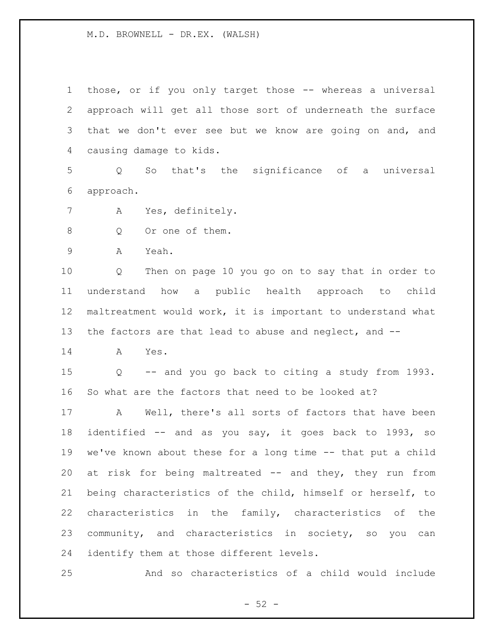those, or if you only target those -- whereas a universal approach will get all those sort of underneath the surface 3 that we don't ever see but we know are going on and, and causing damage to kids.

 Q So that's the significance of a universal approach.

- A Yes, definitely.
- 8 Q Or one of them.

A Yeah.

 Q Then on page 10 you go on to say that in order to understand how a public health approach to child maltreatment would work, it is important to understand what the factors are that lead to abuse and neglect, and --

A Yes.

 Q -- and you go back to citing a study from 1993. So what are the factors that need to be looked at?

 A Well, there's all sorts of factors that have been identified -- and as you say, it goes back to 1993, so we've known about these for a long time -- that put a child at risk for being maltreated -- and they, they run from being characteristics of the child, himself or herself, to characteristics in the family, characteristics of the community, and characteristics in society, so you can identify them at those different levels.

And so characteristics of a child would include

 $- 52 -$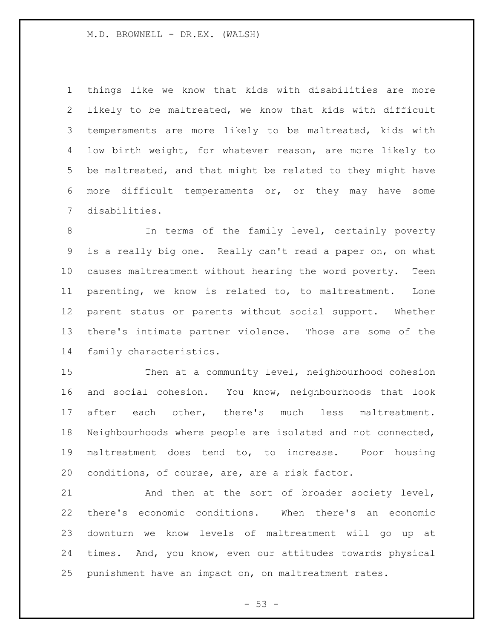things like we know that kids with disabilities are more likely to be maltreated, we know that kids with difficult temperaments are more likely to be maltreated, kids with low birth weight, for whatever reason, are more likely to be maltreated, and that might be related to they might have more difficult temperaments or, or they may have some disabilities.

 In terms of the family level, certainly poverty is a really big one. Really can't read a paper on, on what causes maltreatment without hearing the word poverty. Teen parenting, we know is related to, to maltreatment. Lone parent status or parents without social support. Whether there's intimate partner violence. Those are some of the family characteristics.

 Then at a community level, neighbourhood cohesion and social cohesion. You know, neighbourhoods that look after each other, there's much less maltreatment. Neighbourhoods where people are isolated and not connected, maltreatment does tend to, to increase. Poor housing conditions, of course, are, are a risk factor.

 And then at the sort of broader society level, there's economic conditions. When there's an economic downturn we know levels of maltreatment will go up at times. And, you know, even our attitudes towards physical punishment have an impact on, on maltreatment rates.

 $-53 -$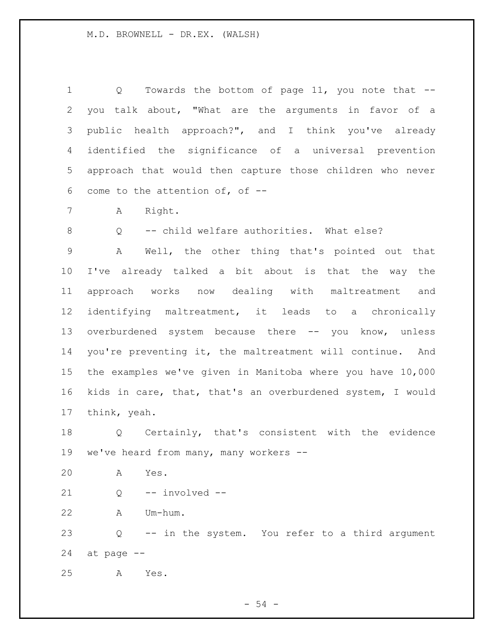1 Q Towards the bottom of page 11, you note that -- you talk about, "What are the arguments in favor of a public health approach?", and I think you've already identified the significance of a universal prevention approach that would then capture those children who never come to the attention of, of -- A Right. Q -- child welfare authorities. What else? A Well, the other thing that's pointed out that I've already talked a bit about is that the way the approach works now dealing with maltreatment and identifying maltreatment, it leads to a chronically 13 overburdened system because there -- you know, unless you're preventing it, the maltreatment will continue. And the examples we've given in Manitoba where you have 10,000 kids in care, that, that's an overburdened system, I would think, yeah. Q Certainly, that's consistent with the evidence

we've heard from many, many workers --

A Yes.

Q -- involved --

A Um-hum.

 Q -- in the system. You refer to a third argument at page --

A Yes.

- 54 -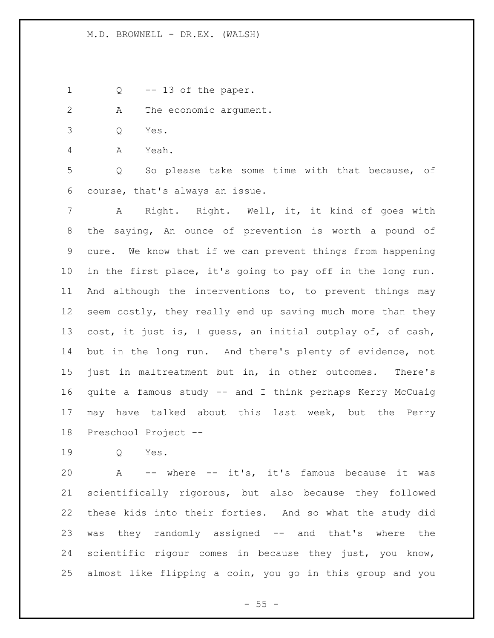- 1 Q -- 13 of the paper.
- 2 A The economic argument.
- Q Yes.

A Yeah.

 Q So please take some time with that because, of course, that's always an issue.

 A Right. Right. Well, it, it kind of goes with the saying, An ounce of prevention is worth a pound of cure. We know that if we can prevent things from happening in the first place, it's going to pay off in the long run. And although the interventions to, to prevent things may 12 seem costly, they really end up saving much more than they cost, it just is, I guess, an initial outplay of, of cash, but in the long run. And there's plenty of evidence, not just in maltreatment but in, in other outcomes. There's quite a famous study -- and I think perhaps Kerry McCuaig may have talked about this last week, but the Perry Preschool Project --

Q Yes.

 A -- where -- it's, it's famous because it was scientifically rigorous, but also because they followed these kids into their forties. And so what the study did was they randomly assigned -- and that's where the scientific rigour comes in because they just, you know, almost like flipping a coin, you go in this group and you

 $- 55 -$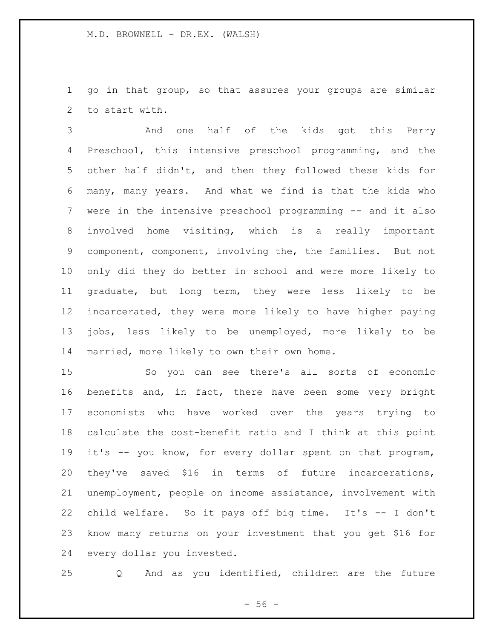go in that group, so that assures your groups are similar to start with.

 And one half of the kids got this Perry Preschool, this intensive preschool programming, and the other half didn't, and then they followed these kids for many, many years. And what we find is that the kids who were in the intensive preschool programming -- and it also involved home visiting, which is a really important component, component, involving the, the families. But not only did they do better in school and were more likely to graduate, but long term, they were less likely to be incarcerated, they were more likely to have higher paying jobs, less likely to be unemployed, more likely to be married, more likely to own their own home.

 So you can see there's all sorts of economic benefits and, in fact, there have been some very bright economists who have worked over the years trying to calculate the cost-benefit ratio and I think at this point it's -- you know, for every dollar spent on that program, they've saved \$16 in terms of future incarcerations, unemployment, people on income assistance, involvement with child welfare. So it pays off big time. It's -- I don't know many returns on your investment that you get \$16 for every dollar you invested.

Q And as you identified, children are the future

 $- 56 -$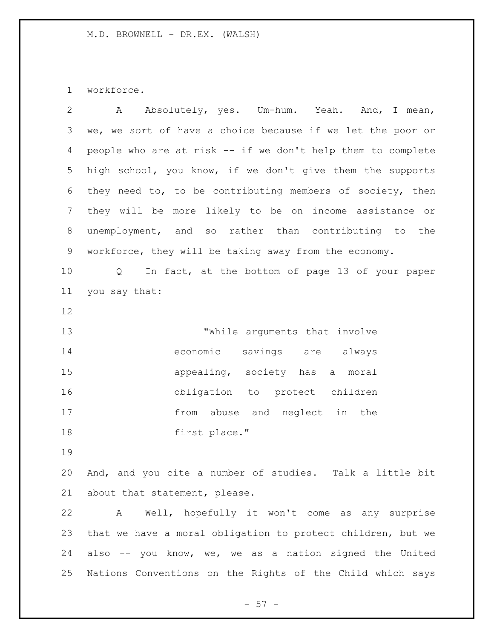workforce.

| $\overline{2}$ | Absolutely, yes. Um-hum. Yeah. And, I mean,<br>A            |
|----------------|-------------------------------------------------------------|
| 3              | we, we sort of have a choice because if we let the poor or  |
| 4              | people who are at risk -- if we don't help them to complete |
| 5              | high school, you know, if we don't give them the supports   |
| 6              | they need to, to be contributing members of society, then   |
| 7              | they will be more likely to be on income assistance or      |
| 8              | unemployment, and so rather than contributing to the        |
| $\mathsf 9$    | workforce, they will be taking away from the economy.       |
| 10             | In fact, at the bottom of page 13 of your paper<br>Q        |
| 11             | you say that:                                               |
| 12             |                                                             |
| 13             | "While arguments that involve                               |
| 14             | economic<br>savings are<br>always                           |
| 15             | appealing, society has a moral                              |
| 16             | obligation to protect children                              |
| 17             | from abuse and neglect in the                               |
| 18             | first place."                                               |
| 19             |                                                             |
| 20             | And, and you cite a number of studies. Talk a little bit    |
| 21             | about that statement, please.                               |
| 22             | Well, hopefully it won't come as any surprise<br>A          |
| 23             | that we have a moral obligation to protect children, but we |
| 24             | also -- you know, we, we as a nation signed the United      |
| 25             | Nations Conventions on the Rights of the Child which says   |

- 57 -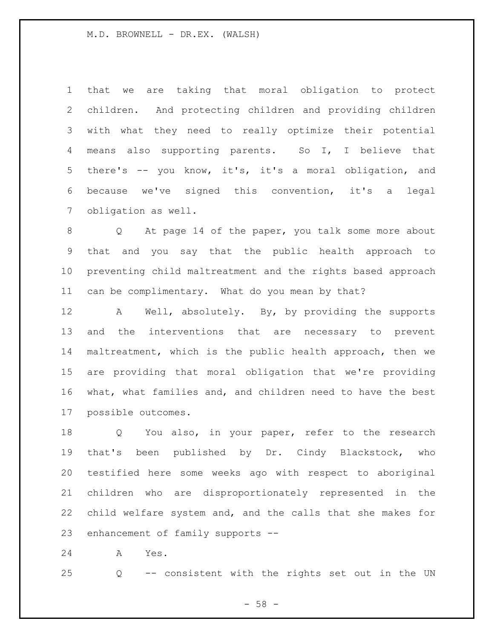that we are taking that moral obligation to protect children. And protecting children and providing children with what they need to really optimize their potential means also supporting parents. So I, I believe that there's -- you know, it's, it's a moral obligation, and because we've signed this convention, it's a legal obligation as well.

 Q At page 14 of the paper, you talk some more about that and you say that the public health approach to preventing child maltreatment and the rights based approach can be complimentary. What do you mean by that?

 A Well, absolutely. By, by providing the supports and the interventions that are necessary to prevent maltreatment, which is the public health approach, then we are providing that moral obligation that we're providing what, what families and, and children need to have the best possible outcomes.

 Q You also, in your paper, refer to the research that's been published by Dr. Cindy Blackstock, who testified here some weeks ago with respect to aboriginal children who are disproportionately represented in the child welfare system and, and the calls that she makes for enhancement of family supports --

A Yes.

Q -- consistent with the rights set out in the UN

 $- 58 -$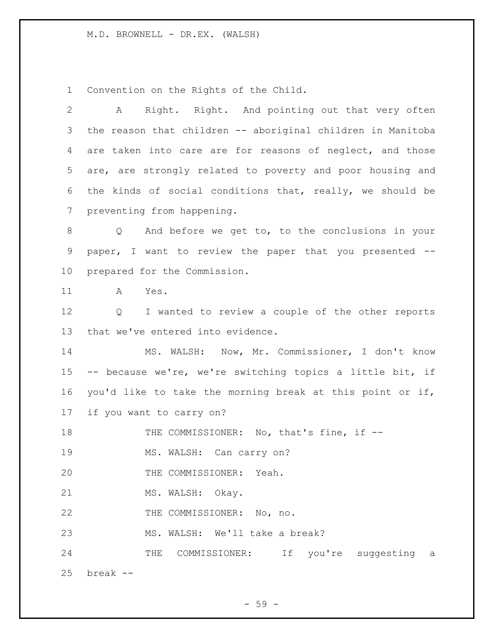Convention on the Rights of the Child.

 A Right. Right. And pointing out that very often the reason that children -- aboriginal children in Manitoba 4 are taken into care are for reasons of neglect, and those are, are strongly related to poverty and poor housing and the kinds of social conditions that, really, we should be preventing from happening. Q And before we get to, to the conclusions in your paper, I want to review the paper that you presented -- prepared for the Commission. A Yes. Q I wanted to review a couple of the other reports that we've entered into evidence. MS. WALSH: Now, Mr. Commissioner, I don't know -- because we're, we're switching topics a little bit, if you'd like to take the morning break at this point or if, if you want to carry on? 18 THE COMMISSIONER: No, that's fine, if --19 MS. WALSH: Can carry on? THE COMMISSIONER: Yeah. 21 MS. WALSH: Okay. 22 THE COMMISSIONER: No, no. MS. WALSH: We'll take a break? 24 THE COMMISSIONER: If you're suggesting a break --

- 59 -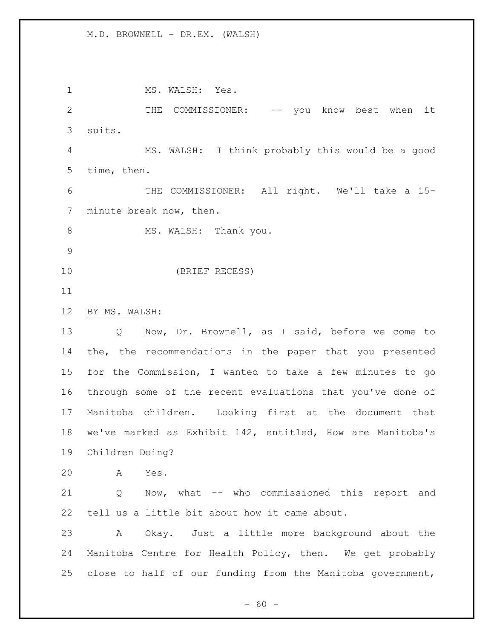1 MS. WALSH: Yes. 2 THE COMMISSIONER: -- you know best when it suits. MS. WALSH: I think probably this would be a good time, then. THE COMMISSIONER: All right. We'll take a 15- minute break now, then. 8 MS. WALSH: Thank you. (BRIEF RECESS) BY MS. WALSH: Q Now, Dr. Brownell, as I said, before we come to the, the recommendations in the paper that you presented for the Commission, I wanted to take a few minutes to go through some of the recent evaluations that you've done of Manitoba children. Looking first at the document that we've marked as Exhibit 142, entitled, How are Manitoba's Children Doing? A Yes. Q Now, what -- who commissioned this report and tell us a little bit about how it came about. A Okay. Just a little more background about the Manitoba Centre for Health Policy, then. We get probably close to half of our funding from the Manitoba government,

 $- 60 -$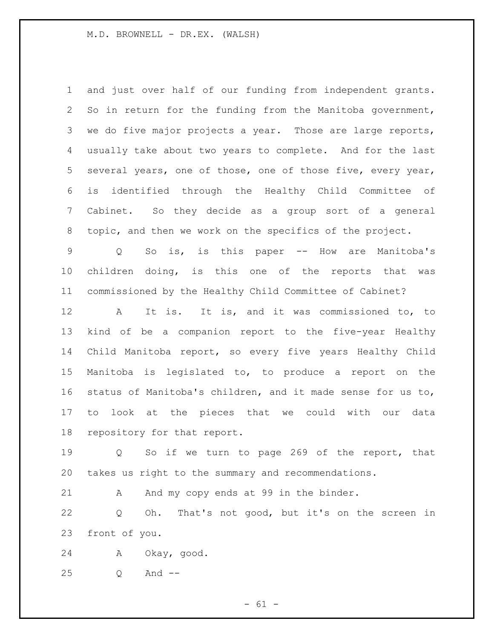and just over half of our funding from independent grants. So in return for the funding from the Manitoba government, we do five major projects a year. Those are large reports, usually take about two years to complete. And for the last several years, one of those, one of those five, every year, is identified through the Healthy Child Committee of Cabinet. So they decide as a group sort of a general topic, and then we work on the specifics of the project.

 Q So is, is this paper -- How are Manitoba's children doing, is this one of the reports that was commissioned by the Healthy Child Committee of Cabinet?

 A It is. It is, and it was commissioned to, to kind of be a companion report to the five-year Healthy Child Manitoba report, so every five years Healthy Child Manitoba is legislated to, to produce a report on the status of Manitoba's children, and it made sense for us to, to look at the pieces that we could with our data repository for that report.

 Q So if we turn to page 269 of the report, that takes us right to the summary and recommendations.

21 A And my copy ends at 99 in the binder.

 Q Oh. That's not good, but it's on the screen in front of you.

A Okay, good.

Q And --

 $- 61 -$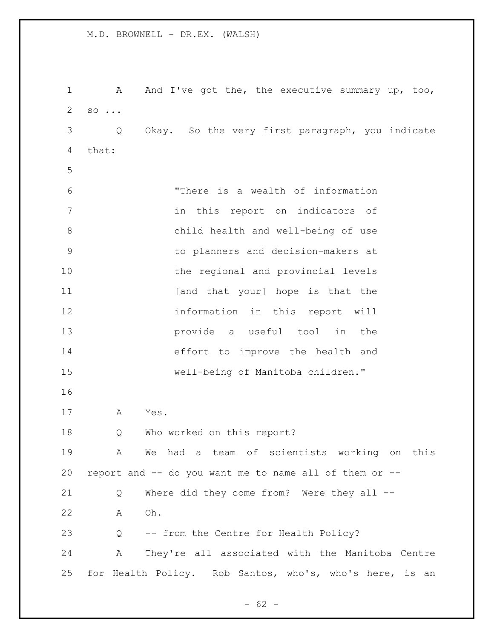1 A And I've got the, the executive summary up, too, so ... Q Okay. So the very first paragraph, you indicate that: "There is a wealth of information in this report on indicators of child health and well-being of use to planners and decision-makers at 10 the regional and provincial levels **11** [and that your] hope is that the information in this report will provide a useful tool in the effort to improve the health and well-being of Manitoba children." A Yes. Q Who worked on this report? A We had a team of scientists working on this report and -- do you want me to name all of them or -- Q Where did they come from? Were they all -- A Oh. Q -- from the Centre for Health Policy? A They're all associated with the Manitoba Centre for Health Policy. Rob Santos, who's, who's here, is an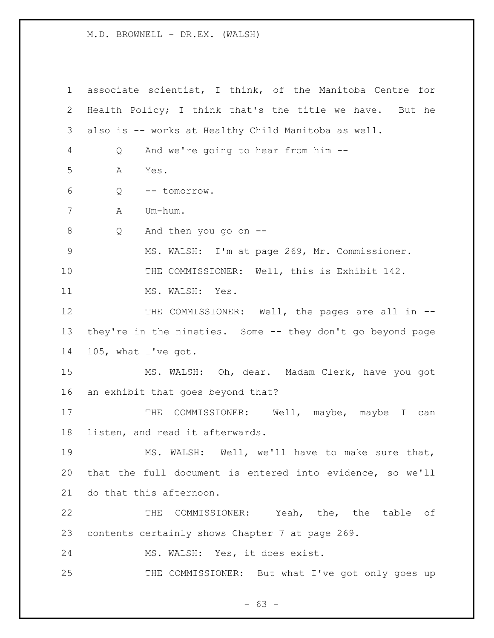associate scientist, I think, of the Manitoba Centre for Health Policy; I think that's the title we have. But he also is -- works at Healthy Child Manitoba as well. Q And we're going to hear from him -- A Yes. Q -- tomorrow. A Um-hum. Q And then you go on -- MS. WALSH: I'm at page 269, Mr. Commissioner. THE COMMISSIONER: Well, this is Exhibit 142. 11 MS. WALSH: Yes. 12 THE COMMISSIONER: Well, the pages are all in -- they're in the nineties. Some -- they don't go beyond page 105, what I've got. MS. WALSH: Oh, dear. Madam Clerk, have you got an exhibit that goes beyond that? 17 THE COMMISSIONER: Well, maybe, maybe I can listen, and read it afterwards. MS. WALSH: Well, we'll have to make sure that, that the full document is entered into evidence, so we'll do that this afternoon. THE COMMISSIONER: Yeah, the, the table of contents certainly shows Chapter 7 at page 269. MS. WALSH: Yes, it does exist. 25 THE COMMISSIONER: But what I've got only goes up

- 63 -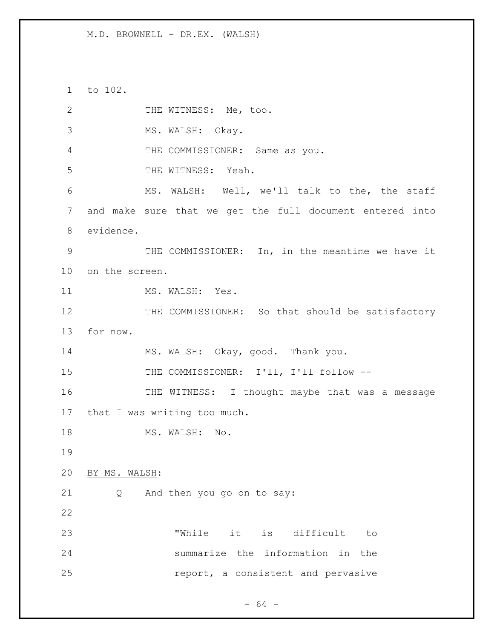to 102.

| 2           | THE WITNESS: Me, too.                                    |
|-------------|----------------------------------------------------------|
| 3           | MS. WALSH: Okay.                                         |
| 4           | THE COMMISSIONER: Same as you.                           |
| 5           | THE WITNESS: Yeah.                                       |
| 6           | MS. WALSH: Well, we'll talk to the, the staff            |
| 7           | and make sure that we get the full document entered into |
| 8           | evidence.                                                |
| $\mathsf 9$ | THE COMMISSIONER: In, in the meantime we have it         |
| 10          | on the screen.                                           |
| 11          | MS. WALSH: Yes.                                          |
| 12          | THE COMMISSIONER: So that should be satisfactory         |
| 13          | for now.                                                 |
| 14          | MS. WALSH: Okay, good. Thank you.                        |
| 15          | THE COMMISSIONER: I'll, I'll follow --                   |
| 16          | THE WITNESS: I thought maybe that was a message          |
| 17          | that I was writing too much.                             |
| 18          | MS. WALSH: No.                                           |
| 19          |                                                          |
| 20          | BY MS. WALSH:                                            |
| 21          | And then you go on to say:<br>Q                          |
| 22          |                                                          |
| 23          | "While it is difficult<br>to                             |
| 24          | summarize the information in the                         |
| 25          | report, a consistent and pervasive                       |

- 64 -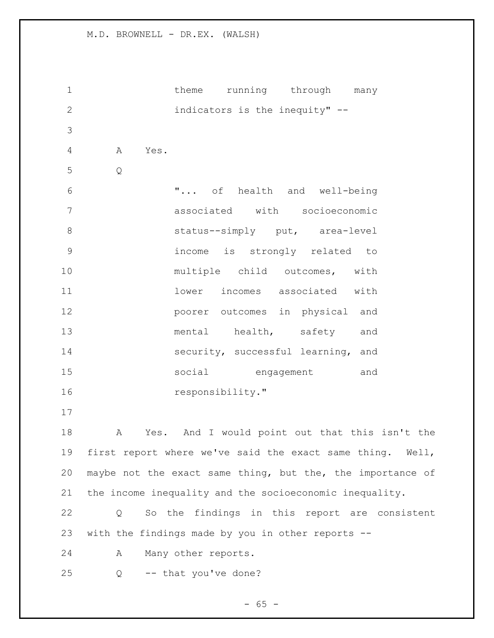1 theme running through many indicators is the inequity" -- A Yes. Q "... of health and well-being associated with socioeconomic 8 status--simply put, area-level income is strongly related to 10 multiple child outcomes, with lower incomes associated with poorer outcomes in physical and 13 mental health, safety and 14 security, successful learning, and social engagement and 16 responsibility." A Yes. And I would point out that this isn't the first report where we've said the exact same thing. Well, maybe not the exact same thing, but the, the importance of the income inequality and the socioeconomic inequality. Q So the findings in this report are consistent with the findings made by you in other reports -- A Many other reports. Q -- that you've done?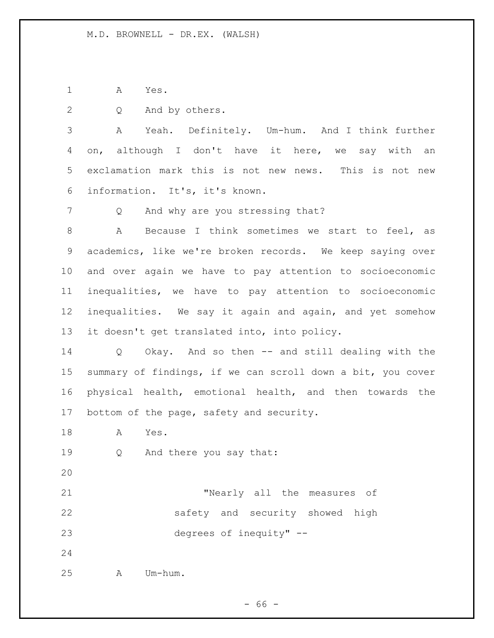A Yes.

Q And by others.

 A Yeah. Definitely. Um-hum. And I think further on, although I don't have it here, we say with an exclamation mark this is not new news. This is not new information. It's, it's known.

7 Q And why are you stressing that?

 A Because I think sometimes we start to feel, as academics, like we're broken records. We keep saying over and over again we have to pay attention to socioeconomic inequalities, we have to pay attention to socioeconomic inequalities. We say it again and again, and yet somehow it doesn't get translated into, into policy.

 Q Okay. And so then -- and still dealing with the summary of findings, if we can scroll down a bit, you cover physical health, emotional health, and then towards the 17 bottom of the page, safety and security.

A Yes.

Q And there you say that:

 "Nearly all the measures of safety and security showed high degrees of inequity" --

A Um-hum.

 $- 66 -$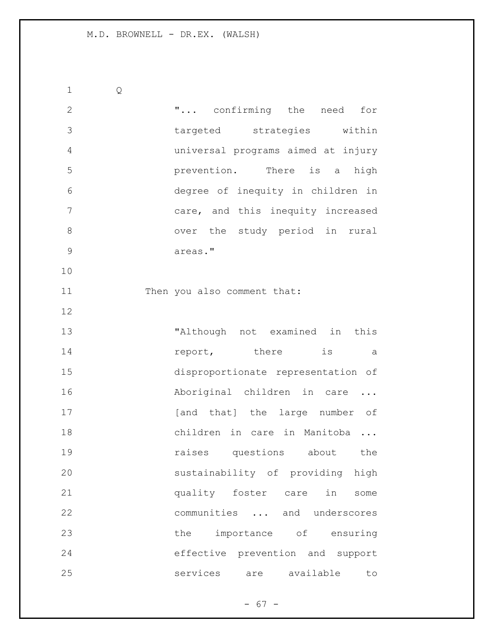Q "... confirming the need for targeted strategies within universal programs aimed at injury prevention. There is a high degree of inequity in children in care, and this inequity increased 8 over the study period in rural areas." 11 Then you also comment that: "Although not examined in this **report**, there is a disproportionate representation of 16 Aboriginal children in care ... 17 [and that] the large number of children in care in Manitoba ... **19 raises** questions about the sustainability of providing high quality foster care in some communities ... and underscores 23 the importance of ensuring effective prevention and support services are available to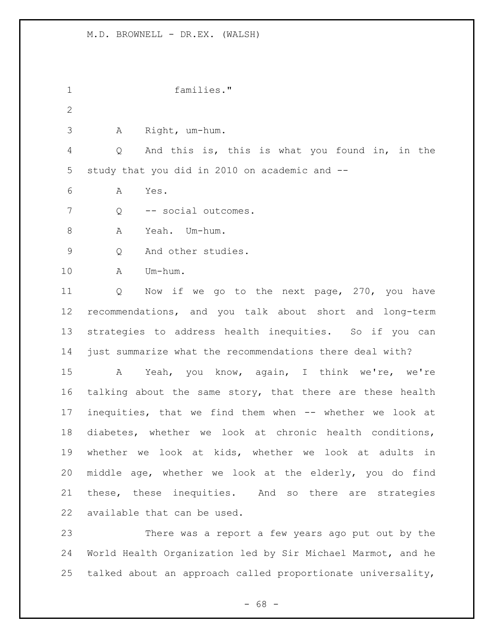families." A Right, um-hum. Q And this is, this is what you found in, in the study that you did in 2010 on academic and -- A Yes. Q -- social outcomes. A Yeah. Um-hum. Q And other studies. A Um-hum. Q Now if we go to the next page, 270, you have recommendations, and you talk about short and long-term strategies to address health inequities. So if you can just summarize what the recommendations there deal with? A Yeah, you know, again, I think we're, we're 16 talking about the same story, that there are these health inequities, that we find them when -- whether we look at diabetes, whether we look at chronic health conditions, whether we look at kids, whether we look at adults in middle age, whether we look at the elderly, you do find these, these inequities. And so there are strategies available that can be used. There was a report a few years ago put out by the World Health Organization led by Sir Michael Marmot, and he talked about an approach called proportionate universality,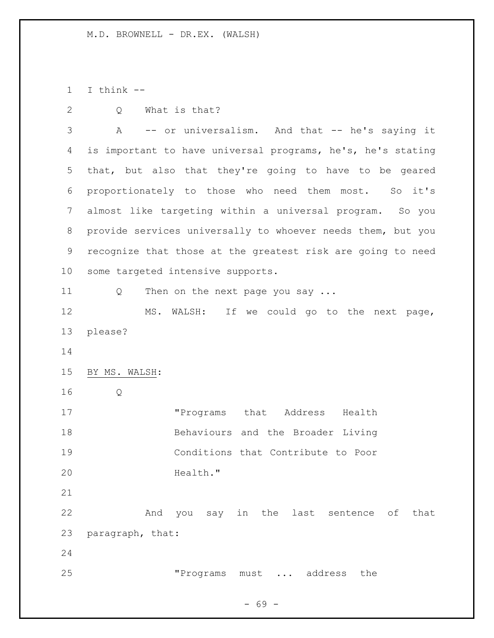I think --

Q What is that?

 A -- or universalism. And that -- he's saying it is important to have universal programs, he's, he's stating that, but also that they're going to have to be geared proportionately to those who need them most. So it's almost like targeting within a universal program. So you provide services universally to whoever needs them, but you recognize that those at the greatest risk are going to need some targeted intensive supports. 11 Q Then on the next page you say ... MS. WALSH: If we could go to the next page, please? BY MS. WALSH: Q "Programs that Address Health Behaviours and the Broader Living Conditions that Contribute to Poor 20 Health." And you say in the last sentence of that paragraph, that: "Programs must ... address the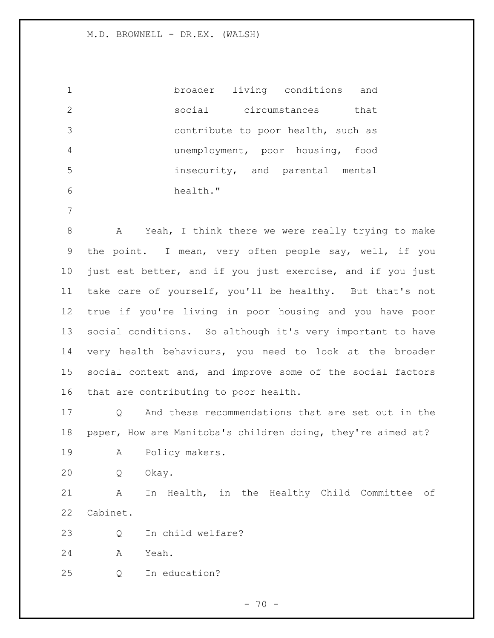broader living conditions and social circumstances that contribute to poor health, such as unemployment, poor housing, food insecurity, and parental mental health."

 A Yeah, I think there we were really trying to make the point. I mean, very often people say, well, if you just eat better, and if you just exercise, and if you just take care of yourself, you'll be healthy. But that's not true if you're living in poor housing and you have poor social conditions. So although it's very important to have very health behaviours, you need to look at the broader social context and, and improve some of the social factors that are contributing to poor health.

 Q And these recommendations that are set out in the paper, How are Manitoba's children doing, they're aimed at?

A Policy makers.

Q Okay.

 A In Health, in the Healthy Child Committee of Cabinet.

Q In child welfare?

A Yeah.

Q In education?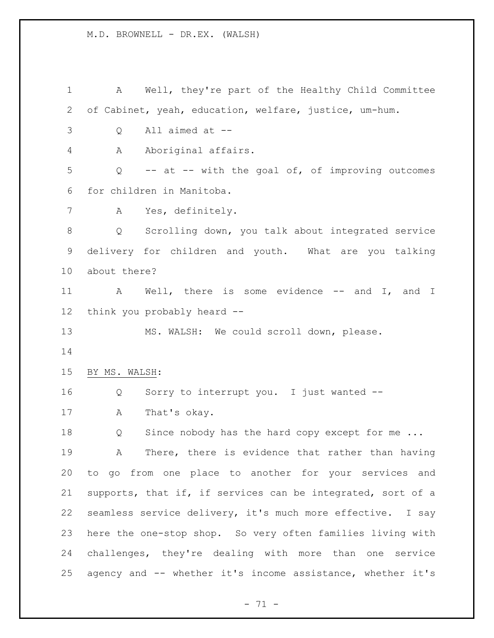A Well, they're part of the Healthy Child Committee of Cabinet, yeah, education, welfare, justice, um-hum. Q All aimed at -- A Aboriginal affairs. Q -- at -- with the goal of, of improving outcomes for children in Manitoba. A Yes, definitely. Q Scrolling down, you talk about integrated service delivery for children and youth. What are you talking about there? A Well, there is some evidence -- and I, and I think you probably heard -- MS. WALSH: We could scroll down, please. BY MS. WALSH: Q Sorry to interrupt you. I just wanted -- A That's okay. 18 Q Since nobody has the hard copy except for me ... A There, there is evidence that rather than having to go from one place to another for your services and supports, that if, if services can be integrated, sort of a seamless service delivery, it's much more effective. I say here the one-stop shop. So very often families living with challenges, they're dealing with more than one service agency and -- whether it's income assistance, whether it's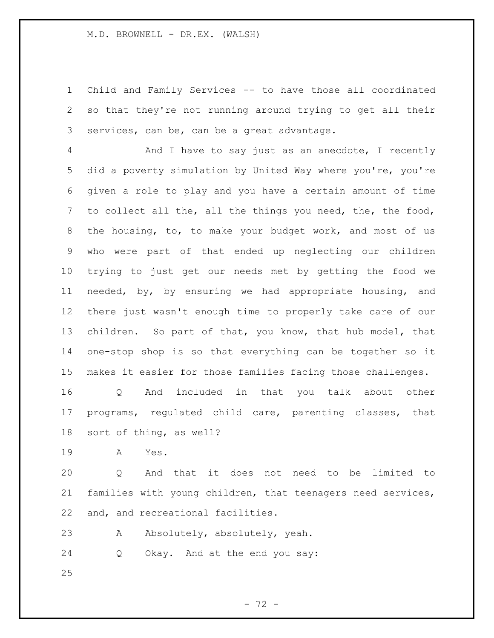Child and Family Services -- to have those all coordinated so that they're not running around trying to get all their services, can be, can be a great advantage.

 And I have to say just as an anecdote, I recently did a poverty simulation by United Way where you're, you're given a role to play and you have a certain amount of time to collect all the, all the things you need, the, the food, the housing, to, to make your budget work, and most of us who were part of that ended up neglecting our children trying to just get our needs met by getting the food we needed, by, by ensuring we had appropriate housing, and there just wasn't enough time to properly take care of our children. So part of that, you know, that hub model, that one-stop shop is so that everything can be together so it makes it easier for those families facing those challenges.

 Q And included in that you talk about other programs, regulated child care, parenting classes, that sort of thing, as well?

A Yes.

 Q And that it does not need to be limited to families with young children, that teenagers need services, and, and recreational facilities.

A Absolutely, absolutely, yeah.

Q Okay. And at the end you say: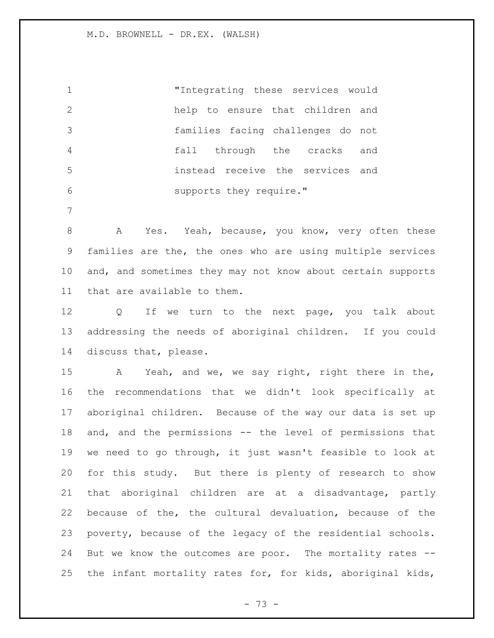"Integrating these services would help to ensure that children and families facing challenges do not fall through the cracks and instead receive the services and supports they require."

8 A Yes. Yeah, because, you know, very often these families are the, the ones who are using multiple services and, and sometimes they may not know about certain supports that are available to them.

12 Q If we turn to the next page, you talk about addressing the needs of aboriginal children. If you could discuss that, please.

 A Yeah, and we, we say right, right there in the, the recommendations that we didn't look specifically at aboriginal children. Because of the way our data is set up and, and the permissions -- the level of permissions that we need to go through, it just wasn't feasible to look at for this study. But there is plenty of research to show that aboriginal children are at a disadvantage, partly because of the, the cultural devaluation, because of the poverty, because of the legacy of the residential schools. But we know the outcomes are poor. The mortality rates -- the infant mortality rates for, for kids, aboriginal kids,

- 73 -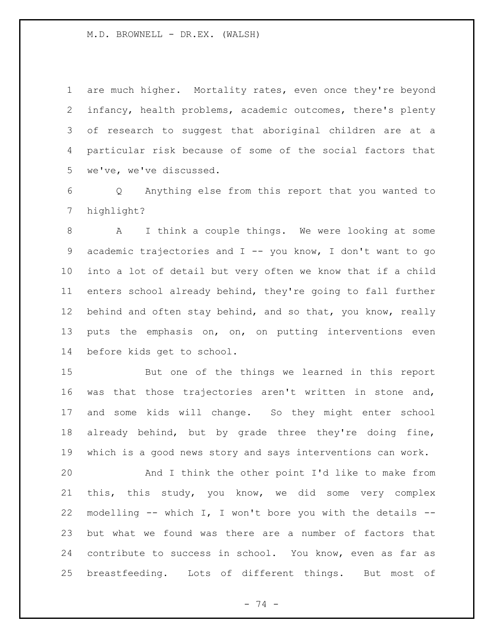are much higher. Mortality rates, even once they're beyond infancy, health problems, academic outcomes, there's plenty of research to suggest that aboriginal children are at a particular risk because of some of the social factors that we've, we've discussed.

 Q Anything else from this report that you wanted to highlight?

 A I think a couple things. We were looking at some academic trajectories and I -- you know, I don't want to go into a lot of detail but very often we know that if a child enters school already behind, they're going to fall further 12 behind and often stay behind, and so that, you know, really puts the emphasis on, on, on putting interventions even before kids get to school.

 But one of the things we learned in this report was that those trajectories aren't written in stone and, and some kids will change. So they might enter school already behind, but by grade three they're doing fine, which is a good news story and says interventions can work.

 And I think the other point I'd like to make from this, this study, you know, we did some very complex modelling -- which I, I won't bore you with the details -- but what we found was there are a number of factors that contribute to success in school. You know, even as far as breastfeeding. Lots of different things. But most of

- 74 -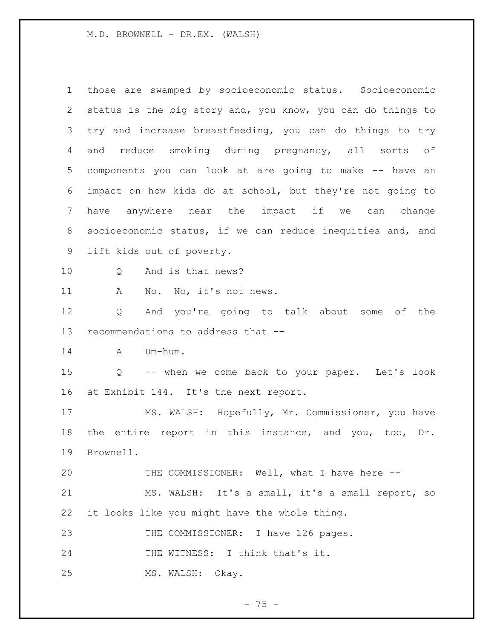those are swamped by socioeconomic status. Socioeconomic status is the big story and, you know, you can do things to try and increase breastfeeding, you can do things to try and reduce smoking during pregnancy, all sorts of components you can look at are going to make -- have an impact on how kids do at school, but they're not going to have anywhere near the impact if we can change socioeconomic status, if we can reduce inequities and, and lift kids out of poverty. 10 0 And is that news? 11 A No. No, it's not news. Q And you're going to talk about some of the recommendations to address that -- A Um-hum. Q -- when we come back to your paper. Let's look at Exhibit 144. It's the next report. MS. WALSH: Hopefully, Mr. Commissioner, you have the entire report in this instance, and you, too, Dr. Brownell. 20 THE COMMISSIONER: Well, what I have here -- MS. WALSH: It's a small, it's a small report, so it looks like you might have the whole thing. 23 THE COMMISSIONER: I have 126 pages. 24 THE WITNESS: I think that's it. MS. WALSH: Okay.

 $- 75 -$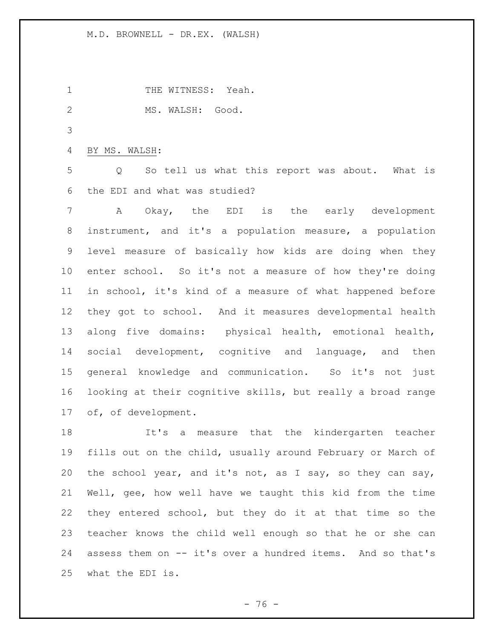1 THE WITNESS: Yeah.

MS. WALSH: Good.

BY MS. WALSH:

 Q So tell us what this report was about. What is the EDI and what was studied?

 A Okay, the EDI is the early development instrument, and it's a population measure, a population level measure of basically how kids are doing when they enter school. So it's not a measure of how they're doing in school, it's kind of a measure of what happened before they got to school. And it measures developmental health along five domains: physical health, emotional health, social development, cognitive and language, and then general knowledge and communication. So it's not just looking at their cognitive skills, but really a broad range of, of development.

 It's a measure that the kindergarten teacher fills out on the child, usually around February or March of the school year, and it's not, as I say, so they can say, Well, gee, how well have we taught this kid from the time they entered school, but they do it at that time so the teacher knows the child well enough so that he or she can assess them on -- it's over a hundred items. And so that's what the EDI is.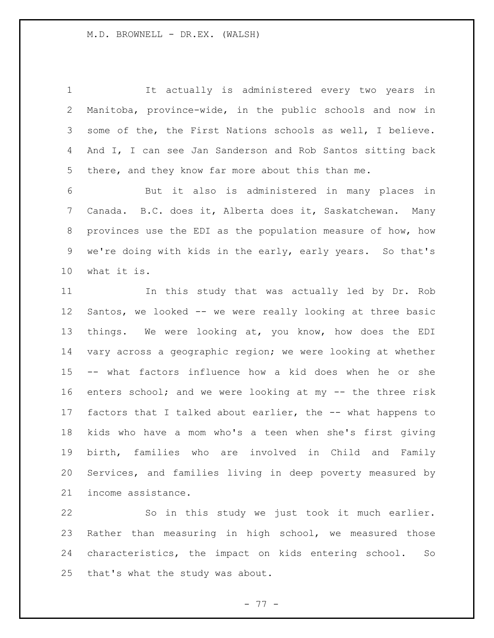It actually is administered every two years in Manitoba, province-wide, in the public schools and now in some of the, the First Nations schools as well, I believe. And I, I can see Jan Sanderson and Rob Santos sitting back there, and they know far more about this than me. But it also is administered in many places in Canada. B.C. does it, Alberta does it, Saskatchewan. Many provinces use the EDI as the population measure of how, how we're doing with kids in the early, early years. So that's what it is. In this study that was actually led by Dr. Rob Santos, we looked -- we were really looking at three basic things. We were looking at, you know, how does the EDI vary across a geographic region; we were looking at whether -- what factors influence how a kid does when he or she 16 enters school; and we were looking at my -- the three risk factors that I talked about earlier, the -- what happens to kids who have a mom who's a teen when she's first giving birth, families who are involved in Child and Family Services, and families living in deep poverty measured by income assistance.

 So in this study we just took it much earlier. Rather than measuring in high school, we measured those characteristics, the impact on kids entering school. So that's what the study was about.

- 77 -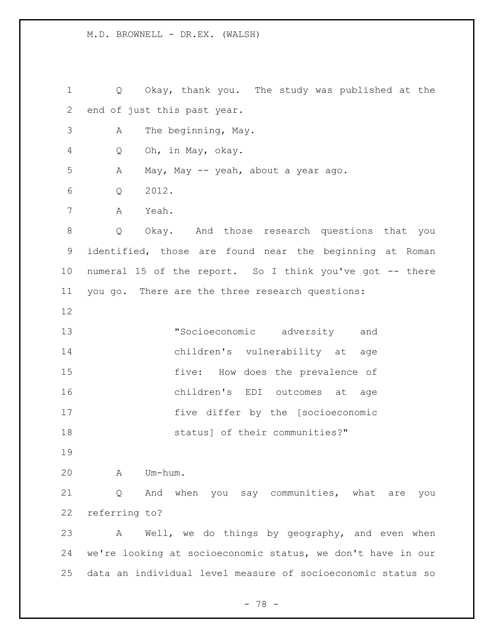Q Okay, thank you. The study was published at the end of just this past year. A The beginning, May. Q Oh, in May, okay. A May, May -- yeah, about a year ago. Q 2012. A Yeah. Q Okay. And those research questions that you identified, those are found near the beginning at Roman numeral 15 of the report. So I think you've got -- there you go. There are the three research questions: "Socioeconomic adversity and children's vulnerability at age five: How does the prevalence of children's EDI outcomes at age five differ by the [socioeconomic **Status** Status of their communities?" A Um-hum. Q And when you say communities, what are you referring to? A Well, we do things by geography, and even when we're looking at socioeconomic status, we don't have in our data an individual level measure of socioeconomic status so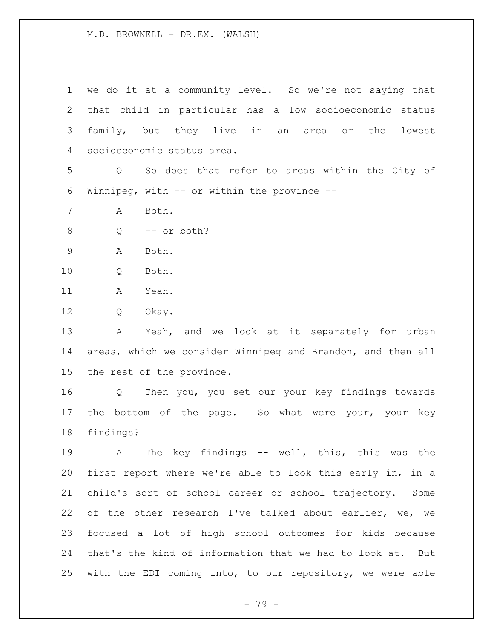we do it at a community level. So we're not saying that that child in particular has a low socioeconomic status family, but they live in an area or the lowest socioeconomic status area. Q So does that refer to areas within the City of Winnipeg, with -- or within the province -- A Both. Q -- or both? A Both. Q Both. A Yeah. Q Okay. A Yeah, and we look at it separately for urban areas, which we consider Winnipeg and Brandon, and then all the rest of the province. Q Then you, you set our your key findings towards 17 the bottom of the page. So what were your, your key findings? A The key findings -- well, this, this was the first report where we're able to look this early in, in a child's sort of school career or school trajectory. Some of the other research I've talked about earlier, we, we focused a lot of high school outcomes for kids because that's the kind of information that we had to look at. But with the EDI coming into, to our repository, we were able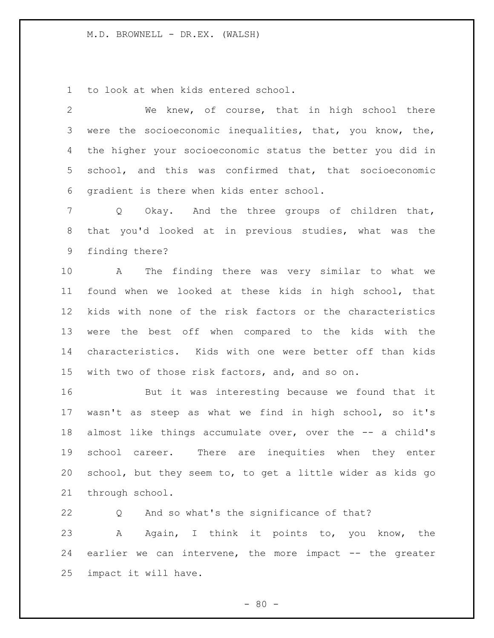to look at when kids entered school.

 We knew, of course, that in high school there were the socioeconomic inequalities, that, you know, the, the higher your socioeconomic status the better you did in school, and this was confirmed that, that socioeconomic gradient is there when kids enter school.

 Q Okay. And the three groups of children that, that you'd looked at in previous studies, what was the finding there?

 A The finding there was very similar to what we found when we looked at these kids in high school, that kids with none of the risk factors or the characteristics were the best off when compared to the kids with the characteristics. Kids with one were better off than kids with two of those risk factors, and, and so on.

 But it was interesting because we found that it wasn't as steep as what we find in high school, so it's almost like things accumulate over, over the -- a child's school career. There are inequities when they enter school, but they seem to, to get a little wider as kids go through school.

 Q And so what's the significance of that? A Again, I think it points to, you know, the earlier we can intervene, the more impact -- the greater impact it will have.

 $- 80 -$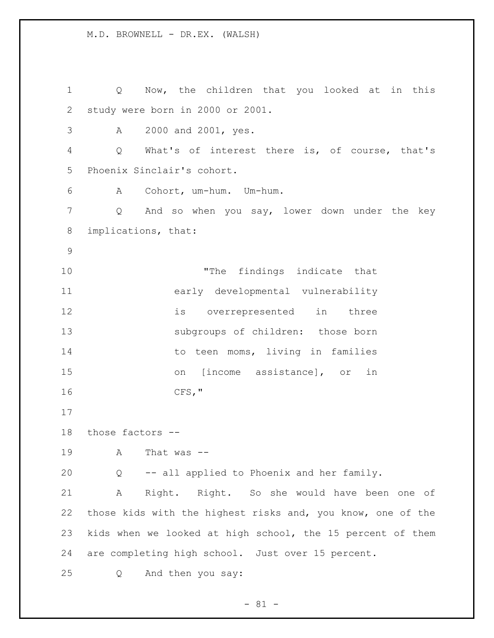Q Now, the children that you looked at in this study were born in 2000 or 2001. A 2000 and 2001, yes. Q What's of interest there is, of course, that's Phoenix Sinclair's cohort. A Cohort, um-hum. Um-hum. Q And so when you say, lower down under the key implications, that: "The findings indicate that early developmental vulnerability is overrepresented in three subgroups of children: those born 14 to teen moms, living in families on [income assistance], or in CFS," those factors -- A That was -- Q -- all applied to Phoenix and her family. A Right. Right. So she would have been one of those kids with the highest risks and, you know, one of the kids when we looked at high school, the 15 percent of them are completing high school. Just over 15 percent. Q And then you say: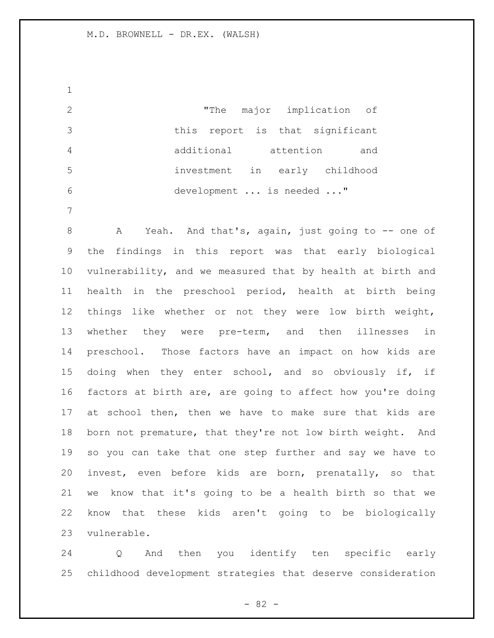"The major implication of this report is that significant additional attention and investment in early childhood development ... is needed ..."

8 A Yeah. And that's, again, just going to -- one of the findings in this report was that early biological vulnerability, and we measured that by health at birth and health in the preschool period, health at birth being things like whether or not they were low birth weight, whether they were pre-term, and then illnesses in preschool. Those factors have an impact on how kids are 15 doing when they enter school, and so obviously if, if factors at birth are, are going to affect how you're doing at school then, then we have to make sure that kids are born not premature, that they're not low birth weight. And so you can take that one step further and say we have to invest, even before kids are born, prenatally, so that we know that it's going to be a health birth so that we know that these kids aren't going to be biologically vulnerable.

 Q And then you identify ten specific early childhood development strategies that deserve consideration

- 82 -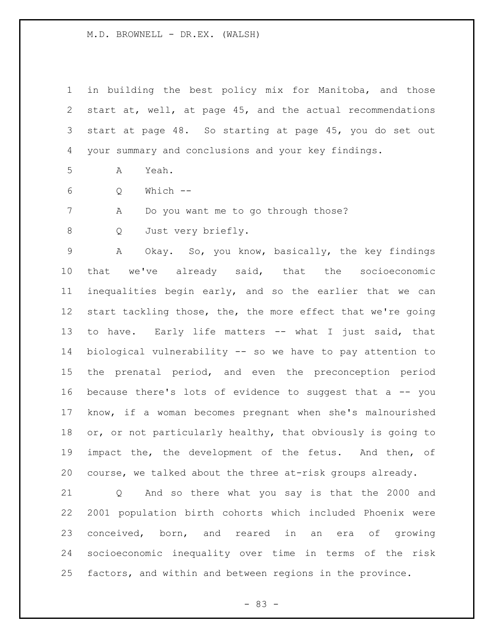in building the best policy mix for Manitoba, and those start at, well, at page 45, and the actual recommendations start at page 48. So starting at page 45, you do set out your summary and conclusions and your key findings.

A Yeah.

Q Which --

A Do you want me to go through those?

Q Just very briefly.

 A Okay. So, you know, basically, the key findings that we've already said, that the socioeconomic inequalities begin early, and so the earlier that we can 12 start tackling those, the, the more effect that we're going to have. Early life matters -- what I just said, that biological vulnerability -- so we have to pay attention to the prenatal period, and even the preconception period because there's lots of evidence to suggest that a -- you know, if a woman becomes pregnant when she's malnourished or, or not particularly healthy, that obviously is going to impact the, the development of the fetus. And then, of course, we talked about the three at-risk groups already.

 Q And so there what you say is that the 2000 and 2001 population birth cohorts which included Phoenix were conceived, born, and reared in an era of growing socioeconomic inequality over time in terms of the risk factors, and within and between regions in the province.

- 83 -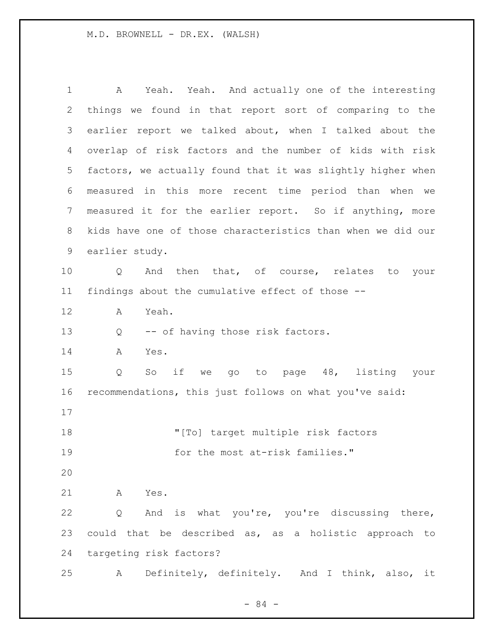A Yeah. Yeah. And actually one of the interesting things we found in that report sort of comparing to the earlier report we talked about, when I talked about the overlap of risk factors and the number of kids with risk factors, we actually found that it was slightly higher when measured in this more recent time period than when we measured it for the earlier report. So if anything, more kids have one of those characteristics than when we did our earlier study. Q And then that, of course, relates to your findings about the cumulative effect of those -- A Yeah. Q -- of having those risk factors. A Yes. Q So if we go to page 48, listing your recommendations, this just follows on what you've said: "[To] target multiple risk factors 19 for the most at-risk families." A Yes. Q And is what you're, you're discussing there, could that be described as, as a holistic approach to targeting risk factors? A Definitely, definitely. And I think, also, it

- 84 -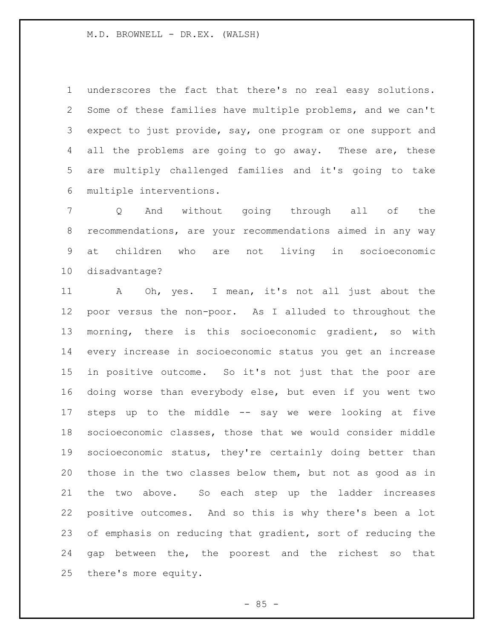underscores the fact that there's no real easy solutions. Some of these families have multiple problems, and we can't expect to just provide, say, one program or one support and 4 all the problems are going to go away. These are, these are multiply challenged families and it's going to take multiple interventions.

 Q And without going through all of the recommendations, are your recommendations aimed in any way at children who are not living in socioeconomic disadvantage?

 A Oh, yes. I mean, it's not all just about the poor versus the non-poor. As I alluded to throughout the morning, there is this socioeconomic gradient, so with every increase in socioeconomic status you get an increase in positive outcome. So it's not just that the poor are doing worse than everybody else, but even if you went two steps up to the middle -- say we were looking at five socioeconomic classes, those that we would consider middle socioeconomic status, they're certainly doing better than those in the two classes below them, but not as good as in the two above. So each step up the ladder increases positive outcomes. And so this is why there's been a lot of emphasis on reducing that gradient, sort of reducing the gap between the, the poorest and the richest so that there's more equity.

 $-85 -$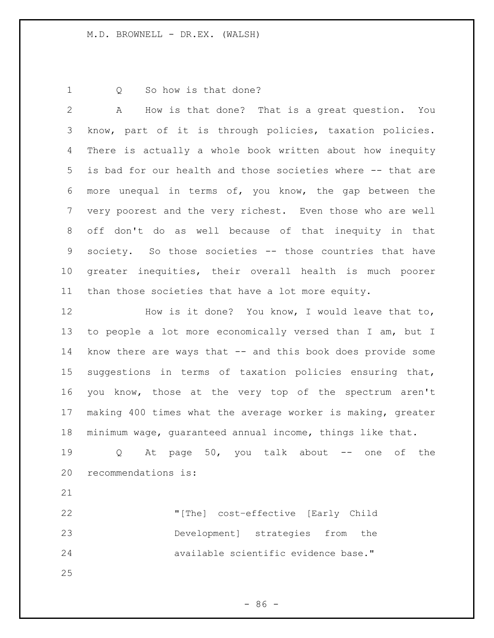1 0 So how is that done?

 A How is that done? That is a great question. You know, part of it is through policies, taxation policies. There is actually a whole book written about how inequity is bad for our health and those societies where -- that are more unequal in terms of, you know, the gap between the very poorest and the very richest. Even those who are well off don't do as well because of that inequity in that society. So those societies -- those countries that have greater inequities, their overall health is much poorer than those societies that have a lot more equity.

 How is it done? You know, I would leave that to, to people a lot more economically versed than I am, but I know there are ways that -- and this book does provide some suggestions in terms of taxation policies ensuring that, you know, those at the very top of the spectrum aren't making 400 times what the average worker is making, greater minimum wage, guaranteed annual income, things like that.

 Q At page 50, you talk about -- one of the recommendations is:

 "[The] cost–effective [Early Child Development] strategies from the available scientific evidence base."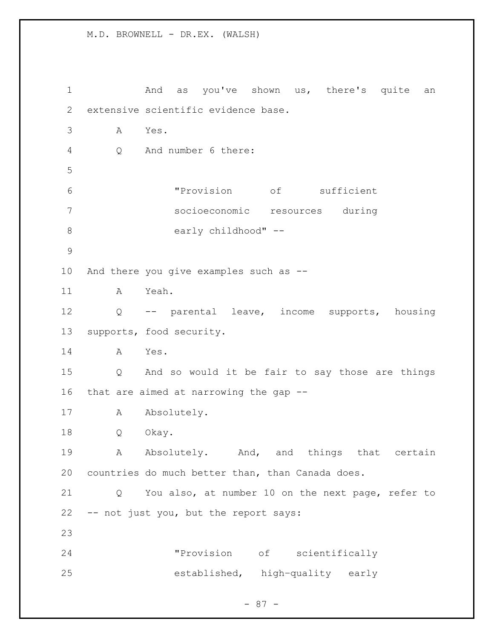1 and as you've shown us, there's quite an extensive scientific evidence base. A Yes. Q And number 6 there: "Provision of sufficient socioeconomic resources during 8 early childhood" -- And there you give examples such as -- A Yeah. Q -- parental leave, income supports, housing supports, food security. A Yes. Q And so would it be fair to say those are things that are aimed at narrowing the gap -- 17 A Absolutely. Q Okay. 19 A Absolutely. And, and things that certain countries do much better than, than Canada does. Q You also, at number 10 on the next page, refer to -- not just you, but the report says: "Provision of scientifically established, high–quality early

- 87 -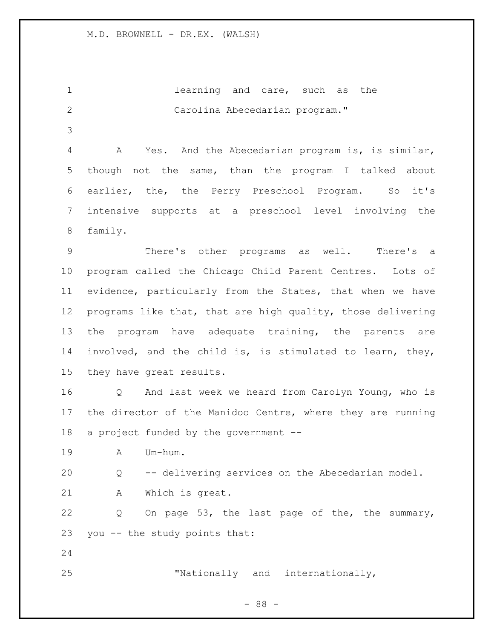**1** learning and care, such as the Carolina Abecedarian program." A Yes. And the Abecedarian program is, is similar, though not the same, than the program I talked about earlier, the, the Perry Preschool Program. So it's intensive supports at a preschool level involving the family. There's other programs as well. There's a program called the Chicago Child Parent Centres. Lots of evidence, particularly from the States, that when we have programs like that, that are high quality, those delivering the program have adequate training, the parents are involved, and the child is, is stimulated to learn, they, they have great results. Q And last week we heard from Carolyn Young, who is the director of the Manidoo Centre, where they are running a project funded by the government -- A Um-hum. Q -- delivering services on the Abecedarian model. A Which is great. Q On page 53, the last page of the, the summary, you -- the study points that: 

"Nationally and internationally,

- 88 -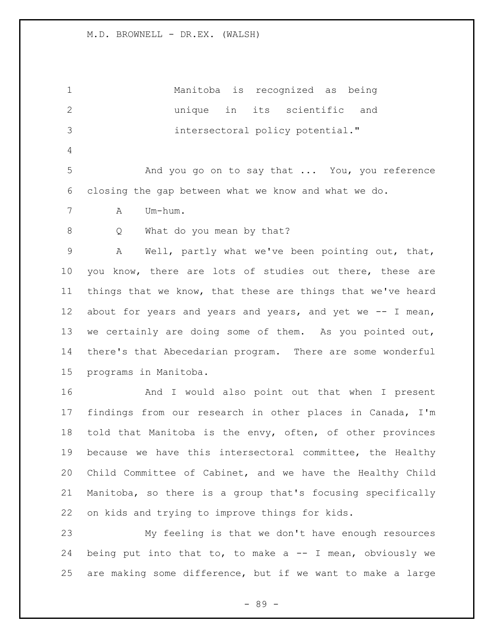Manitoba is recognized as being unique in its scientific and intersectoral policy potential." And you go on to say that ... You, you reference closing the gap between what we know and what we do. A Um-hum. 8 Q What do you mean by that? A Well, partly what we've been pointing out, that, you know, there are lots of studies out there, these are things that we know, that these are things that we've heard 12 about for years and years and years, and yet we -- I mean, we certainly are doing some of them. As you pointed out, there's that Abecedarian program. There are some wonderful programs in Manitoba. And I would also point out that when I present findings from our research in other places in Canada, I'm told that Manitoba is the envy, often, of other provinces because we have this intersectoral committee, the Healthy Child Committee of Cabinet, and we have the Healthy Child Manitoba, so there is a group that's focusing specifically on kids and trying to improve things for kids. My feeling is that we don't have enough resources being put into that to, to make a -- I mean, obviously we

- 89 -

are making some difference, but if we want to make a large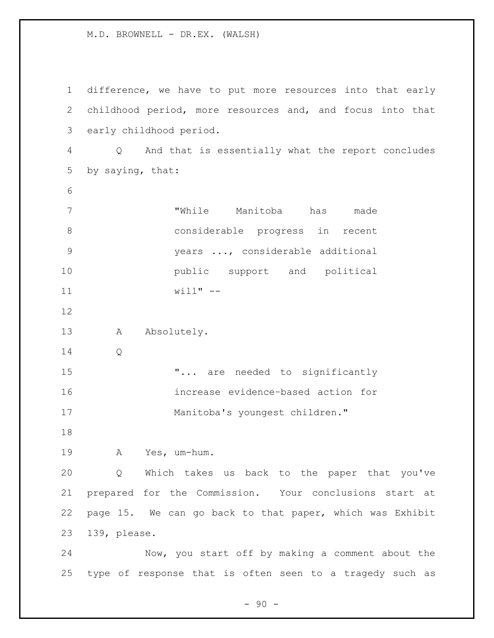difference, we have to put more resources into that early childhood period, more resources and, and focus into that early childhood period. Q And that is essentially what the report concludes by saying, that: "While Manitoba has made considerable progress in recent years ..., considerable additional **public** support and political will" -- 13 A Absolutely. Q **"...** are needed to significantly increase evidence–based action for Manitoba's youngest children." A Yes, um-hum. Q Which takes us back to the paper that you've prepared for the Commission. Your conclusions start at page 15. We can go back to that paper, which was Exhibit 139, please. Now, you start off by making a comment about the type of response that is often seen to a tragedy such as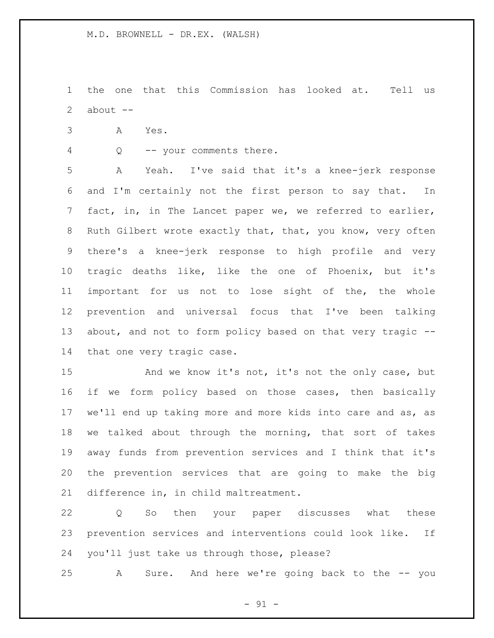the one that this Commission has looked at. Tell us 2 about  $--$ 

- A Yes.
- Q -- your comments there.

 A Yeah. I've said that it's a knee-jerk response and I'm certainly not the first person to say that. In fact, in, in The Lancet paper we, we referred to earlier, Ruth Gilbert wrote exactly that, that, you know, very often there's a knee-jerk response to high profile and very tragic deaths like, like the one of Phoenix, but it's important for us not to lose sight of the, the whole prevention and universal focus that I've been talking about, and not to form policy based on that very tragic -- that one very tragic case.

15 And we know it's not, it's not the only case, but if we form policy based on those cases, then basically we'll end up taking more and more kids into care and as, as we talked about through the morning, that sort of takes away funds from prevention services and I think that it's the prevention services that are going to make the big difference in, in child maltreatment.

 Q So then your paper discusses what these prevention services and interventions could look like. If you'll just take us through those, please?

A Sure. And here we're going back to the -- you

 $-91 -$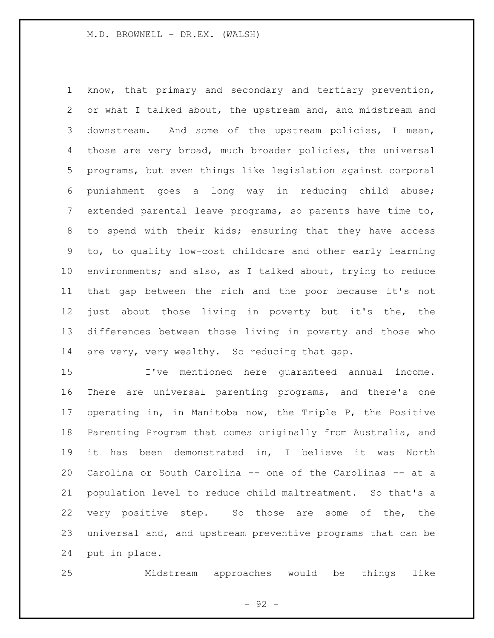know, that primary and secondary and tertiary prevention, or what I talked about, the upstream and, and midstream and downstream. And some of the upstream policies, I mean, those are very broad, much broader policies, the universal programs, but even things like legislation against corporal punishment goes a long way in reducing child abuse; extended parental leave programs, so parents have time to, to spend with their kids; ensuring that they have access to, to quality low-cost childcare and other early learning environments; and also, as I talked about, trying to reduce that gap between the rich and the poor because it's not just about those living in poverty but it's the, the differences between those living in poverty and those who 14 are very, very wealthy. So reducing that gap.

 I've mentioned here guaranteed annual income. There are universal parenting programs, and there's one operating in, in Manitoba now, the Triple P, the Positive Parenting Program that comes originally from Australia, and it has been demonstrated in, I believe it was North Carolina or South Carolina -- one of the Carolinas -- at a population level to reduce child maltreatment. So that's a very positive step. So those are some of the, the universal and, and upstream preventive programs that can be put in place.

Midstream approaches would be things like

- 92 -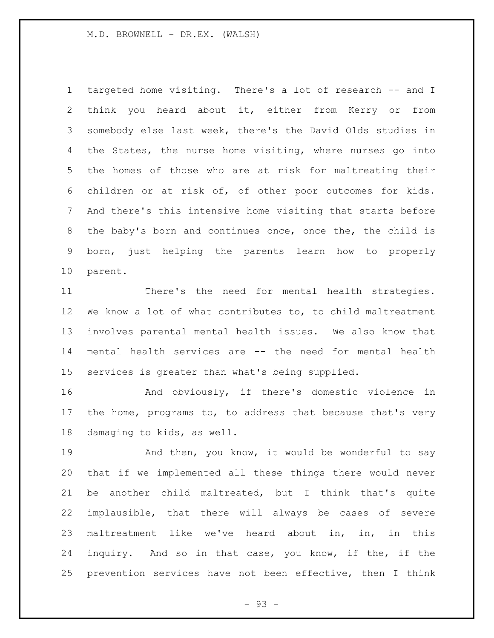targeted home visiting. There's a lot of research -- and I think you heard about it, either from Kerry or from somebody else last week, there's the David Olds studies in 4 the States, the nurse home visiting, where nurses go into the homes of those who are at risk for maltreating their children or at risk of, of other poor outcomes for kids. And there's this intensive home visiting that starts before the baby's born and continues once, once the, the child is born, just helping the parents learn how to properly parent.

 There's the need for mental health strategies. We know a lot of what contributes to, to child maltreatment involves parental mental health issues. We also know that mental health services are -- the need for mental health services is greater than what's being supplied.

 And obviously, if there's domestic violence in the home, programs to, to address that because that's very damaging to kids, as well.

19 And then, you know, it would be wonderful to say that if we implemented all these things there would never be another child maltreated, but I think that's quite implausible, that there will always be cases of severe maltreatment like we've heard about in, in, in this inquiry. And so in that case, you know, if the, if the prevention services have not been effective, then I think

- 93 -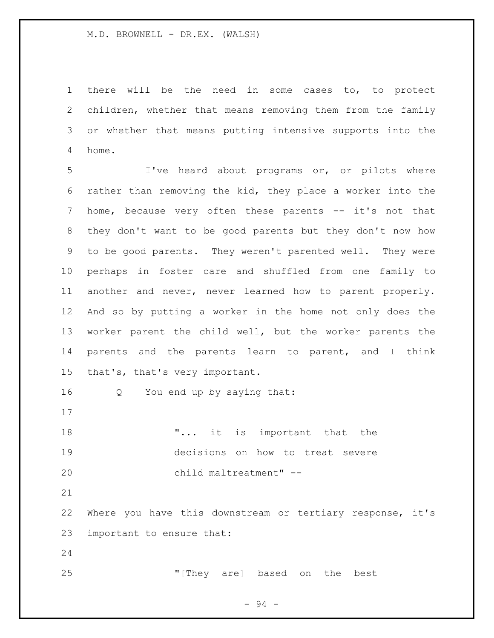there will be the need in some cases to, to protect children, whether that means removing them from the family or whether that means putting intensive supports into the home.

 I've heard about programs or, or pilots where rather than removing the kid, they place a worker into the 7 home, because very often these parents -- it's not that they don't want to be good parents but they don't now how to be good parents. They weren't parented well. They were perhaps in foster care and shuffled from one family to another and never, never learned how to parent properly. And so by putting a worker in the home not only does the worker parent the child well, but the worker parents the parents and the parents learn to parent, and I think that's, that's very important.

Q You end up by saying that:

**"...** it is important that the decisions on how to treat severe child maltreatment" --

 Where you have this downstream or tertiary response, it's important to ensure that:

"[They are] based on the best

- 94 -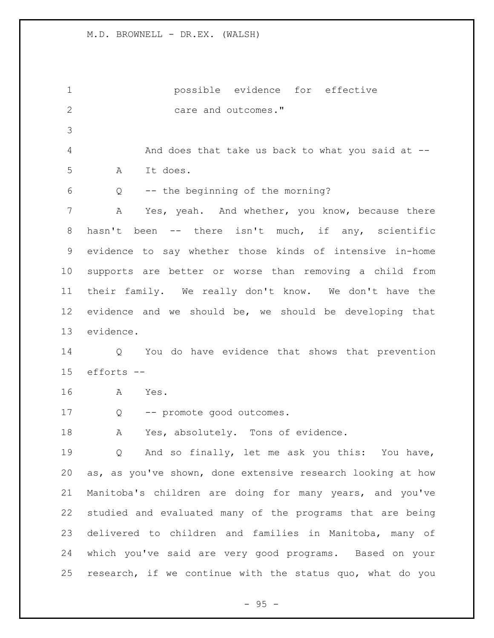possible evidence for effective 2 care and outcomes." And does that take us back to what you said at -- A It does. Q -- the beginning of the morning? A Yes, yeah. And whether, you know, because there hasn't been -- there isn't much, if any, scientific evidence to say whether those kinds of intensive in-home supports are better or worse than removing a child from their family. We really don't know. We don't have the evidence and we should be, we should be developing that evidence. Q You do have evidence that shows that prevention efforts -- A Yes. Q -- promote good outcomes. A Yes, absolutely. Tons of evidence. Q And so finally, let me ask you this: You have, as, as you've shown, done extensive research looking at how Manitoba's children are doing for many years, and you've studied and evaluated many of the programs that are being delivered to children and families in Manitoba, many of which you've said are very good programs. Based on your research, if we continue with the status quo, what do you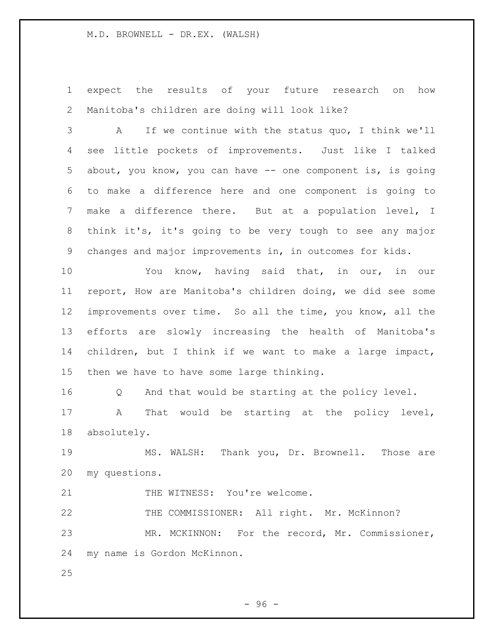expect the results of your future research on how Manitoba's children are doing will look like?

 A If we continue with the status quo, I think we'll see little pockets of improvements. Just like I talked about, you know, you can have -- one component is, is going to make a difference here and one component is going to make a difference there. But at a population level, I think it's, it's going to be very tough to see any major changes and major improvements in, in outcomes for kids.

 You know, having said that, in our, in our report, How are Manitoba's children doing, we did see some improvements over time. So all the time, you know, all the efforts are slowly increasing the health of Manitoba's children, but I think if we want to make a large impact, then we have to have some large thinking.

 Q And that would be starting at the policy level. A That would be starting at the policy level, absolutely.

 MS. WALSH: Thank you, Dr. Brownell. Those are my questions.

21 THE WITNESS: You're welcome.

 THE COMMISSIONER: All right. Mr. McKinnon? MR. MCKINNON: For the record, Mr. Commissioner, my name is Gordon McKinnon.

 $-96 -$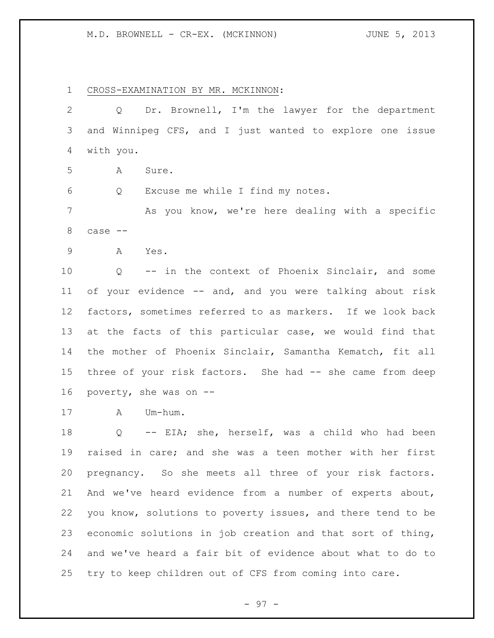M.D. BROWNELL - CR-EX. (MCKINNON) JUNE 5, 2013

CROSS-EXAMINATION BY MR. MCKINNON:

 Q Dr. Brownell, I'm the lawyer for the department and Winnipeg CFS, and I just wanted to explore one issue with you. A Sure. Q Excuse me while I find my notes. As you know, we're here dealing with a specific case -- A Yes. Q -- in the context of Phoenix Sinclair, and some of your evidence -- and, and you were talking about risk factors, sometimes referred to as markers. If we look back at the facts of this particular case, we would find that the mother of Phoenix Sinclair, Samantha Kematch, fit all 15 three of your risk factors. She had -- she came from deep poverty, she was on -- A Um-hum. Q -- EIA; she, herself, was a child who had been raised in care; and she was a teen mother with her first pregnancy. So she meets all three of your risk factors. And we've heard evidence from a number of experts about, you know, solutions to poverty issues, and there tend to be economic solutions in job creation and that sort of thing, and we've heard a fair bit of evidence about what to do to try to keep children out of CFS from coming into care.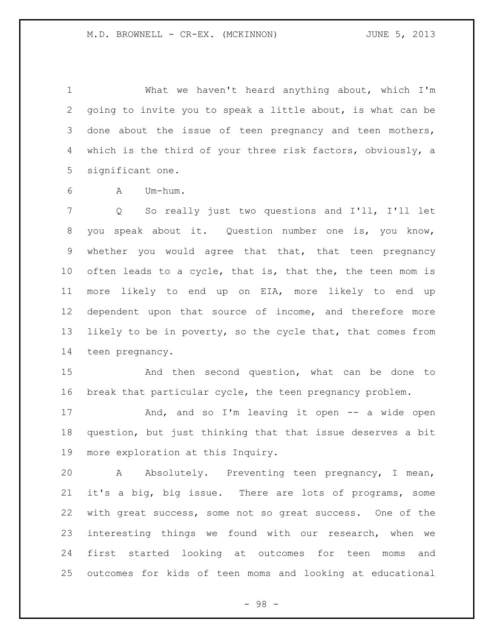What we haven't heard anything about, which I'm going to invite you to speak a little about, is what can be done about the issue of teen pregnancy and teen mothers, which is the third of your three risk factors, obviously, a significant one.

A Um-hum.

 Q So really just two questions and I'll, I'll let you speak about it. Question number one is, you know, whether you would agree that that, that teen pregnancy often leads to a cycle, that is, that the, the teen mom is more likely to end up on EIA, more likely to end up dependent upon that source of income, and therefore more likely to be in poverty, so the cycle that, that comes from teen pregnancy.

 And then second question, what can be done to break that particular cycle, the teen pregnancy problem.

 And, and so I'm leaving it open -- a wide open question, but just thinking that that issue deserves a bit more exploration at this Inquiry.

 A Absolutely. Preventing teen pregnancy, I mean, it's a big, big issue. There are lots of programs, some with great success, some not so great success. One of the interesting things we found with our research, when we first started looking at outcomes for teen moms and outcomes for kids of teen moms and looking at educational

- 98 -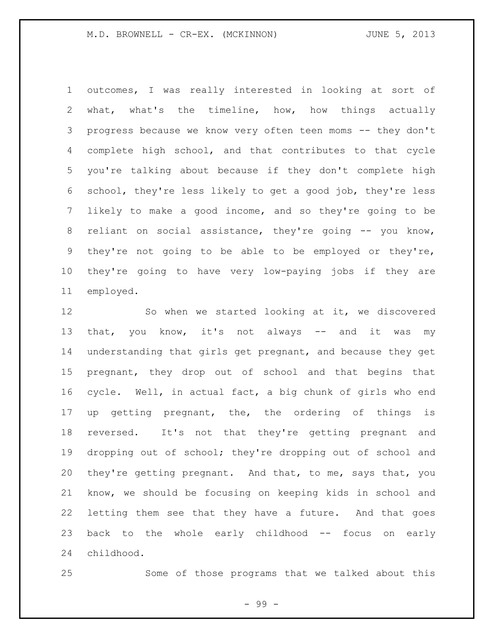M.D. BROWNELL - CR-EX. (MCKINNON) JUNE 5, 2013

 outcomes, I was really interested in looking at sort of what, what's the timeline, how, how things actually progress because we know very often teen moms -- they don't complete high school, and that contributes to that cycle you're talking about because if they don't complete high school, they're less likely to get a good job, they're less likely to make a good income, and so they're going to be reliant on social assistance, they're going -- you know, they're not going to be able to be employed or they're, they're going to have very low-paying jobs if they are employed.

12 So when we started looking at it, we discovered 13 that, you know, it's not always -- and it was my understanding that girls get pregnant, and because they get pregnant, they drop out of school and that begins that cycle. Well, in actual fact, a big chunk of girls who end up getting pregnant, the, the ordering of things is reversed. It's not that they're getting pregnant and dropping out of school; they're dropping out of school and they're getting pregnant. And that, to me, says that, you know, we should be focusing on keeping kids in school and letting them see that they have a future. And that goes 23 back to the whole early childhood -- focus on early childhood.

Some of those programs that we talked about this

- 99 -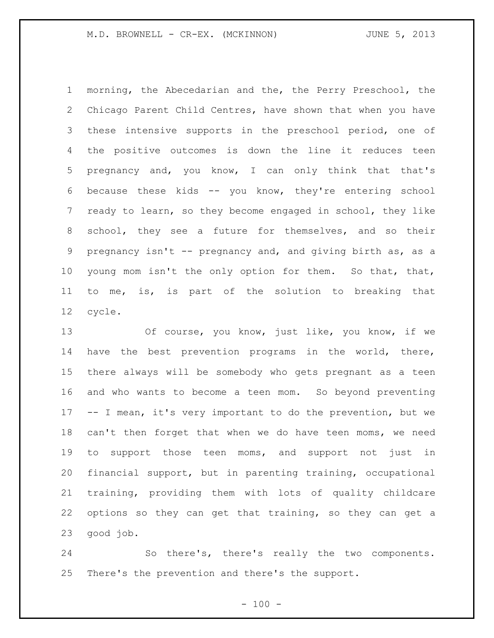morning, the Abecedarian and the, the Perry Preschool, the Chicago Parent Child Centres, have shown that when you have these intensive supports in the preschool period, one of the positive outcomes is down the line it reduces teen pregnancy and, you know, I can only think that that's because these kids -- you know, they're entering school ready to learn, so they become engaged in school, they like school, they see a future for themselves, and so their pregnancy isn't -- pregnancy and, and giving birth as, as a young mom isn't the only option for them. So that, that, to me, is, is part of the solution to breaking that cycle.

 Of course, you know, just like, you know, if we have the best prevention programs in the world, there, there always will be somebody who gets pregnant as a teen and who wants to become a teen mom. So beyond preventing -- I mean, it's very important to do the prevention, but we can't then forget that when we do have teen moms, we need to support those teen moms, and support not just in financial support, but in parenting training, occupational training, providing them with lots of quality childcare options so they can get that training, so they can get a good job.

 So there's, there's really the two components. There's the prevention and there's the support.

 $- 100 -$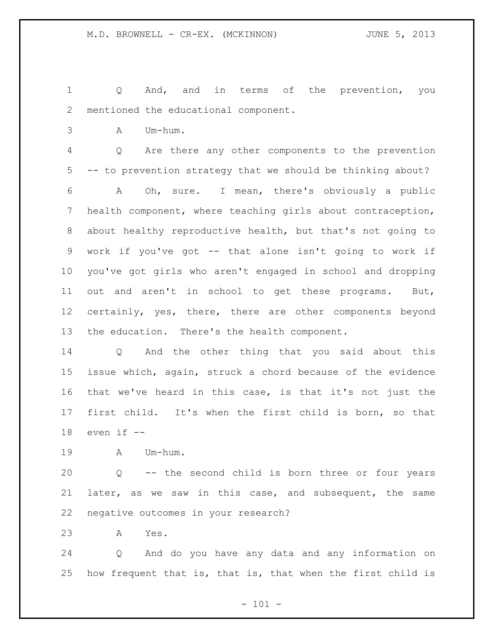Q And, and in terms of the prevention, you mentioned the educational component.

A Um-hum.

 Q Are there any other components to the prevention -- to prevention strategy that we should be thinking about?

 A Oh, sure. I mean, there's obviously a public health component, where teaching girls about contraception, about healthy reproductive health, but that's not going to work if you've got -- that alone isn't going to work if you've got girls who aren't engaged in school and dropping out and aren't in school to get these programs. But, certainly, yes, there, there are other components beyond the education. There's the health component.

 Q And the other thing that you said about this issue which, again, struck a chord because of the evidence that we've heard in this case, is that it's not just the first child. It's when the first child is born, so that even if --

A Um-hum.

 Q -- the second child is born three or four years later, as we saw in this case, and subsequent, the same negative outcomes in your research?

A Yes.

 Q And do you have any data and any information on how frequent that is, that is, that when the first child is

 $- 101 -$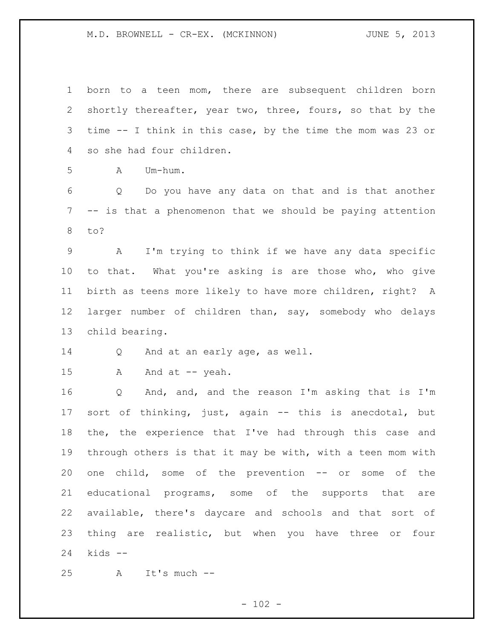born to a teen mom, there are subsequent children born shortly thereafter, year two, three, fours, so that by the time -- I think in this case, by the time the mom was 23 or so she had four children.

A Um-hum.

 Q Do you have any data on that and is that another -- is that a phenomenon that we should be paying attention to?

 A I'm trying to think if we have any data specific to that. What you're asking is are those who, who give birth as teens more likely to have more children, right? A larger number of children than, say, somebody who delays child bearing.

Q And at an early age, as well.

15 A And at -- yeah.

 Q And, and, and the reason I'm asking that is I'm sort of thinking, just, again -- this is anecdotal, but the, the experience that I've had through this case and through others is that it may be with, with a teen mom with one child, some of the prevention -- or some of the educational programs, some of the supports that are available, there's daycare and schools and that sort of 23 thing are realistic, but when you have three or four kids --

A It's much --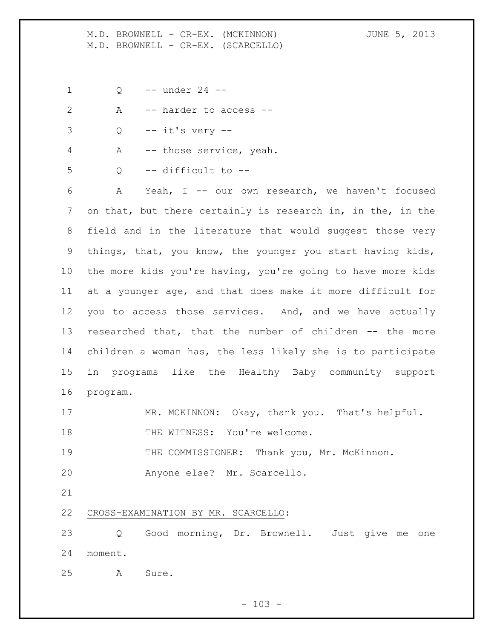M.D. BROWNELL - CR-EX. (MCKINNON) JUNE 5, 2013 M.D. BROWNELL - CR-EX. (SCARCELLO)

Q -- under 24 --

|    | $\forall$ | -- harder to access --        |
|----|-----------|-------------------------------|
|    |           | $Q \leftarrow -i t's very --$ |
|    |           | A -- those service, yeah.     |
| -5 |           | -- difficult to --            |

 A Yeah, I -- our own research, we haven't focused on that, but there certainly is research in, in the, in the field and in the literature that would suggest those very things, that, you know, the younger you start having kids, the more kids you're having, you're going to have more kids at a younger age, and that does make it more difficult for you to access those services. And, and we have actually researched that, that the number of children -- the more children a woman has, the less likely she is to participate in programs like the Healthy Baby community support program.

17 MR. MCKINNON: Okay, thank you. That's helpful.

18 THE WITNESS: You're welcome.

THE COMMISSIONER: Thank you, Mr. McKinnon.

Anyone else? Mr. Scarcello.

CROSS-EXAMINATION BY MR. SCARCELLO:

 Q Good morning, Dr. Brownell. Just give me one moment.

A Sure.

 $- 103 -$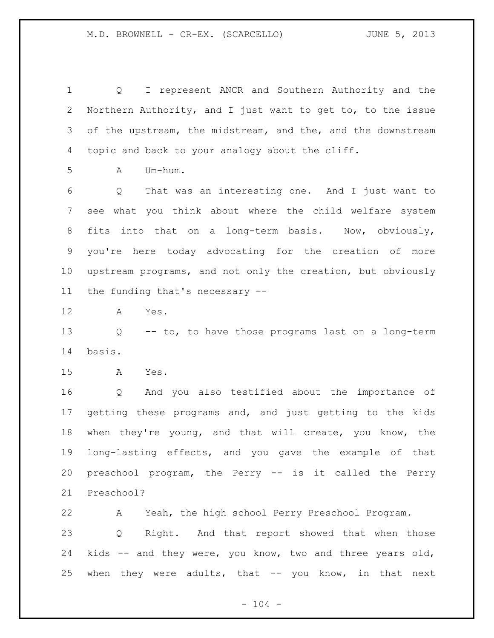Q I represent ANCR and Southern Authority and the Northern Authority, and I just want to get to, to the issue 3 of the upstream, the midstream, and the, and the downstream topic and back to your analogy about the cliff.

 $A$   $Um-h \, \text{um}$ .

 Q That was an interesting one. And I just want to see what you think about where the child welfare system fits into that on a long-term basis. Now, obviously, you're here today advocating for the creation of more upstream programs, and not only the creation, but obviously the funding that's necessary --

A Yes.

 Q -- to, to have those programs last on a long-term basis.

A Yes.

 Q And you also testified about the importance of getting these programs and, and just getting to the kids when they're young, and that will create, you know, the long-lasting effects, and you gave the example of that preschool program, the Perry -- is it called the Perry Preschool?

 A Yeah, the high school Perry Preschool Program. Q Right. And that report showed that when those kids -- and they were, you know, two and three years old, when they were adults, that -- you know, in that next

 $- 104 -$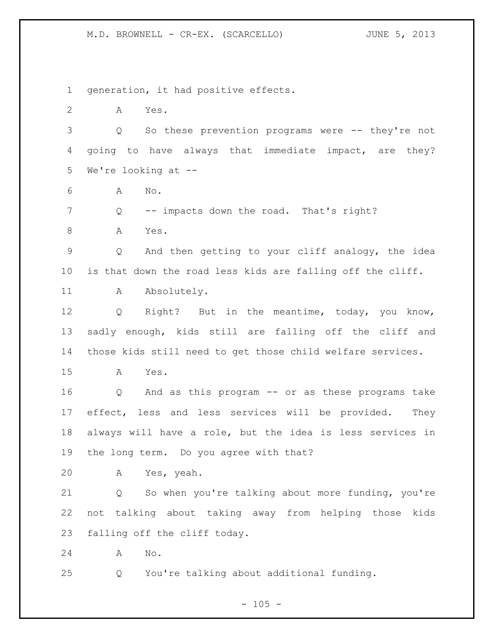M.D. BROWNELL - CR-EX. (SCARCELLO) JUNE 5, 2013

generation, it had positive effects.

 A Yes. Q So these prevention programs were -- they're not going to have always that immediate impact, are they? We're looking at -- A No. Q -- impacts down the road. That's right?

8 A Yes. Q And then getting to your cliff analogy, the idea

is that down the road less kids are falling off the cliff.

11 A Absolutely.

 Q Right? But in the meantime, today, you know, sadly enough, kids still are falling off the cliff and those kids still need to get those child welfare services.

A Yes.

 Q And as this program -- or as these programs take effect, less and less services will be provided. They always will have a role, but the idea is less services in the long term. Do you agree with that?

A Yes, yeah.

 Q So when you're talking about more funding, you're not talking about taking away from helping those kids falling off the cliff today.

A No.

Q You're talking about additional funding.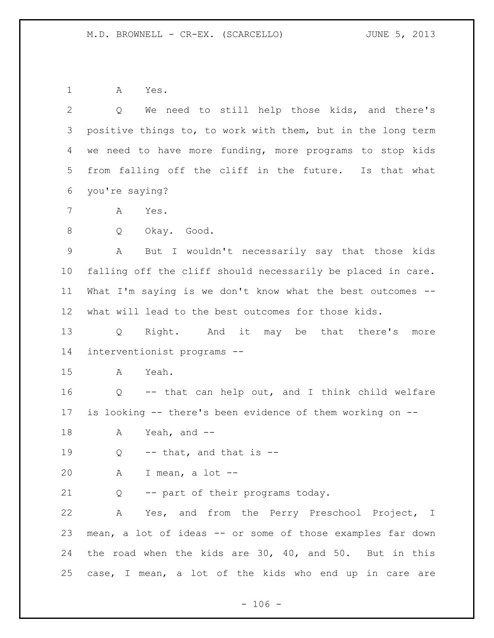A Yes.

| 2  | We need to still help those kids, and there's<br>Q          |
|----|-------------------------------------------------------------|
| 3  | positive things to, to work with them, but in the long term |
| 4  | we need to have more funding, more programs to stop kids    |
| 5  | from falling off the cliff in the future. Is that what      |
| 6  | you're saying?                                              |
| 7  | Α<br>Yes.                                                   |
| 8  | Q<br>Okay. Good.                                            |
| 9  | But I wouldn't necessarily say that those kids<br>Α         |
| 10 | falling off the cliff should necessarily be placed in care. |
| 11 | What I'm saying is we don't know what the best outcomes --  |
| 12 | what will lead to the best outcomes for those kids.         |
| 13 | Right. And it may be that there's more<br>$Q \qquad \qquad$ |
| 14 | interventionist programs --                                 |
| 15 | Yeah.<br>A                                                  |
| 16 | Q -- that can help out, and I think child welfare           |
| 17 | is looking -- there's been evidence of them working on --   |
| 18 | Yeah, and $-$<br>A                                          |
| 19 | $--$ that, and that is $--$<br>Q                            |
| 20 | A I mean, a lot --                                          |
| 21 | -- part of their programs today.<br>Q                       |
| 22 | Yes, and from the Perry Preschool Project, I<br>A           |
| 23 | mean, a lot of ideas -- or some of those examples far down  |
| 24 | the road when the kids are 30, 40, and 50. But in this      |
| 25 | case, I mean, a lot of the kids who end up in care are      |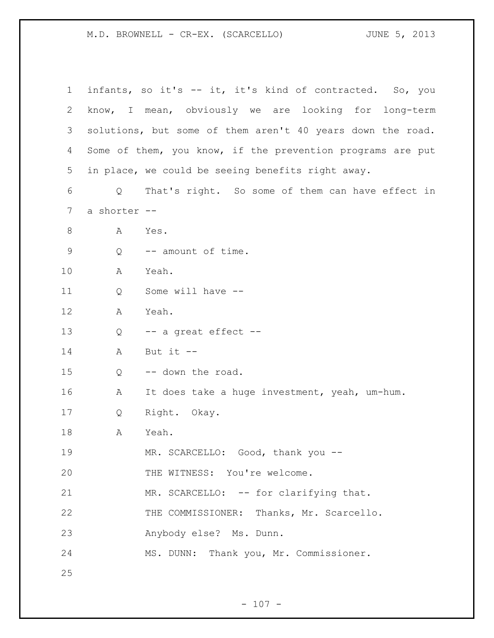M.D. BROWNELL - CR-EX. (SCARCELLO) JUNE 5, 2013

| $\mathbf 1$ |              | infants, so it's -- it, it's kind of contracted. So, you   |
|-------------|--------------|------------------------------------------------------------|
| 2           |              | know, I mean, obviously we are looking for<br>long-term    |
| 3           |              | solutions, but some of them aren't 40 years down the road. |
| 4           |              | Some of them, you know, if the prevention programs are put |
| 5           |              | in place, we could be seeing benefits right away.          |
| 6           | Q            | That's right. So some of them can have effect in           |
| 7           | a shorter -- |                                                            |
| 8           | Α            | Yes.                                                       |
| $\mathsf 9$ | Q            | -- amount of time.                                         |
| 10          | Α            | Yeah.                                                      |
| 11          | Q            | Some will have --                                          |
| 12          | А            | Yeah.                                                      |
| 13          | Q            | -- a great effect --                                       |
| 14          | Α            | But it $--$                                                |
| 15          | Q            | -- down the road.                                          |
| 16          | Α            | It does take a huge investment, yeah, um-hum.              |
| 17          | Q            | Right. Okay.                                               |
| 18          | Α            | Yeah.                                                      |
| 19          |              | MR. SCARCELLO: Good, thank you --                          |
| 20          |              | THE WITNESS: You're welcome.                               |
| 21          |              | MR. SCARCELLO: -- for clarifying that.                     |
| 22          |              | THE COMMISSIONER: Thanks, Mr. Scarcello.                   |
| 23          |              | Anybody else? Ms. Dunn.                                    |
| 24          |              | MS. DUNN: Thank you, Mr. Commissioner.                     |
| 25          |              |                                                            |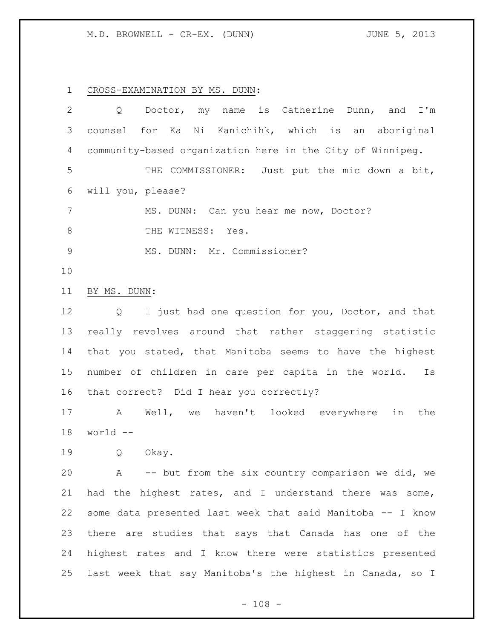M.D. BROWNELL - CR-EX. (DUNN) JUNE 5, 2013

CROSS-EXAMINATION BY MS. DUNN:

| $\overline{2}$  | name is Catherine Dunn, and I'm<br>Doctor, my<br>Q             |
|-----------------|----------------------------------------------------------------|
| 3               | Ni Kanichihk, which is an aboriginal<br>counsel for Ka         |
| 4               | community-based organization here in the City of Winnipeg.     |
| 5               | THE COMMISSIONER: Just put the mic down a bit,                 |
| 6               | will you, please?                                              |
| $7\phantom{.0}$ | MS. DUNN: Can you hear me now, Doctor?                         |
| 8               | THE WITNESS: Yes.                                              |
| $\mathsf 9$     | MS. DUNN: Mr. Commissioner?                                    |
| 10              |                                                                |
| 11              | BY MS. DUNN:                                                   |
| 12              | I just had one question for you, Doctor, and that<br>Q         |
| 13              | really revolves around that rather staggering statistic        |
| 14              | that you stated, that Manitoba seems to have the highest       |
| 15              | number of children in care per capita in the world.<br>Is      |
| 16              | that correct? Did I hear you correctly?                        |
| 17              | Well, we haven't looked everywhere<br>in<br>$\mathbb A$<br>the |
| 18              | world --                                                       |
| 19              | Q<br>Okay.                                                     |
| 20              | A -- but from the six country comparison we did, we            |
| 21              | had the highest rates, and I understand there was some,        |
| 22              | some data presented last week that said Manitoba -- I know     |
| 23              | there are studies that says that Canada has one of the         |
| 24              | highest rates and I know there were statistics presented       |
| 25              | last week that say Manitoba's the highest in Canada, so I      |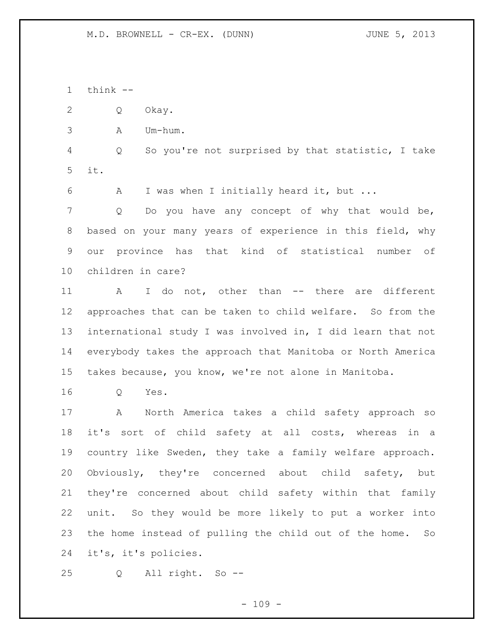think --

Q Okay.

A Um-hum.

 Q So you're not surprised by that statistic, I take it.

A I was when I initially heard it, but ...

 Q Do you have any concept of why that would be, based on your many years of experience in this field, why our province has that kind of statistical number of children in care?

11 A I do not, other than -- there are different approaches that can be taken to child welfare. So from the international study I was involved in, I did learn that not everybody takes the approach that Manitoba or North America takes because, you know, we're not alone in Manitoba.

Q Yes.

 A North America takes a child safety approach so it's sort of child safety at all costs, whereas in a country like Sweden, they take a family welfare approach. Obviously, they're concerned about child safety, but they're concerned about child safety within that family unit. So they would be more likely to put a worker into the home instead of pulling the child out of the home. So it's, it's policies.

Q All right. So --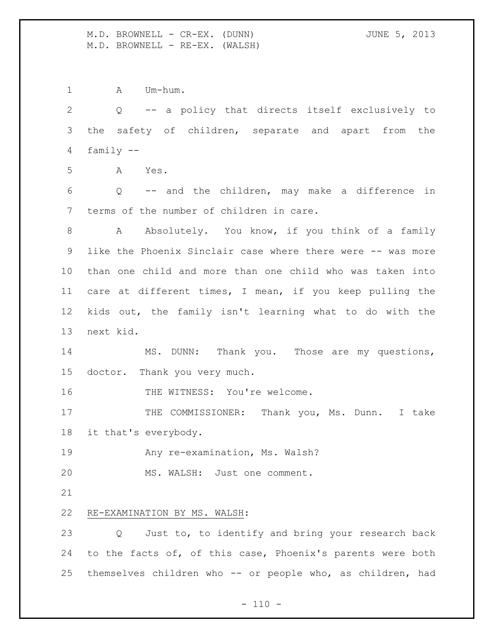M.D. BROWNELL - CR-EX. (DUNN) JUNE 5, 2013 M.D. BROWNELL - RE-EX. (WALSH)

1 A Um-hum.

 Q -- a policy that directs itself exclusively to the safety of children, separate and apart from the family -- A Yes. Q -- and the children, may make a difference in terms of the number of children in care. 8 A Absolutely. You know, if you think of a family like the Phoenix Sinclair case where there were -- was more than one child and more than one child who was taken into care at different times, I mean, if you keep pulling the kids out, the family isn't learning what to do with the next kid. 14 MS. DUNN: Thank you. Those are my questions, doctor. Thank you very much. 16 THE WITNESS: You're welcome. 17 THE COMMISSIONER: Thank you, Ms. Dunn. I take it that's everybody. **Any re-examination, Ms. Walsh?**  MS. WALSH: Just one comment. RE-EXAMINATION BY MS. WALSH: Q Just to, to identify and bring your research back to the facts of, of this case, Phoenix's parents were both themselves children who -- or people who, as children, had

 $- 110 -$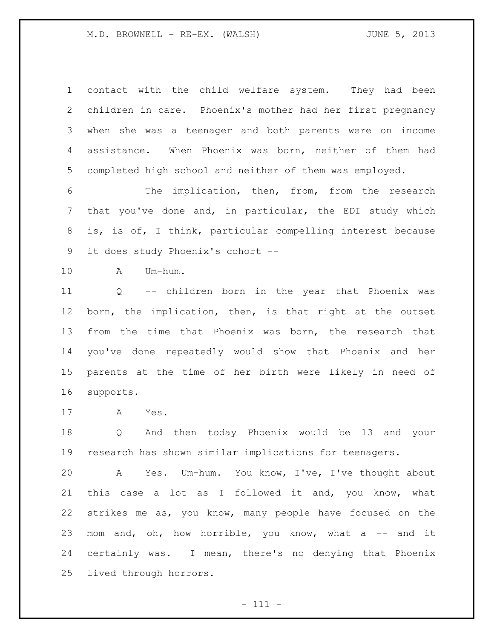M.D. BROWNELL - RE-EX. (WALSH)  $JUNE 5, 2013$ 

 contact with the child welfare system. They had been children in care. Phoenix's mother had her first pregnancy when she was a teenager and both parents were on income assistance. When Phoenix was born, neither of them had completed high school and neither of them was employed.

 The implication, then, from, from the research that you've done and, in particular, the EDI study which is, is of, I think, particular compelling interest because it does study Phoenix's cohort --

A Um-hum.

 Q -- children born in the year that Phoenix was born, the implication, then, is that right at the outset from the time that Phoenix was born, the research that you've done repeatedly would show that Phoenix and her parents at the time of her birth were likely in need of supports.

A Yes.

 Q And then today Phoenix would be 13 and your research has shown similar implications for teenagers.

 A Yes. Um-hum. You know, I've, I've thought about this case a lot as I followed it and, you know, what strikes me as, you know, many people have focused on the 23 mom and, oh, how horrible, you know, what a  $-$  and it certainly was. I mean, there's no denying that Phoenix lived through horrors.

- 111 -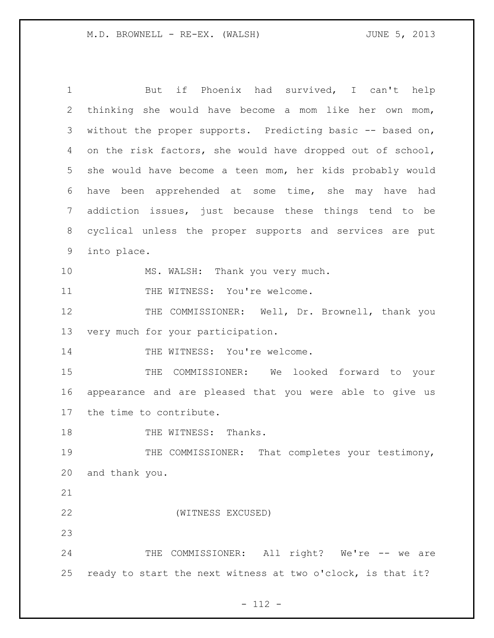1 But if Phoenix had survived, I can't help 2 thinking she would have become a mom like her own mom, 3 without the proper supports. Predicting basic -- based on, 4 on the risk factors, she would have dropped out of school, 5 she would have become a teen mom, her kids probably would 6 have been apprehended at some time, she may have had 7 addiction issues, just because these things tend to be 8 cyclical unless the proper supports and services are put 9 into place. 10 MS. WALSH: Thank you very much. 11 THE WITNESS: You're welcome. 12 THE COMMISSIONER: Well, Dr. Brownell, thank you 13 very much for your participation. 14 THE WITNESS: You're welcome. 15 THE COMMISSIONER: We looked forward to your 16 appearance and are pleased that you were able to give us 17 the time to contribute. 18 THE WITNESS: Thanks. 19 THE COMMISSIONER: That completes your testimony, 20 and thank you. 21 22 (WITNESS EXCUSED) 23 24 THE COMMISSIONER: All right? We're -- we are 25 ready to start the next witness at two o'clock, is that it?

- 112 -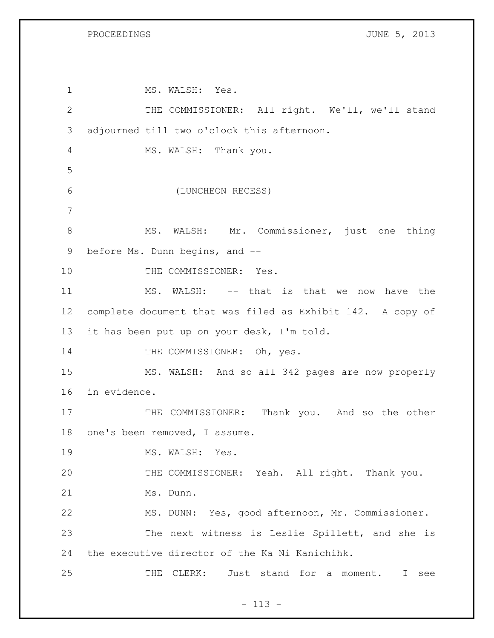PROCEEDINGS **DESCRIPTIONS JUNE 5, 2013** 

1 MS. WALSH: Yes. THE COMMISSIONER: All right. We'll, we'll stand adjourned till two o'clock this afternoon. MS. WALSH: Thank you. (LUNCHEON RECESS) 8 MS. WALSH: Mr. Commissioner, just one thing before Ms. Dunn begins, and -- 10 THE COMMISSIONER: Yes. MS. WALSH: -- that is that we now have the complete document that was filed as Exhibit 142. A copy of it has been put up on your desk, I'm told. 14 THE COMMISSIONER: Oh, yes. MS. WALSH: And so all 342 pages are now properly in evidence. 17 THE COMMISSIONER: Thank you. And so the other one's been removed, I assume. 19 MS. WALSH: Yes. THE COMMISSIONER: Yeah. All right. Thank you. Ms. Dunn. MS. DUNN: Yes, good afternoon, Mr. Commissioner. The next witness is Leslie Spillett, and she is the executive director of the Ka Ni Kanichihk. THE CLERK: Just stand for a moment. I see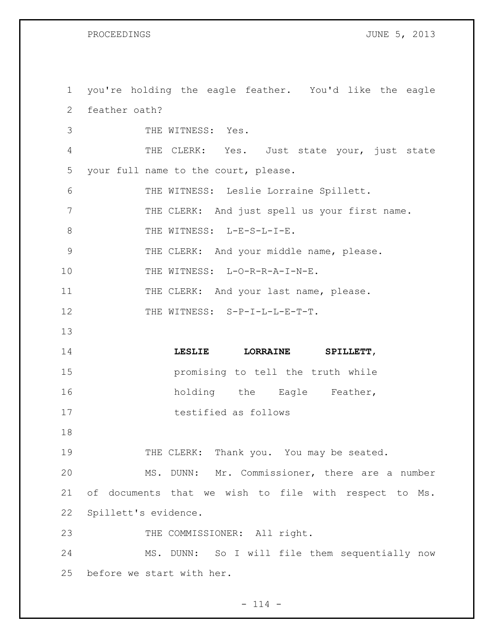PROCEEDINGS **DESCRIPTIONS JUNE 5, 2013** 

 you're holding the eagle feather. You'd like the eagle feather oath? THE WITNESS: Yes. THE CLERK: Yes. Just state your, just state your full name to the court, please. THE WITNESS: Leslie Lorraine Spillett. 7 THE CLERK: And just spell us your first name. 8 THE WITNESS: L-E-S-L-I-E. THE CLERK: And your middle name, please. 10 THE WITNESS: L-O-R-R-A-I-N-E. 11 THE CLERK: And your last name, please. 12 THE WITNESS: S-P-I-L-L-E-T-T. **LESLIE LORRAINE SPILLETT**, promising to tell the truth while 16 holding the Eagle Feather, testified as follows 19 THE CLERK: Thank you. You may be seated. MS. DUNN: Mr. Commissioner, there are a number of documents that we wish to file with respect to Ms. Spillett's evidence. 23 THE COMMISSIONER: All right. MS. DUNN: So I will file them sequentially now before we start with her.

 $- 114 -$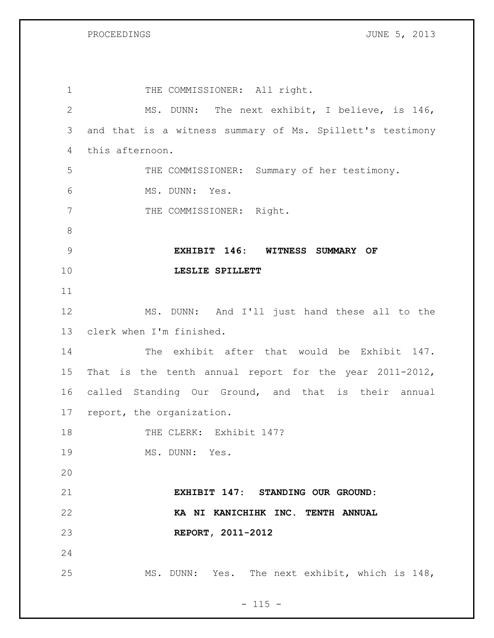PROCEEDINGS **DROCEEDINGS JUNE 5, 2013** 

| 1              | THE COMMISSIONER: All right.                              |
|----------------|-----------------------------------------------------------|
| $\mathbf{2}$   | MS. DUNN: The next exhibit, I believe, is 146,            |
| 3              | and that is a witness summary of Ms. Spillett's testimony |
| $\overline{4}$ | this afternoon.                                           |
| 5              | THE COMMISSIONER: Summary of her testimony.               |
| 6              | MS. DUNN: Yes.                                            |
| 7              | THE COMMISSIONER: Right.                                  |
| $\,8\,$        |                                                           |
| 9              | EXHIBIT 146: WITNESS SUMMARY OF                           |
| 10             | LESLIE SPILLETT                                           |
| 11             |                                                           |
| 12             | MS. DUNN: And I'll just hand these all to the             |
| 13             | clerk when I'm finished.                                  |
| 14             | The exhibit after that would be Exhibit 147.              |
| 15             | That is the tenth annual report for the year 2011-2012,   |
| 16             | called Standing Our Ground, and that is their annual      |
| 17             | report, the organization.                                 |
| 18             | THE CLERK: Exhibit 147?                                   |
| 19             | MS. DUNN: Yes.                                            |
| 20             |                                                           |
| 21             | EXHIBIT 147: STANDING OUR GROUND:                         |
| 22             | KA NI KANICHIHK INC. TENTH ANNUAL                         |
| 23             | REPORT, 2011-2012                                         |
| 24             |                                                           |
| 25             | MS. DUNN: Yes. The next exhibit, which is 148,            |

- 115 -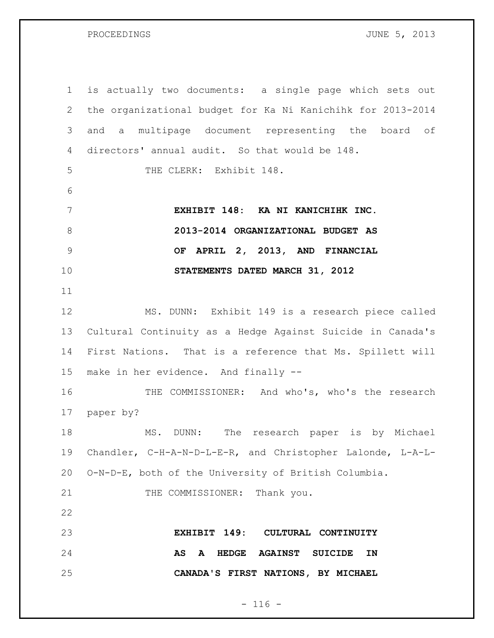PROCEEDINGS **DESCRIPTIONS JUNE 5, 2013** 

 is actually two documents: a single page which sets out the organizational budget for Ka Ni Kanichihk for 2013-2014 and a multipage document representing the board of directors' annual audit. So that would be 148. THE CLERK: Exhibit 148. **EXHIBIT 148: KA NI KANICHIHK INC. 2013-2014 ORGANIZATIONAL BUDGET AS OF APRIL 2, 2013, AND FINANCIAL STATEMENTS DATED MARCH 31, 2012** MS. DUNN: Exhibit 149 is a research piece called Cultural Continuity as a Hedge Against Suicide in Canada's First Nations. That is a reference that Ms. Spillett will make in her evidence. And finally -- 16 THE COMMISSIONER: And who's, who's the research paper by? MS. DUNN: The research paper is by Michael Chandler, C-H-A-N-D-L-E-R, and Christopher Lalonde, L-A-L- O-N-D-E, both of the University of British Columbia. 21 THE COMMISSIONER: Thank you. **EXHIBIT 149: CULTURAL CONTINUITY AS A HEDGE AGAINST SUICIDE IN CANADA'S FIRST NATIONS, BY MICHAEL** 

### $- 116 -$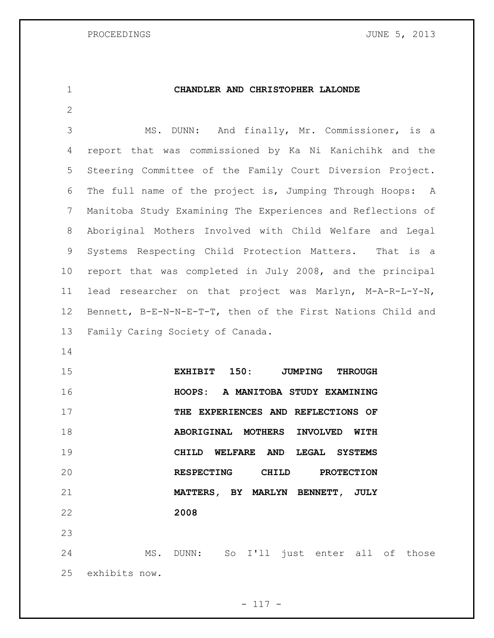## **CHANDLER AND CHRISTOPHER LALONDE**

- MS. DUNN: And finally, Mr. Commissioner, is a report that was commissioned by Ka Ni Kanichihk and the Steering Committee of the Family Court Diversion Project. The full name of the project is, Jumping Through Hoops: A Manitoba Study Examining The Experiences and Reflections of Aboriginal Mothers Involved with Child Welfare and Legal Systems Respecting Child Protection Matters. That is a report that was completed in July 2008, and the principal lead researcher on that project was Marlyn, M-A-R-L-Y-N, Bennett, B-E-N-N-E-T-T, then of the First Nations Child and Family Caring Society of Canada.
- 

 **EXHIBIT 150: JUMPING THROUGH HOOPS: A MANITOBA STUDY EXAMINING THE EXPERIENCES AND REFLECTIONS OF ABORIGINAL MOTHERS INVOLVED WITH CHILD WELFARE AND LEGAL SYSTEMS RESPECTING CHILD PROTECTION MATTERS, BY MARLYN BENNETT, JULY 2008** 

 MS. DUNN: So I'll just enter all of those exhibits now.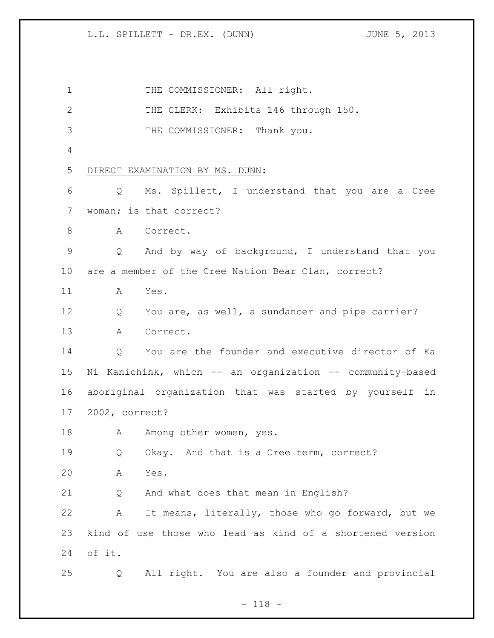1 THE COMMISSIONER: All right. 2 THE CLERK: Exhibits 146 through 150. THE COMMISSIONER: Thank you. DIRECT EXAMINATION BY MS. DUNN: Q Ms. Spillett, I understand that you are a Cree woman; is that correct? 8 A Correct. Q And by way of background, I understand that you are a member of the Cree Nation Bear Clan, correct? A Yes. Q You are, as well, a sundancer and pipe carrier? A Correct. Q You are the founder and executive director of Ka Ni Kanichihk, which -- an organization -- community-based aboriginal organization that was started by yourself in 2002, correct? 18 Among other women, yes. 19 Q Okay. And that is a Cree term, correct? A Yes. Q And what does that mean in English? A It means, literally, those who go forward, but we kind of use those who lead as kind of a shortened version of it. Q All right. You are also a founder and provincial

- 118 -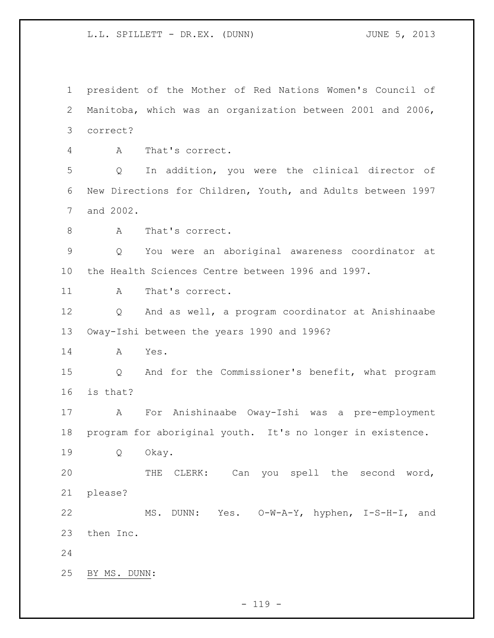president of the Mother of Red Nations Women's Council of Manitoba, which was an organization between 2001 and 2006, correct? A That's correct. Q In addition, you were the clinical director of New Directions for Children, Youth, and Adults between 1997 and 2002. 8 A That's correct. Q You were an aboriginal awareness coordinator at the Health Sciences Centre between 1996 and 1997. 11 A That's correct. Q And as well, a program coordinator at Anishinaabe Oway-Ishi between the years 1990 and 1996? A Yes. Q And for the Commissioner's benefit, what program is that? A For Anishinaabe Oway-Ishi was a pre-employment program for aboriginal youth. It's no longer in existence. Q Okay. THE CLERK: Can you spell the second word, please? MS. DUNN: Yes. O-W-A-Y, hyphen, I-S-H-I, and then Inc. BY MS. DUNN:

 $- 119 -$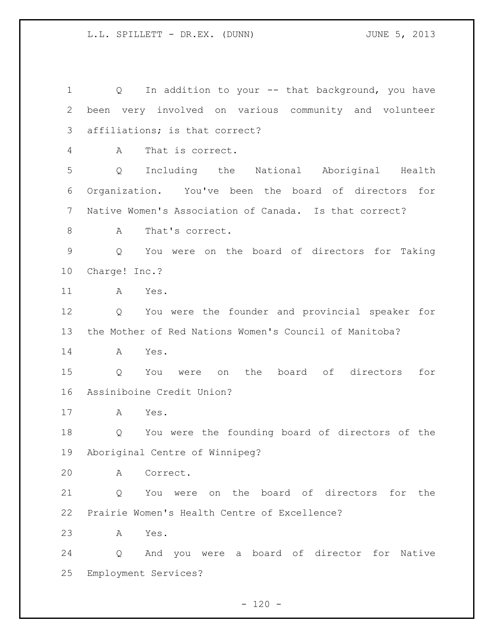1 Q In addition to your -- that background, you have been very involved on various community and volunteer affiliations; is that correct? A That is correct. Q Including the National Aboriginal Health Organization. You've been the board of directors for Native Women's Association of Canada. Is that correct? 8 A That's correct. Q You were on the board of directors for Taking Charge! Inc.? A Yes. Q You were the founder and provincial speaker for the Mother of Red Nations Women's Council of Manitoba? A Yes. Q You were on the board of directors for Assiniboine Credit Union? A Yes. Q You were the founding board of directors of the Aboriginal Centre of Winnipeg? A Correct. 21 0 You were on the board of directors for the Prairie Women's Health Centre of Excellence? A Yes. Q And you were a board of director for Native Employment Services?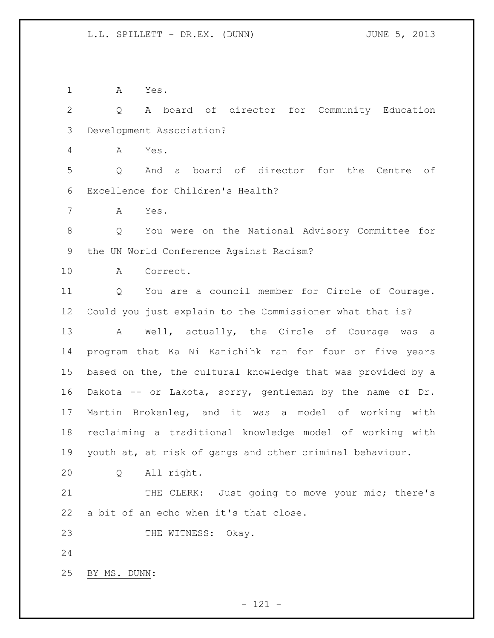A Yes.

 Q A board of director for Community Education Development Association?

A Yes.

 Q And a board of director for the Centre of Excellence for Children's Health?

A Yes.

 Q You were on the National Advisory Committee for the UN World Conference Against Racism?

A Correct.

 Q You are a council member for Circle of Courage. Could you just explain to the Commissioner what that is? A Well, actually, the Circle of Courage was a program that Ka Ni Kanichihk ran for four or five years based on the, the cultural knowledge that was provided by a Dakota -- or Lakota, sorry, gentleman by the name of Dr. Martin Brokenleg, and it was a model of working with reclaiming a traditional knowledge model of working with youth at, at risk of gangs and other criminal behaviour.

Q All right.

21 THE CLERK: Just going to move your mic; there's a bit of an echo when it's that close.

23 THE WITNESS: Okay.

BY MS. DUNN: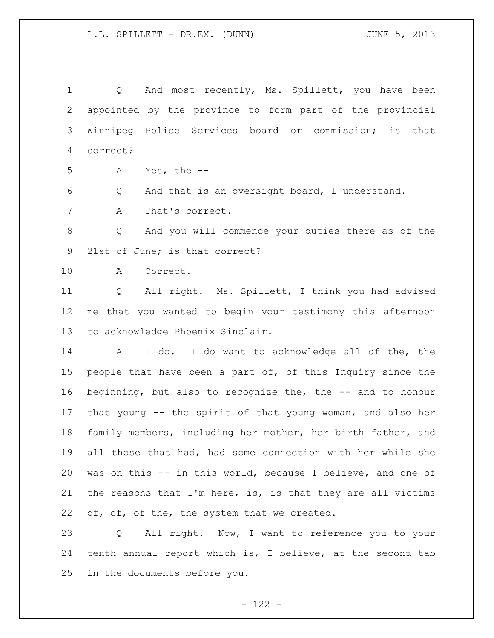1 Q And most recently, Ms. Spillett, you have been appointed by the province to form part of the provincial Winnipeg Police Services board or commission; is that correct?

A Yes, the --

Q And that is an oversight board, I understand.

A That's correct.

 Q And you will commence your duties there as of the 21st of June; is that correct?

A Correct.

 Q All right. Ms. Spillett, I think you had advised me that you wanted to begin your testimony this afternoon to acknowledge Phoenix Sinclair.

 A I do. I do want to acknowledge all of the, the people that have been a part of, of this Inquiry since the beginning, but also to recognize the, the -- and to honour that young -- the spirit of that young woman, and also her family members, including her mother, her birth father, and all those that had, had some connection with her while she was on this -- in this world, because I believe, and one of 21 the reasons that I'm here, is, is that they are all victims 22 of, of, of the, the system that we created.

 Q All right. Now, I want to reference you to your tenth annual report which is, I believe, at the second tab in the documents before you.

 $- 122 -$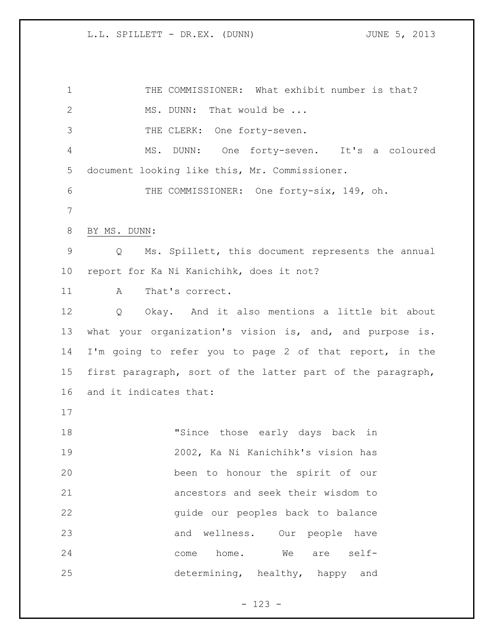THE COMMISSIONER: What exhibit number is that? 2 MS. DUNN: That would be ... THE CLERK: One forty-seven. MS. DUNN: One forty-seven. It's a coloured document looking like this, Mr. Commissioner. 6 THE COMMISSIONER: One forty-six, 149, oh. BY MS. DUNN: Q Ms. Spillett, this document represents the annual report for Ka Ni Kanichihk, does it not? 11 A That's correct. Q Okay. And it also mentions a little bit about what your organization's vision is, and, and purpose is. I'm going to refer you to page 2 of that report, in the first paragraph, sort of the latter part of the paragraph, and it indicates that: "Since those early days back in 2002, Ka Ni Kanichihk's vision has been to honour the spirit of our ancestors and seek their wisdom to guide our peoples back to balance and wellness. Our people have come home. We are self-determining, healthy, happy and

- 123 -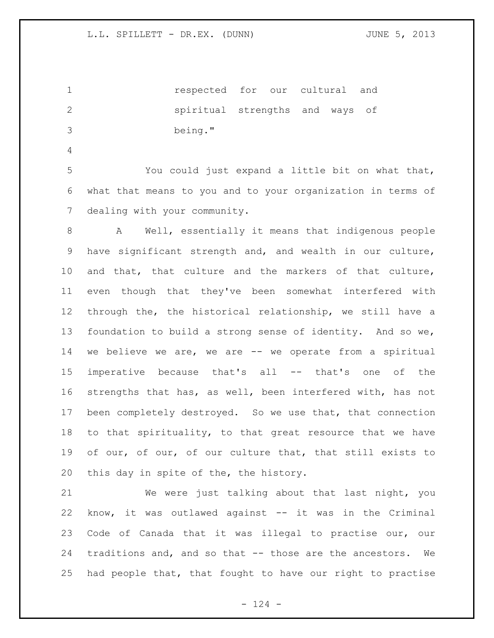respected for our cultural and spiritual strengths and ways of being."

 You could just expand a little bit on what that, what that means to you and to your organization in terms of dealing with your community.

 A Well, essentially it means that indigenous people have significant strength and, and wealth in our culture, and that, that culture and the markers of that culture, even though that they've been somewhat interfered with through the, the historical relationship, we still have a foundation to build a strong sense of identity. And so we, we believe we are, we are -- we operate from a spiritual imperative because that's all -- that's one of the strengths that has, as well, been interfered with, has not been completely destroyed. So we use that, that connection to that spirituality, to that great resource that we have of our, of our, of our culture that, that still exists to this day in spite of the, the history.

 We were just talking about that last night, you know, it was outlawed against -- it was in the Criminal Code of Canada that it was illegal to practise our, our traditions and, and so that -- those are the ancestors. We had people that, that fought to have our right to practise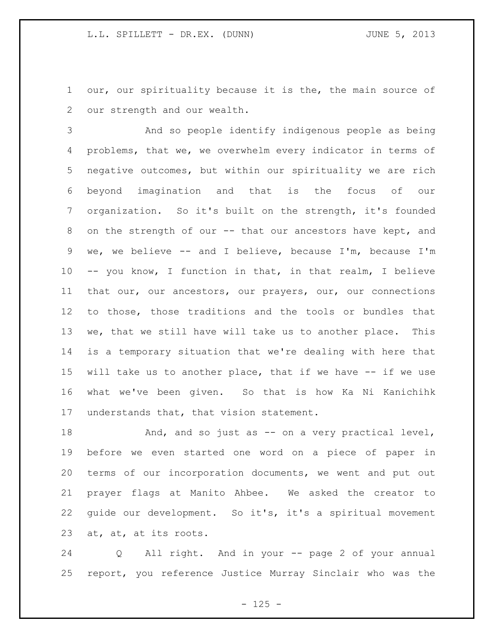our, our spirituality because it is the, the main source of our strength and our wealth.

 And so people identify indigenous people as being problems, that we, we overwhelm every indicator in terms of negative outcomes, but within our spirituality we are rich beyond imagination and that is the focus of our organization. So it's built on the strength, it's founded 8 on the strength of our -- that our ancestors have kept, and we, we believe -- and I believe, because I'm, because I'm -- you know, I function in that, in that realm, I believe that our, our ancestors, our prayers, our, our connections to those, those traditions and the tools or bundles that we, that we still have will take us to another place. This is a temporary situation that we're dealing with here that will take us to another place, that if we have -- if we use what we've been given. So that is how Ka Ni Kanichihk 17 understands that, that vision statement.

18 And, and so just as -- on a very practical level, before we even started one word on a piece of paper in terms of our incorporation documents, we went and put out prayer flags at Manito Ahbee. We asked the creator to guide our development. So it's, it's a spiritual movement at, at, at its roots.

 Q All right. And in your -- page 2 of your annual report, you reference Justice Murray Sinclair who was the

 $- 125 -$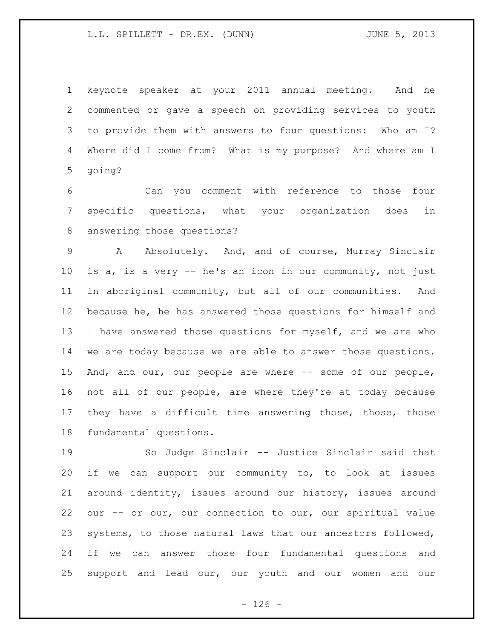keynote speaker at your 2011 annual meeting. And he commented or gave a speech on providing services to youth to provide them with answers to four questions: Who am I? Where did I come from? What is my purpose? And where am I going?

 Can you comment with reference to those four specific questions, what your organization does in answering those questions?

 A Absolutely. And, and of course, Murray Sinclair is a, is a very -- he's an icon in our community, not just in aboriginal community, but all of our communities. And because he, he has answered those questions for himself and 13 I have answered those questions for myself, and we are who we are today because we are able to answer those questions. And, and our, our people are where -- some of our people, not all of our people, are where they're at today because they have a difficult time answering those, those, those fundamental questions.

 So Judge Sinclair -- Justice Sinclair said that if we can support our community to, to look at issues around identity, issues around our history, issues around our -- or our, our connection to our, our spiritual value systems, to those natural laws that our ancestors followed, if we can answer those four fundamental questions and support and lead our, our youth and our women and our

 $- 126 -$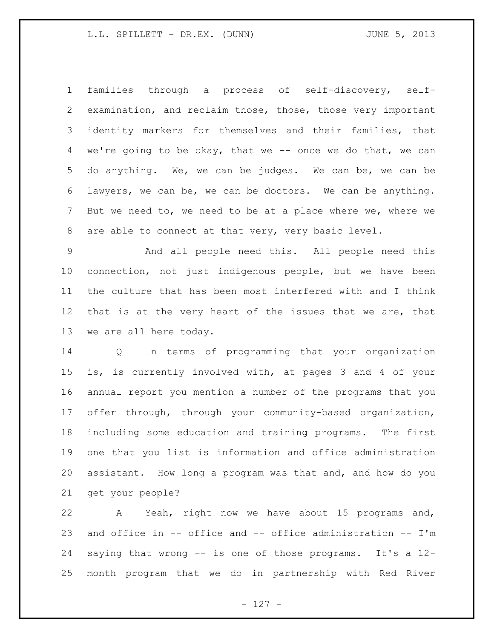families through a process of self-discovery, self- examination, and reclaim those, those, those very important identity markers for themselves and their families, that we're going to be okay, that we -- once we do that, we can do anything. We, we can be judges. We can be, we can be lawyers, we can be, we can be doctors. We can be anything. But we need to, we need to be at a place where we, where we are able to connect at that very, very basic level.

 And all people need this. All people need this connection, not just indigenous people, but we have been the culture that has been most interfered with and I think that is at the very heart of the issues that we are, that we are all here today.

 Q In terms of programming that your organization is, is currently involved with, at pages 3 and 4 of your annual report you mention a number of the programs that you offer through, through your community-based organization, including some education and training programs. The first one that you list is information and office administration assistant. How long a program was that and, and how do you get your people?

 A Yeah, right now we have about 15 programs and, and office in -- office and -- office administration -- I'm saying that wrong -- is one of those programs. It's a 12- month program that we do in partnership with Red River

- 127 -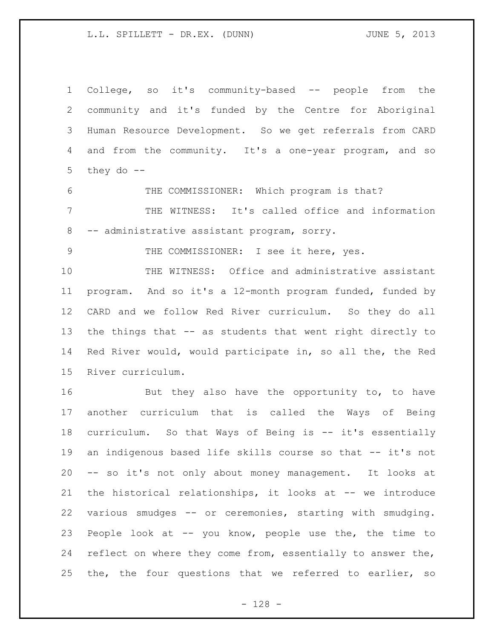College, so it's community-based -- people from the community and it's funded by the Centre for Aboriginal Human Resource Development. So we get referrals from CARD and from the community. It's a one-year program, and so 5 they do  $--$ 

 THE COMMISSIONER: Which program is that? THE WITNESS: It's called office and information -- administrative assistant program, sorry.

9 THE COMMISSIONER: I see it here, yes.

 THE WITNESS: Office and administrative assistant program. And so it's a 12-month program funded, funded by CARD and we follow Red River curriculum. So they do all the things that -- as students that went right directly to Red River would, would participate in, so all the, the Red River curriculum.

16 But they also have the opportunity to, to have another curriculum that is called the Ways of Being curriculum. So that Ways of Being is -- it's essentially 19 an indigenous based life skills course so that -- it's not -- so it's not only about money management. It looks at the historical relationships, it looks at -- we introduce various smudges -- or ceremonies, starting with smudging. People look at -- you know, people use the, the time to reflect on where they come from, essentially to answer the, the, the four questions that we referred to earlier, so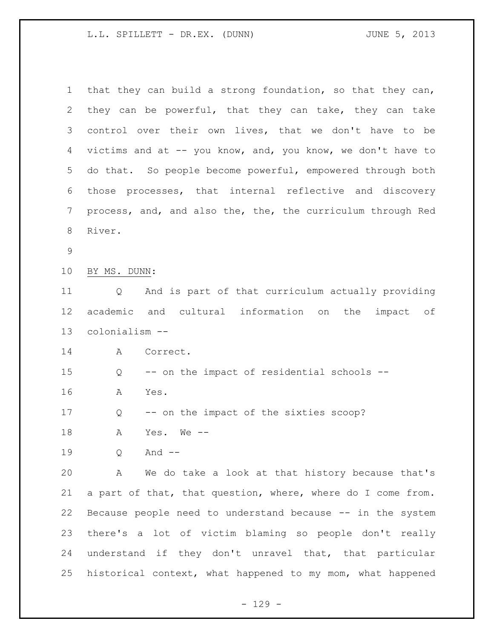| 1           | that they can build a strong foundation, so that they can,             |
|-------------|------------------------------------------------------------------------|
| 2           | they can be powerful, that they can take, they can take                |
| 3           | control over their own lives, that we don't have to be                 |
| 4           | victims and at -- you know, and, you know, we don't have to            |
| 5           | do that. So people become powerful, empowered through both             |
| 6           | those processes, that internal reflective and discovery                |
| 7           | process, and, and also the, the, the curriculum through Red            |
| 8           | River.                                                                 |
| $\mathsf 9$ |                                                                        |
| 10          | BY MS. DUNN:                                                           |
| 11          | And is part of that curriculum actually providing<br>$Q \qquad \qquad$ |
| 12          | academic and cultural information on the<br>impact of                  |
| 13          | colonialism --                                                         |
| 14          | Α<br>Correct.                                                          |
| 15          | -- on the impact of residential schools --<br>Q                        |
| 16          | Α<br>Yes.                                                              |
| 17          | -- on the impact of the sixties scoop?<br>Q                            |
| 18          | Α<br>Yes. We $--$                                                      |
| 19          | And $--$<br>Q                                                          |
| 20          | We do take a look at that history because that's<br>Α                  |
| 21          | a part of that, that question, where, where do I come from.            |
| 22          | Because people need to understand because -- in the system             |
| 23          | there's a lot of victim blaming so people don't really                 |
| 24          | understand if they don't unravel that, that particular                 |
| 25          | historical context, what happened to my mom, what happened             |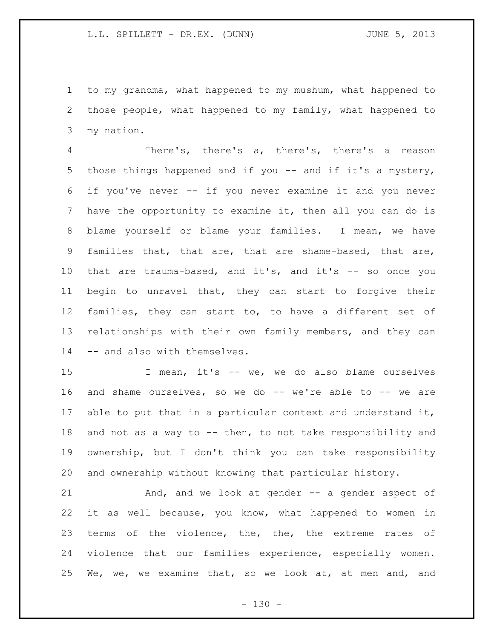to my grandma, what happened to my mushum, what happened to those people, what happened to my family, what happened to my nation.

 There's, there's a, there's, there's a reason those things happened and if you -- and if it's a mystery, if you've never -- if you never examine it and you never have the opportunity to examine it, then all you can do is blame yourself or blame your families. I mean, we have families that, that are, that are shame-based, that are, that are trauma-based, and it's, and it's -- so once you begin to unravel that, they can start to forgive their families, they can start to, to have a different set of relationships with their own family members, and they can -- and also with themselves.

 I mean, it's -- we, we do also blame ourselves and shame ourselves, so we do -- we're able to -- we are able to put that in a particular context and understand it, and not as a way to -- then, to not take responsibility and ownership, but I don't think you can take responsibility and ownership without knowing that particular history.

21 And, and we look at gender -- a gender aspect of it as well because, you know, what happened to women in 23 terms of the violence, the, the, the extreme rates of violence that our families experience, especially women. We, we, we examine that, so we look at, at men and, and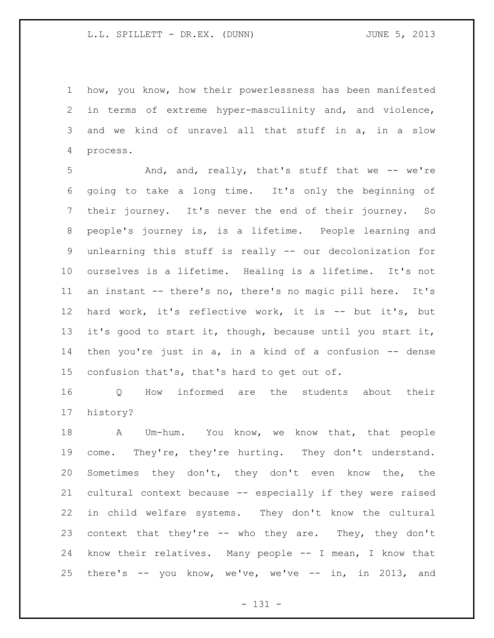how, you know, how their powerlessness has been manifested in terms of extreme hyper-masculinity and, and violence, and we kind of unravel all that stuff in a, in a slow process.

 And, and, really, that's stuff that we -- we're going to take a long time. It's only the beginning of their journey. It's never the end of their journey. So people's journey is, is a lifetime. People learning and unlearning this stuff is really -- our decolonization for ourselves is a lifetime. Healing is a lifetime. It's not an instant -- there's no, there's no magic pill here. It's hard work, it's reflective work, it is -- but it's, but it's good to start it, though, because until you start it, then you're just in a, in a kind of a confusion -- dense confusion that's, that's hard to get out of.

 Q How informed are the students about their history?

 A Um-hum. You know, we know that, that people come. They're, they're hurting. They don't understand. Sometimes they don't, they don't even know the, the cultural context because -- especially if they were raised in child welfare systems. They don't know the cultural 23 context that they're -- who they are. They, they don't know their relatives. Many people -- I mean, I know that there's -- you know, we've, we've -- in, in 2013, and

- 131 -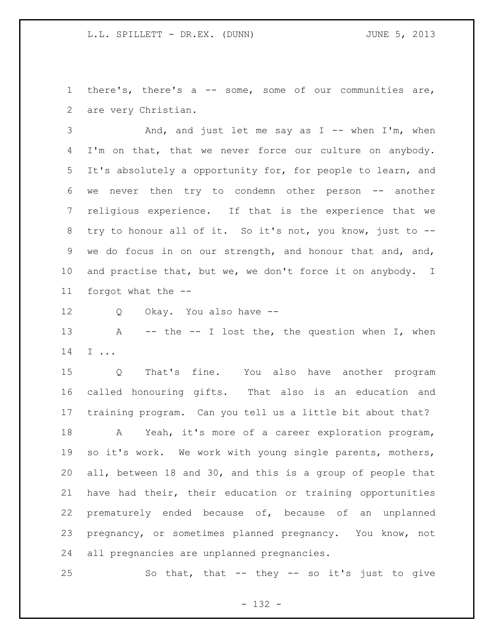there's, there's a -- some, some of our communities are, are very Christian.

3 And, and just let me say as I -- when I'm, when 4 I'm on that, that we never force our culture on anybody. It's absolutely a opportunity for, for people to learn, and we never then try to condemn other person -- another religious experience. If that is the experience that we try to honour all of it. So it's not, you know, just to -- we do focus in on our strength, and honour that and, and, 10 and practise that, but we, we don't force it on anybody. I forgot what the --

Q Okay. You also have --

13 A -- the -- I lost the, the question when I, when I ...

 Q That's fine. You also have another program called honouring gifts. That also is an education and training program. Can you tell us a little bit about that?

 A Yeah, it's more of a career exploration program, so it's work. We work with young single parents, mothers, all, between 18 and 30, and this is a group of people that have had their, their education or training opportunities prematurely ended because of, because of an unplanned pregnancy, or sometimes planned pregnancy. You know, not all pregnancies are unplanned pregnancies.

So that, that -- they -- so it's just to give

- 132 -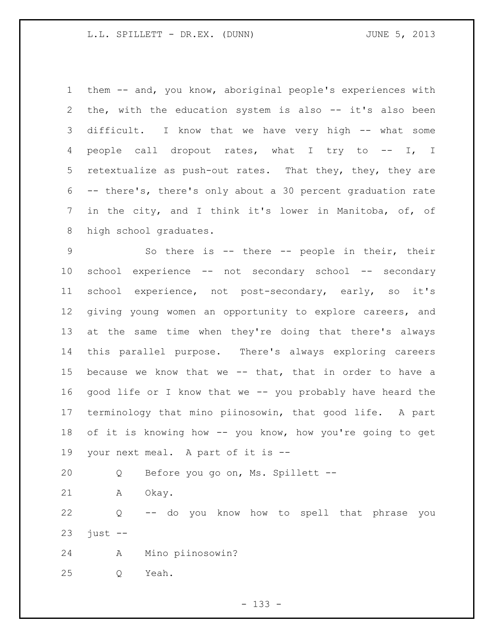them -- and, you know, aboriginal people's experiences with the, with the education system is also -- it's also been difficult. I know that we have very high -- what some people call dropout rates, what I try to -- I, I retextualize as push-out rates. That they, they, they are -- there's, there's only about a 30 percent graduation rate in the city, and I think it's lower in Manitoba, of, of high school graduates.

 So there is -- there -- people in their, their school experience -- not secondary school -- secondary school experience, not post-secondary, early, so it's giving young women an opportunity to explore careers, and at the same time when they're doing that there's always this parallel purpose. There's always exploring careers because we know that we -- that, that in order to have a good life or I know that we -- you probably have heard the terminology that mino piinosowin, that good life. A part of it is knowing how -- you know, how you're going to get your next meal. A part of it is --

Q Before you go on, Ms. Spillett --

A Okay.

 Q -- do you know how to spell that phrase you just  $-$ 

A Mino piinosowin?

Q Yeah.

- 133 -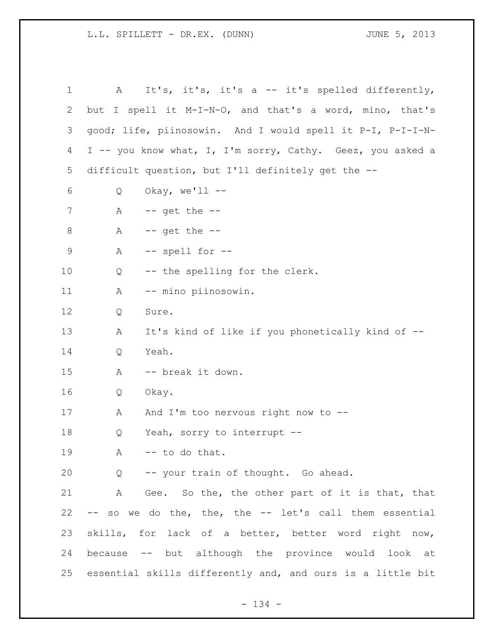1 A It's, it's, it's a -- it's spelled differently, but I spell it M-I-N-O, and that's a word, mino, that's good; life, piinosowin. And I would spell it P-I, P-I-I-N- I -- you know what, I, I'm sorry, Cathy. Geez, you asked a difficult question, but I'll definitely get the -- Q Okay, we'll -- A  $-$  get the  $-$  A -- get the -- A -- spell for -- Q -- the spelling for the clerk. A -- mino piinosowin. Q Sure. A It's kind of like if you phonetically kind of -- Q Yeah. A -- break it down. Q Okay. 17 A And I'm too nervous right now to -- Q Yeah, sorry to interrupt -- 19 A -- to do that. Q -- your train of thought. Go ahead. A Gee. So the, the other part of it is that, that -- so we do the, the, the -- let's call them essential skills, for lack of a better, better word right now, because -- but although the province would look at essential skills differently and, and ours is a little bit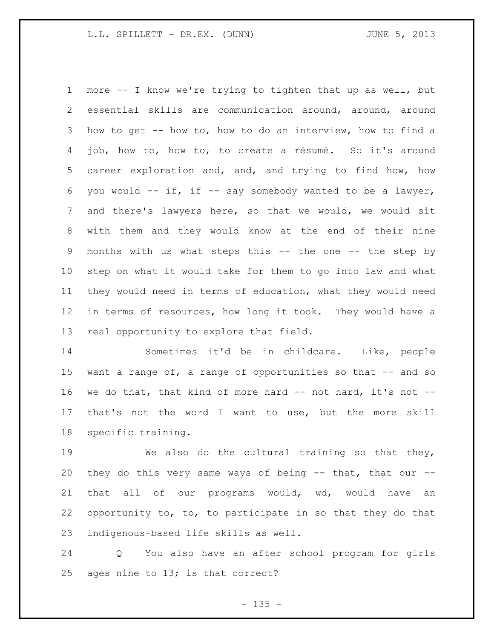more -- I know we're trying to tighten that up as well, but essential skills are communication around, around, around how to get -- how to, how to do an interview, how to find a job, how to, how to, to create a résumé. So it's around career exploration and, and, and trying to find how, how 6 you would  $--$  if, if  $--$  say somebody wanted to be a lawyer, and there's lawyers here, so that we would, we would sit with them and they would know at the end of their nine months with us what steps this -- the one -- the step by step on what it would take for them to go into law and what they would need in terms of education, what they would need in terms of resources, how long it took. They would have a real opportunity to explore that field.

 Sometimes it'd be in childcare. Like, people want a range of, a range of opportunities so that -- and so we do that, that kind of more hard -- not hard, it's not -- that's not the word I want to use, but the more skill specific training.

 We also do the cultural training so that they, they do this very same ways of being -- that, that our -- that all of our programs would, wd, would have an opportunity to, to, to participate in so that they do that indigenous-based life skills as well.

 Q You also have an after school program for girls ages nine to 13; is that correct?

 $- 135 -$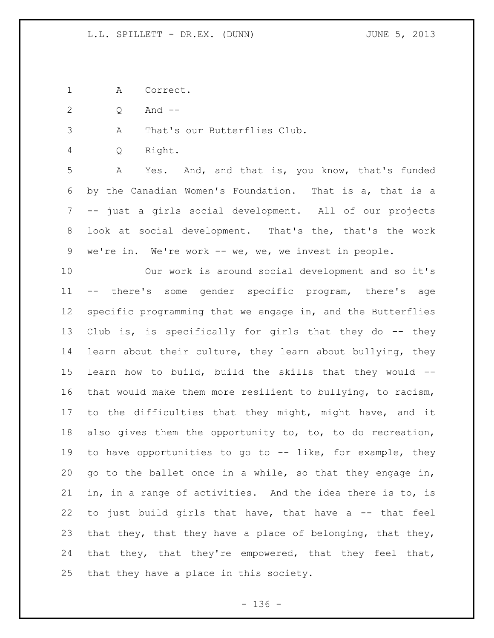A Correct.

Q And --

A That's our Butterflies Club.

Q Right.

 A Yes. And, and that is, you know, that's funded by the Canadian Women's Foundation. That is a, that is a -- just a girls social development. All of our projects look at social development. That's the, that's the work we're in. We're work -- we, we, we invest in people.

 Our work is around social development and so it's -- there's some gender specific program, there's age specific programming that we engage in, and the Butterflies Club is, is specifically for girls that they do -- they learn about their culture, they learn about bullying, they learn how to build, build the skills that they would -- that would make them more resilient to bullying, to racism, to the difficulties that they might, might have, and it also gives them the opportunity to, to, to do recreation, to have opportunities to go to -- like, for example, they go to the ballet once in a while, so that they engage in, in, in a range of activities. And the idea there is to, is to just build girls that have, that have a -- that feel 23 that they, that they have a place of belonging, that they, that they, that they're empowered, that they feel that, that they have a place in this society.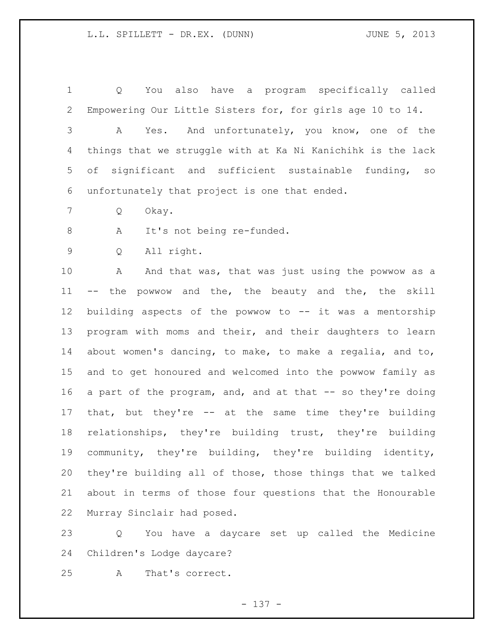Q You also have a program specifically called Empowering Our Little Sisters for, for girls age 10 to 14. A Yes. And unfortunately, you know, one of the things that we struggle with at Ka Ni Kanichihk is the lack of significant and sufficient sustainable funding, so unfortunately that project is one that ended. Q Okay. A It's not being re-funded. Q All right. 10 A And that was, that was just using the powwow as a -- the powwow and the, the beauty and the, the skill building aspects of the powwow to -- it was a mentorship program with moms and their, and their daughters to learn about women's dancing, to make, to make a regalia, and to, and to get honoured and welcomed into the powwow family as 16 a part of the program, and, and at that -- so they're doing that, but they're -- at the same time they're building relationships, they're building trust, they're building community, they're building, they're building identity, they're building all of those, those things that we talked about in terms of those four questions that the Honourable Murray Sinclair had posed.

 Q You have a daycare set up called the Medicine Children's Lodge daycare?

A That's correct.

- 137 -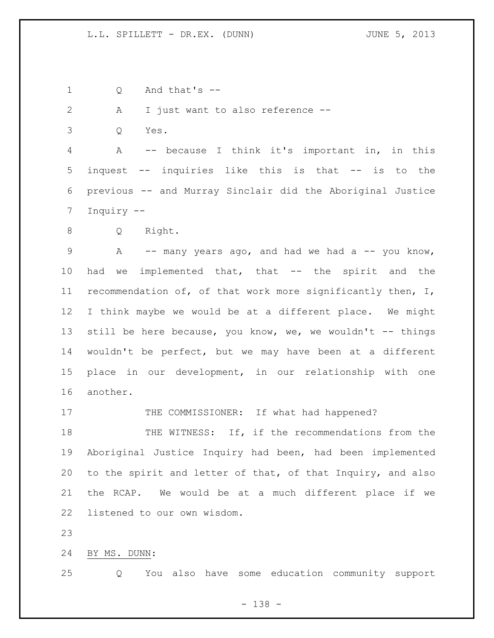Q And that's --

A I just want to also reference --

Q Yes.

 A -- because I think it's important in, in this inquest -- inquiries like this is that -- is to the previous -- and Murray Sinclair did the Aboriginal Justice Inquiry --

Q Right.

9 A -- many years ago, and had we had a -- you know, had we implemented that, that -- the spirit and the recommendation of, of that work more significantly then, I, I think maybe we would be at a different place. We might 13 still be here because, you know, we, we wouldn't -- things wouldn't be perfect, but we may have been at a different place in our development, in our relationship with one another.

17 THE COMMISSIONER: If what had happened?

18 THE WITNESS: If, if the recommendations from the Aboriginal Justice Inquiry had been, had been implemented to the spirit and letter of that, of that Inquiry, and also the RCAP. We would be at a much different place if we listened to our own wisdom.

BY MS. DUNN:

Q You also have some education community support

- 138 -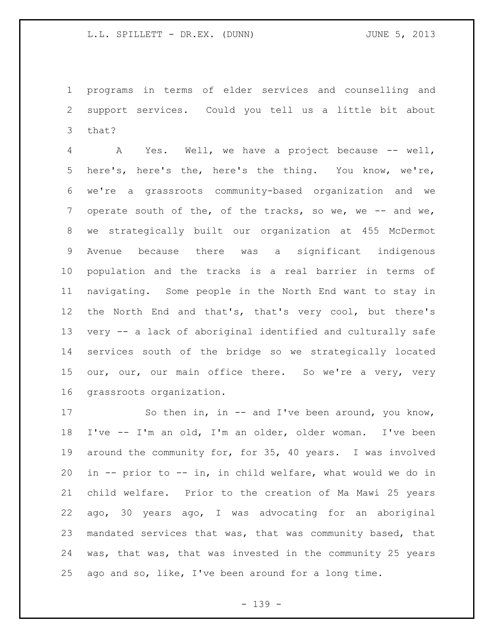programs in terms of elder services and counselling and support services. Could you tell us a little bit about that?

 A Yes. Well, we have a project because -- well, here's, here's the, here's the thing. You know, we're, we're a grassroots community-based organization and we 7 operate south of the, of the tracks, so we, we -- and we, we strategically built our organization at 455 McDermot Avenue because there was a significant indigenous population and the tracks is a real barrier in terms of navigating. Some people in the North End want to stay in the North End and that's, that's very cool, but there's very -- a lack of aboriginal identified and culturally safe services south of the bridge so we strategically located 15 our, our, our main office there. So we're a very, very grassroots organization.

17 So then in, in -- and I've been around, you know, I've -- I'm an old, I'm an older, older woman. I've been around the community for, for 35, 40 years. I was involved in -- prior to -- in, in child welfare, what would we do in child welfare. Prior to the creation of Ma Mawi 25 years ago, 30 years ago, I was advocating for an aboriginal mandated services that was, that was community based, that was, that was, that was invested in the community 25 years ago and so, like, I've been around for a long time.

- 139 -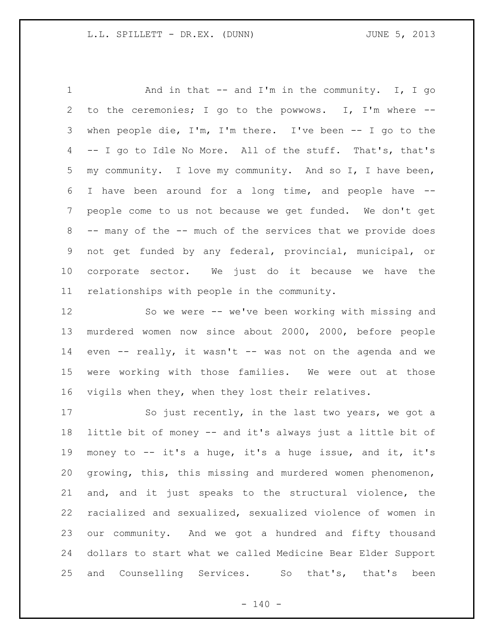1 And in that -- and I'm in the community. I, I go to the ceremonies; I go to the powwows. I, I'm where -- when people die, I'm, I'm there. I've been -- I go to the -- I go to Idle No More. All of the stuff. That's, that's my community. I love my community. And so I, I have been, I have been around for a long time, and people have -- people come to us not because we get funded. We don't get -- many of the -- much of the services that we provide does not get funded by any federal, provincial, municipal, or corporate sector. We just do it because we have the relationships with people in the community.

 So we were -- we've been working with missing and murdered women now since about 2000, 2000, before people even -- really, it wasn't -- was not on the agenda and we were working with those families. We were out at those vigils when they, when they lost their relatives.

 So just recently, in the last two years, we got a little bit of money -- and it's always just a little bit of money to -- it's a huge, it's a huge issue, and it, it's growing, this, this missing and murdered women phenomenon, and, and it just speaks to the structural violence, the racialized and sexualized, sexualized violence of women in our community. And we got a hundred and fifty thousand dollars to start what we called Medicine Bear Elder Support and Counselling Services. So that's, that's been

 $- 140 -$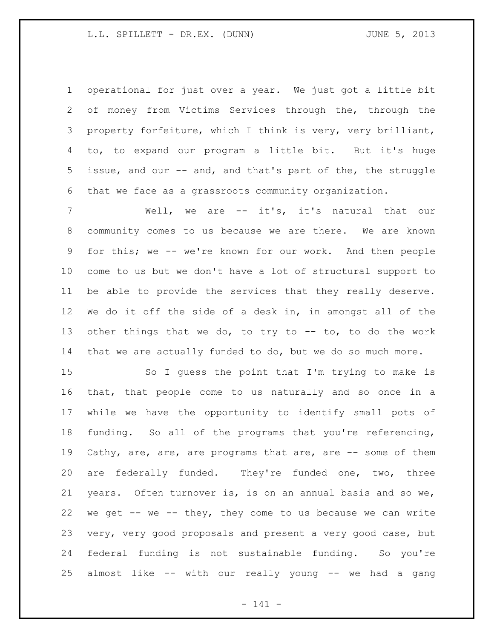operational for just over a year. We just got a little bit of money from Victims Services through the, through the property forfeiture, which I think is very, very brilliant, to, to expand our program a little bit. But it's huge issue, and our -- and, and that's part of the, the struggle that we face as a grassroots community organization.

 Well, we are -- it's, it's natural that our community comes to us because we are there. We are known for this; we -- we're known for our work. And then people come to us but we don't have a lot of structural support to be able to provide the services that they really deserve. We do it off the side of a desk in, in amongst all of the other things that we do, to try to -- to, to do the work that we are actually funded to do, but we do so much more.

 So I guess the point that I'm trying to make is that, that people come to us naturally and so once in a while we have the opportunity to identify small pots of funding. So all of the programs that you're referencing, Cathy, are, are, are programs that are, are -- some of them are federally funded. They're funded one, two, three years. Often turnover is, is on an annual basis and so we, we get -- we -- they, they come to us because we can write very, very good proposals and present a very good case, but federal funding is not sustainable funding. So you're almost like -- with our really young -- we had a gang

- 141 -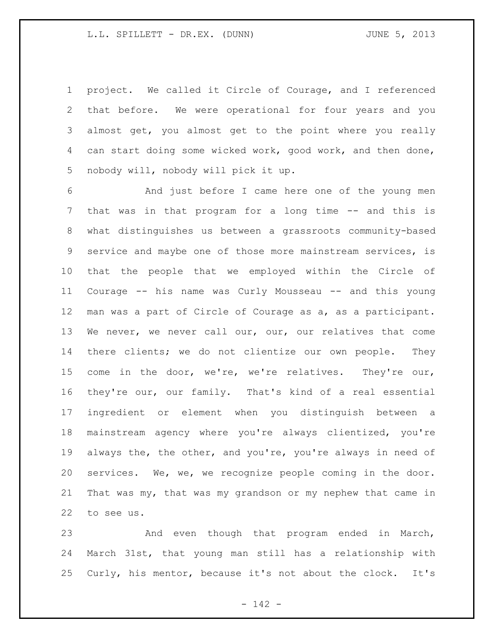project. We called it Circle of Courage, and I referenced that before. We were operational for four years and you almost get, you almost get to the point where you really can start doing some wicked work, good work, and then done, nobody will, nobody will pick it up.

 And just before I came here one of the young men that was in that program for a long time -- and this is what distinguishes us between a grassroots community-based service and maybe one of those more mainstream services, is that the people that we employed within the Circle of Courage -- his name was Curly Mousseau -- and this young man was a part of Circle of Courage as a, as a participant. We never, we never call our, our, our relatives that come there clients; we do not clientize our own people. They come in the door, we're, we're relatives. They're our, they're our, our family. That's kind of a real essential ingredient or element when you distinguish between a mainstream agency where you're always clientized, you're always the, the other, and you're, you're always in need of services. We, we, we recognize people coming in the door. That was my, that was my grandson or my nephew that came in to see us.

 And even though that program ended in March, March 31st, that young man still has a relationship with Curly, his mentor, because it's not about the clock. It's

- 142 -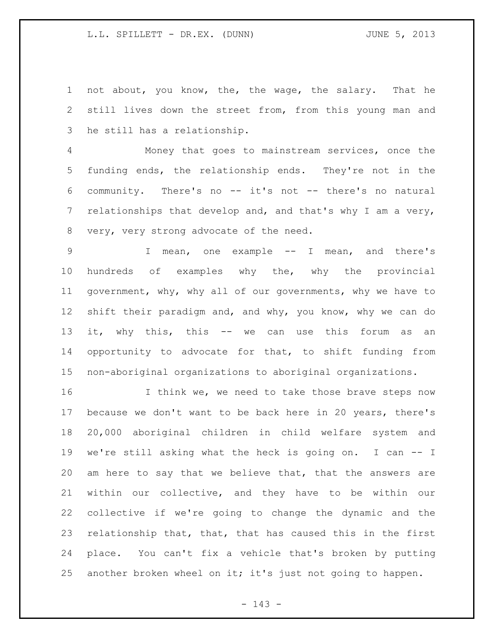not about, you know, the, the wage, the salary. That he still lives down the street from, from this young man and he still has a relationship.

 Money that goes to mainstream services, once the funding ends, the relationship ends. They're not in the community. There's no -- it's not -- there's no natural 7 relationships that develop and, and that's why I am a very, very, very strong advocate of the need.

 I mean, one example -- I mean, and there's hundreds of examples why the, why the provincial government, why, why all of our governments, why we have to shift their paradigm and, and why, you know, why we can do it, why this, this -- we can use this forum as an opportunity to advocate for that, to shift funding from non-aboriginal organizations to aboriginal organizations.

16 16 I think we, we need to take those brave steps now because we don't want to be back here in 20 years, there's 20,000 aboriginal children in child welfare system and we're still asking what the heck is going on. I can -- I am here to say that we believe that, that the answers are within our collective, and they have to be within our collective if we're going to change the dynamic and the relationship that, that, that has caused this in the first place. You can't fix a vehicle that's broken by putting 25 another broken wheel on it; it's just not going to happen.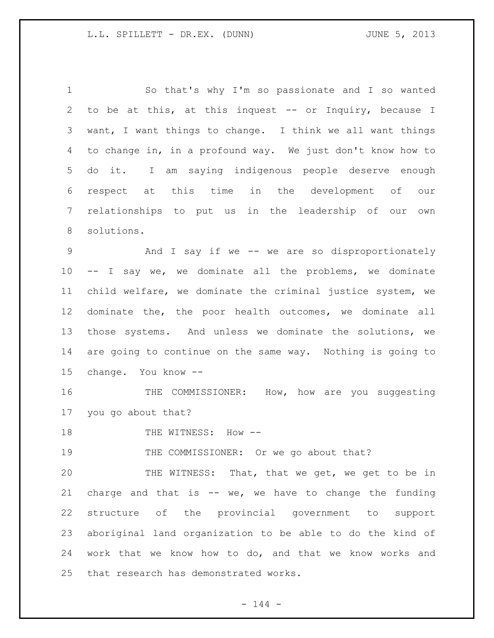So that's why I'm so passionate and I so wanted to be at this, at this inquest -- or Inquiry, because I want, I want things to change. I think we all want things to change in, in a profound way. We just don't know how to do it. I am saying indigenous people deserve enough respect at this time in the development of our relationships to put us in the leadership of our own solutions.

 And I say if we -- we are so disproportionately -- I say we, we dominate all the problems, we dominate child welfare, we dominate the criminal justice system, we dominate the, the poor health outcomes, we dominate all those systems. And unless we dominate the solutions, we are going to continue on the same way. Nothing is going to change. You know --

 THE COMMISSIONER: How, how are you suggesting you go about that?

18 THE WITNESS: How --

THE COMMISSIONER: Or we go about that?

 THE WITNESS: That, that we get, we get to be in 21 charge and that is  $--$  we, we have to change the funding structure of the provincial government to support aboriginal land organization to be able to do the kind of work that we know how to do, and that we know works and that research has demonstrated works.

 $- 144 -$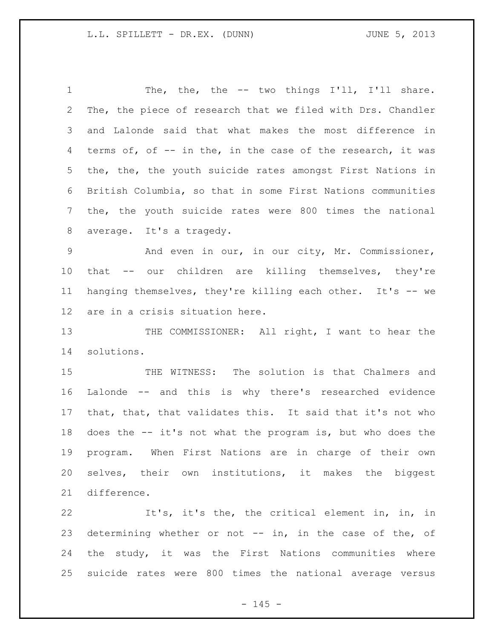1 The, the, the -- two things I'll, I'll share. The, the piece of research that we filed with Drs. Chandler and Lalonde said that what makes the most difference in terms of, of -- in the, in the case of the research, it was the, the, the youth suicide rates amongst First Nations in British Columbia, so that in some First Nations communities the, the youth suicide rates were 800 times the national average. It's a tragedy.

 And even in our, in our city, Mr. Commissioner, that -- our children are killing themselves, they're hanging themselves, they're killing each other. It's -- we are in a crisis situation here.

13 THE COMMISSIONER: All right, I want to hear the solutions.

 THE WITNESS: The solution is that Chalmers and Lalonde -- and this is why there's researched evidence that, that, that validates this. It said that it's not who does the -- it's not what the program is, but who does the program. When First Nations are in charge of their own selves, their own institutions, it makes the biggest difference.

 It's, it's the, the critical element in, in, in determining whether or not -- in, in the case of the, of the study, it was the First Nations communities where suicide rates were 800 times the national average versus

 $- 145 -$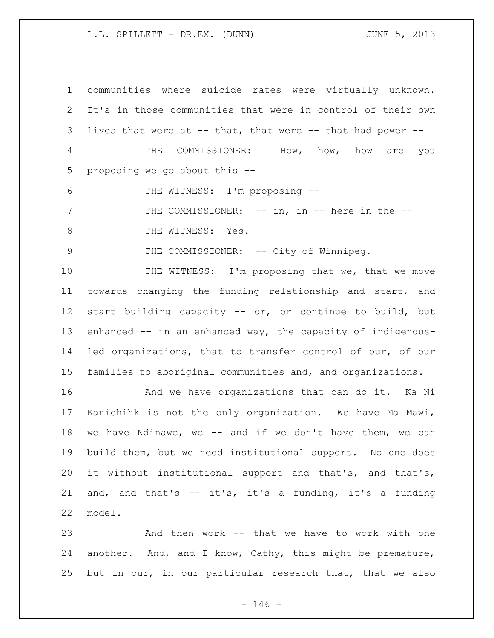communities where suicide rates were virtually unknown. It's in those communities that were in control of their own lives that were at -- that, that were -- that had power -- THE COMMISSIONER: How, how, how are you proposing we go about this -- THE WITNESS: I'm proposing -- 7 THE COMMISSIONER: -- in, in -- here in the --8 THE WITNESS: Yes. 9 THE COMMISSIONER: -- City of Winnipeg. 10 THE WITNESS: I'm proposing that we, that we move towards changing the funding relationship and start, and start building capacity -- or, or continue to build, but enhanced -- in an enhanced way, the capacity of indigenous- led organizations, that to transfer control of our, of our families to aboriginal communities and, and organizations. 16 6 10 And we have organizations that can do it. Ka Ni Kanichihk is not the only organization. We have Ma Mawi, we have Ndinawe, we -- and if we don't have them, we can build them, but we need institutional support. No one does it without institutional support and that's, and that's,

 and, and that's -- it's, it's a funding, it's a funding model.

 And then work -- that we have to work with one another. And, and I know, Cathy, this might be premature, but in our, in our particular research that, that we also

 $- 146 -$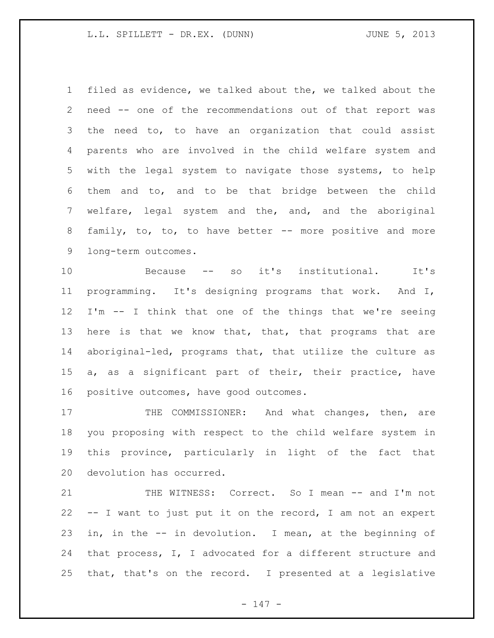filed as evidence, we talked about the, we talked about the need -- one of the recommendations out of that report was the need to, to have an organization that could assist parents who are involved in the child welfare system and with the legal system to navigate those systems, to help them and to, and to be that bridge between the child welfare, legal system and the, and, and the aboriginal 8 family, to, to, to have better -- more positive and more long-term outcomes.

 Because -- so it's institutional. It's programming. It's designing programs that work. And I, I'm -- I think that one of the things that we're seeing 13 here is that we know that, that, that programs that are aboriginal-led, programs that, that utilize the culture as a, as a significant part of their, their practice, have positive outcomes, have good outcomes.

17 THE COMMISSIONER: And what changes, then, are you proposing with respect to the child welfare system in this province, particularly in light of the fact that devolution has occurred.

21 THE WITNESS: Correct. So I mean -- and I'm not -- I want to just put it on the record, I am not an expert in, in the -- in devolution. I mean, at the beginning of that process, I, I advocated for a different structure and that, that's on the record. I presented at a legislative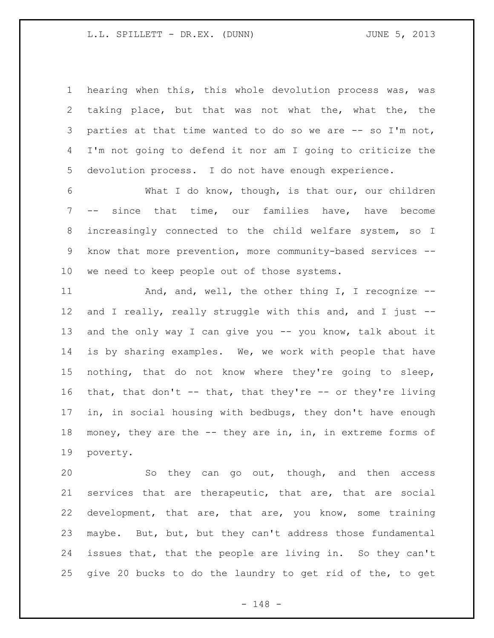hearing when this, this whole devolution process was, was taking place, but that was not what the, what the, the parties at that time wanted to do so we are -- so I'm not, I'm not going to defend it nor am I going to criticize the devolution process. I do not have enough experience.

 What I do know, though, is that our, our children -- since that time, our families have, have become increasingly connected to the child welfare system, so I know that more prevention, more community-based services -- we need to keep people out of those systems.

11 And, and, well, the other thing I, I recognize --12 and I really, really struggle with this and, and I just --13 and the only way I can give you -- you know, talk about it is by sharing examples. We, we work with people that have nothing, that do not know where they're going to sleep, that, that don't -- that, that they're -- or they're living in, in social housing with bedbugs, they don't have enough 18 money, they are the -- they are in, in, in extreme forms of poverty.

 So they can go out, though, and then access services that are therapeutic, that are, that are social development, that are, that are, you know, some training maybe. But, but, but they can't address those fundamental issues that, that the people are living in. So they can't give 20 bucks to do the laundry to get rid of the, to get

- 148 -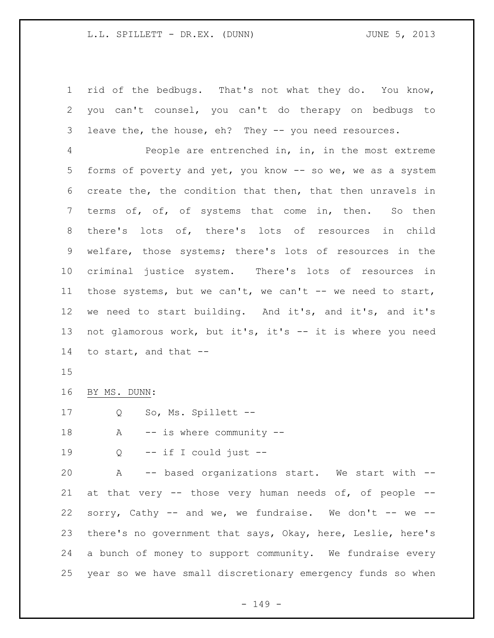rid of the bedbugs. That's not what they do. You know, you can't counsel, you can't do therapy on bedbugs to leave the, the house, eh? They -- you need resources.

 People are entrenched in, in, in the most extreme forms of poverty and yet, you know -- so we, we as a system create the, the condition that then, that then unravels in terms of, of, of systems that come in, then. So then there's lots of, there's lots of resources in child welfare, those systems; there's lots of resources in the criminal justice system. There's lots of resources in those systems, but we can't, we can't -- we need to start, we need to start building. And it's, and it's, and it's not glamorous work, but it's, it's -- it is where you need to start, and that --

BY MS. DUNN:

17 Q So, Ms. Spillett --

18 A -- is where community --

19  $Q \leftarrow$  if I could just  $-$ 

 A -- based organizations start. We start with -- at that very -- those very human needs of, of people -- 22 sorry, Cathy -- and we, we fundraise. We don't -- we -- there's no government that says, Okay, here, Leslie, here's a bunch of money to support community. We fundraise every year so we have small discretionary emergency funds so when

- 149 -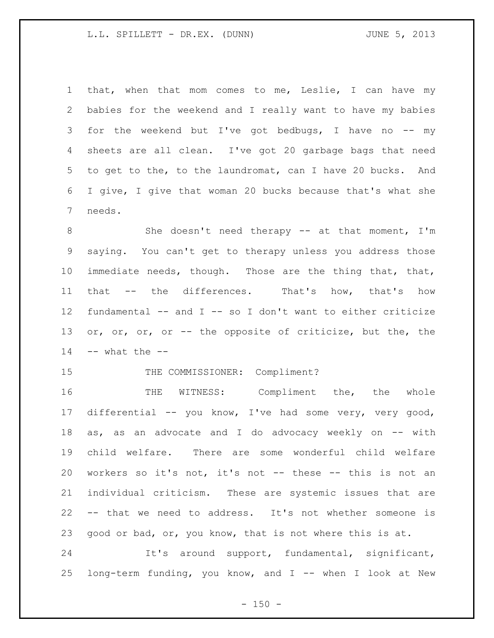that, when that mom comes to me, Leslie, I can have my babies for the weekend and I really want to have my babies 3 for the weekend but I've got bedbugs, I have no -- my sheets are all clean. I've got 20 garbage bags that need to get to the, to the laundromat, can I have 20 bucks. And I give, I give that woman 20 bucks because that's what she needs.

8 She doesn't need therapy -- at that moment, I'm saying. You can't get to therapy unless you address those immediate needs, though. Those are the thing that, that, that -- the differences. That's how, that's how fundamental -- and I -- so I don't want to either criticize 13 or, or, or, or -- the opposite of criticize, but the, the -- what the  $-$ 

# 15 THE COMMISSIONER: Compliment?

 THE WITNESS: Compliment the, the whole differential -- you know, I've had some very, very good, as, as an advocate and I do advocacy weekly on -- with child welfare. There are some wonderful child welfare workers so it's not, it's not -- these -- this is not an individual criticism. These are systemic issues that are -- that we need to address. It's not whether someone is good or bad, or, you know, that is not where this is at.

 It's around support, fundamental, significant, long-term funding, you know, and I -- when I look at New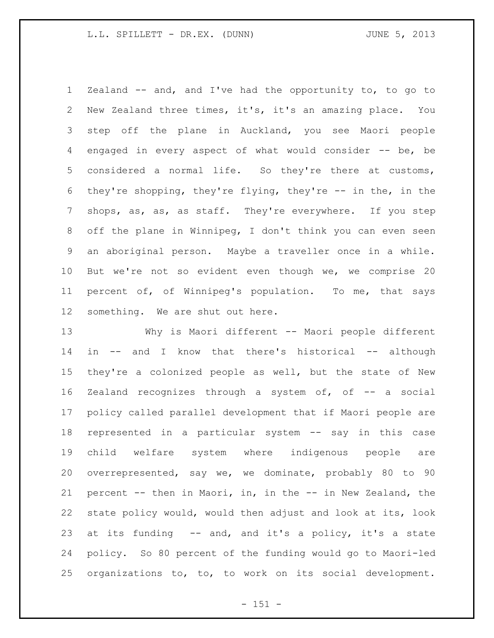Zealand -- and, and I've had the opportunity to, to go to New Zealand three times, it's, it's an amazing place. You step off the plane in Auckland, you see Maori people engaged in every aspect of what would consider -- be, be considered a normal life. So they're there at customs, they're shopping, they're flying, they're -- in the, in the shops, as, as, as staff. They're everywhere. If you step off the plane in Winnipeg, I don't think you can even seen an aboriginal person. Maybe a traveller once in a while. But we're not so evident even though we, we comprise 20 percent of, of Winnipeg's population. To me, that says something. We are shut out here.

 Why is Maori different -- Maori people different in -- and I know that there's historical -- although they're a colonized people as well, but the state of New Zealand recognizes through a system of, of -- a social policy called parallel development that if Maori people are represented in a particular system -- say in this case child welfare system where indigenous people are overrepresented, say we, we dominate, probably 80 to 90 percent -- then in Maori, in, in the -- in New Zealand, the state policy would, would then adjust and look at its, look at its funding -- and, and it's a policy, it's a state policy. So 80 percent of the funding would go to Maori-led organizations to, to, to work on its social development.

 $- 151 -$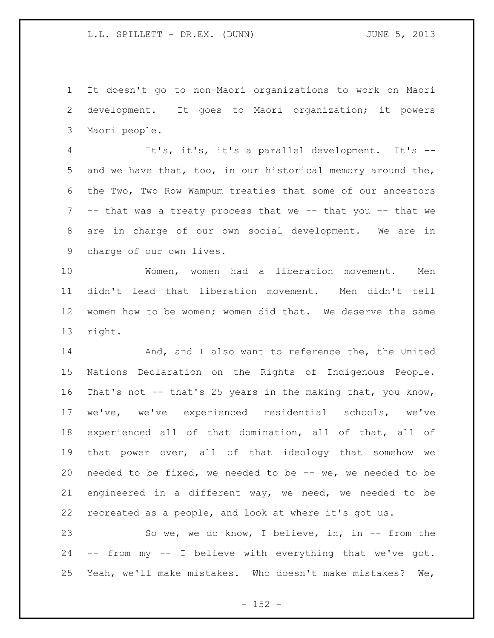It doesn't go to non-Maori organizations to work on Maori development. It goes to Maori organization; it powers Maori people.

 It's, it's, it's a parallel development. It's -- and we have that, too, in our historical memory around the, the Two, Two Row Wampum treaties that some of our ancestors -- that was a treaty process that we -- that you -- that we are in charge of our own social development. We are in charge of our own lives.

 Women, women had a liberation movement. Men didn't lead that liberation movement. Men didn't tell women how to be women; women did that. We deserve the same right.

14 And, and I also want to reference the, the United Nations Declaration on the Rights of Indigenous People. That's not -- that's 25 years in the making that, you know, we've, we've experienced residential schools, we've experienced all of that domination, all of that, all of that power over, all of that ideology that somehow we needed to be fixed, we needed to be -- we, we needed to be engineered in a different way, we need, we needed to be recreated as a people, and look at where it's got us.

 So we, we do know, I believe, in, in -- from the -- from my -- I believe with everything that we've got. Yeah, we'll make mistakes. Who doesn't make mistakes? We,

 $- 152 -$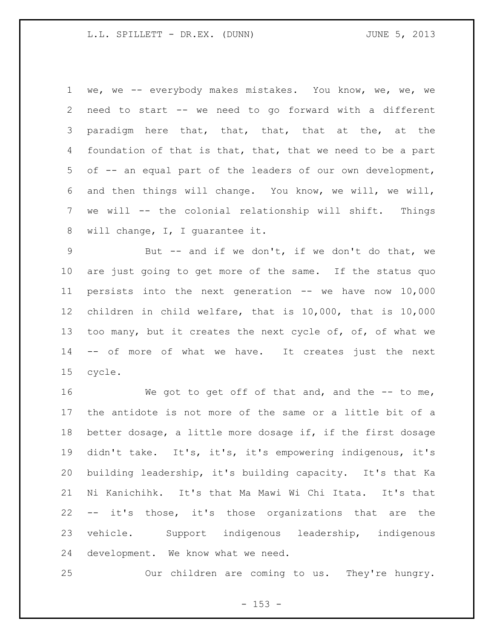we, we -- everybody makes mistakes. You know, we, we, we need to start -- we need to go forward with a different paradigm here that, that, that, that at the, at the foundation of that is that, that, that we need to be a part of -- an equal part of the leaders of our own development, and then things will change. You know, we will, we will, we will -- the colonial relationship will shift. Things will change, I, I guarantee it.

 But -- and if we don't, if we don't do that, we are just going to get more of the same. If the status quo persists into the next generation -- we have now 10,000 children in child welfare, that is 10,000, that is 10,000 13 too many, but it creates the next cycle of, of, of what we -- of more of what we have. It creates just the next cycle.

16 We got to get off of that and, and the -- to me, the antidote is not more of the same or a little bit of a better dosage, a little more dosage if, if the first dosage didn't take. It's, it's, it's empowering indigenous, it's building leadership, it's building capacity. It's that Ka Ni Kanichihk. It's that Ma Mawi Wi Chi Itata. It's that -- it's those, it's those organizations that are the vehicle. Support indigenous leadership, indigenous development. We know what we need.

Our children are coming to us. They're hungry.

 $- 153 -$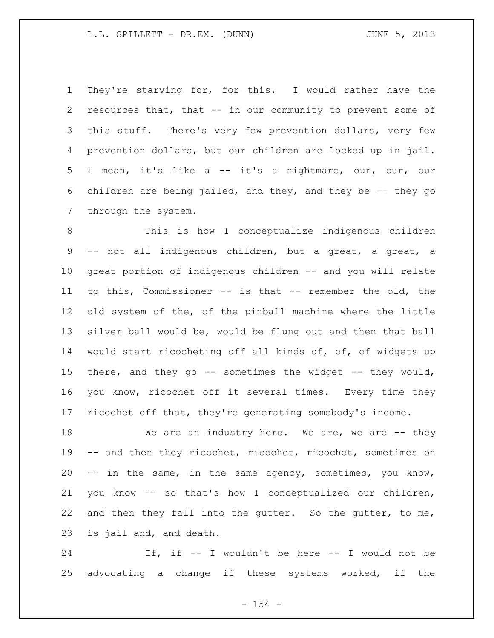They're starving for, for this. I would rather have the resources that, that -- in our community to prevent some of this stuff. There's very few prevention dollars, very few prevention dollars, but our children are locked up in jail. I mean, it's like a -- it's a nightmare, our, our, our children are being jailed, and they, and they be -- they go through the system.

 This is how I conceptualize indigenous children -- not all indigenous children, but a great, a great, a great portion of indigenous children -- and you will relate to this, Commissioner -- is that -- remember the old, the old system of the, of the pinball machine where the little silver ball would be, would be flung out and then that ball would start ricocheting off all kinds of, of, of widgets up there, and they go -- sometimes the widget -- they would, you know, ricochet off it several times. Every time they ricochet off that, they're generating somebody's income.

18 We are an industry here. We are, we are -- they -- and then they ricochet, ricochet, ricochet, sometimes on -- in the same, in the same agency, sometimes, you know, you know -- so that's how I conceptualized our children, 22 and then they fall into the gutter. So the gutter, to me, is jail and, and death.

 If, if -- I wouldn't be here -- I would not be advocating a change if these systems worked, if the

 $- 154 -$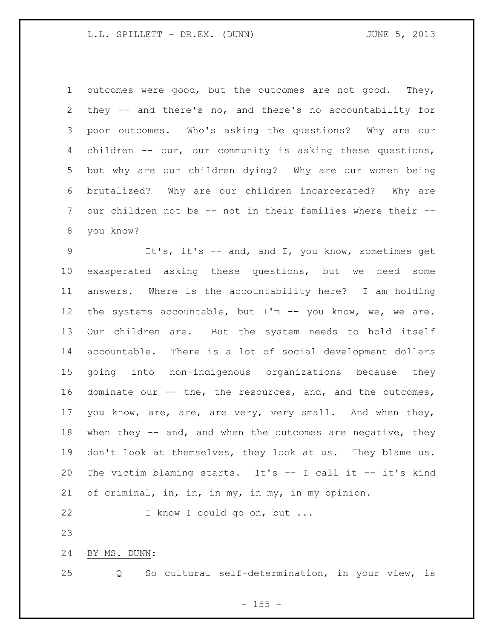outcomes were good, but the outcomes are not good. They, they -- and there's no, and there's no accountability for poor outcomes. Who's asking the questions? Why are our children -- our, our community is asking these questions, but why are our children dying? Why are our women being brutalized? Why are our children incarcerated? Why are our children not be -- not in their families where their -- you know?

 It's, it's -- and, and I, you know, sometimes get exasperated asking these questions, but we need some answers. Where is the accountability here? I am holding 12 the systems accountable, but I'm -- you know, we, we are. Our children are. But the system needs to hold itself accountable. There is a lot of social development dollars going into non-indigenous organizations because they dominate our -- the, the resources, and, and the outcomes, you know, are, are, are very, very small. And when they, 18 when they -- and, and when the outcomes are negative, they don't look at themselves, they look at us. They blame us. The victim blaming starts. It's -- I call it -- it's kind of criminal, in, in, in my, in my, in my opinion.

I know I could go on, but ...

BY MS. DUNN:

Q So cultural self-determination, in your view, is

 $- 155 -$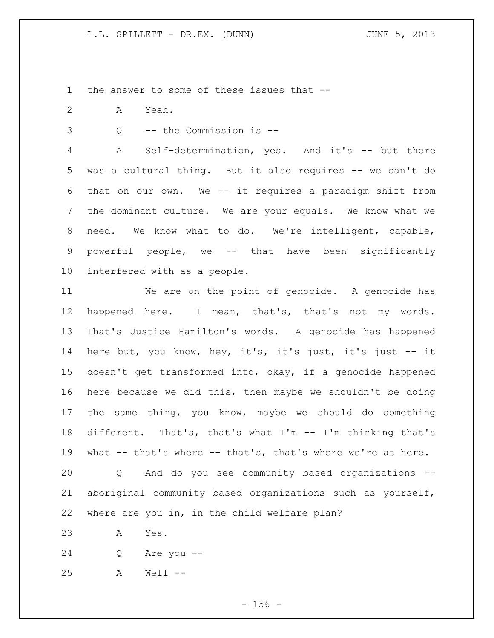the answer to some of these issues that --

- A Yeah.
- Q -- the Commission is --

 A Self-determination, yes. And it's -- but there was a cultural thing. But it also requires -- we can't do that on our own. We -- it requires a paradigm shift from the dominant culture. We are your equals. We know what we need. We know what to do. We're intelligent, capable, powerful people, we -- that have been significantly interfered with as a people.

 We are on the point of genocide. A genocide has happened here. I mean, that's, that's not my words. That's Justice Hamilton's words. A genocide has happened here but, you know, hey, it's, it's just, it's just -- it doesn't get transformed into, okay, if a genocide happened here because we did this, then maybe we shouldn't be doing the same thing, you know, maybe we should do something different. That's, that's what I'm -- I'm thinking that's what -- that's where -- that's, that's where we're at here.

 Q And do you see community based organizations -- aboriginal community based organizations such as yourself, where are you in, in the child welfare plan?

A Yes.

Q Are you --

A Well --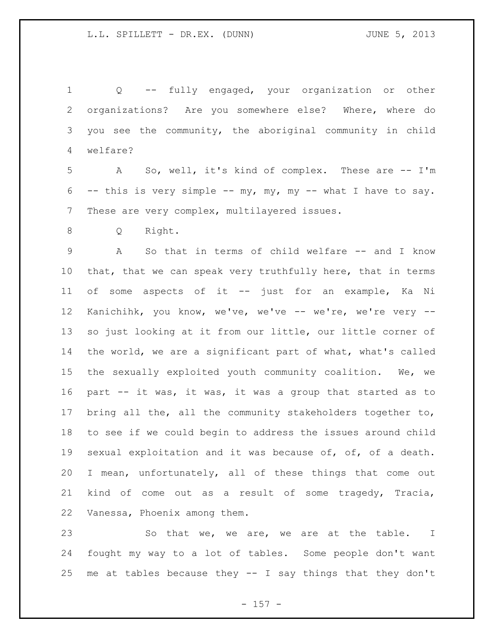Q -- fully engaged, your organization or other organizations? Are you somewhere else? Where, where do you see the community, the aboriginal community in child welfare? A So, well, it's kind of complex. These are -- I'm -- this is very simple -- my, my, my -- what I have to say. These are very complex, multilayered issues. Q Right. A So that in terms of child welfare -- and I know that, that we can speak very truthfully here, that in terms of some aspects of it -- just for an example, Ka Ni Kanichihk, you know, we've, we've -- we're, we're very -- so just looking at it from our little, our little corner of the world, we are a significant part of what, what's called the sexually exploited youth community coalition. We, we part -- it was, it was, it was a group that started as to bring all the, all the community stakeholders together to, to see if we could begin to address the issues around child sexual exploitation and it was because of, of, of a death. I mean, unfortunately, all of these things that come out kind of come out as a result of some tragedy, Tracia, Vanessa, Phoenix among them.

23 So that we, we are, we are at the table. I fought my way to a lot of tables. Some people don't want me at tables because they -- I say things that they don't

- 157 -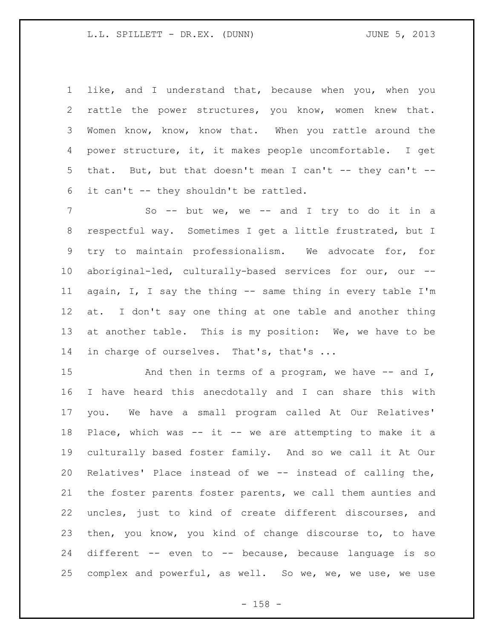like, and I understand that, because when you, when you rattle the power structures, you know, women knew that. Women know, know, know that. When you rattle around the power structure, it, it makes people uncomfortable. I get 5 that. But, but that doesn't mean I can't -- they can't --it can't -- they shouldn't be rattled.

7 So -- but we, we -- and I try to do it in a respectful way. Sometimes I get a little frustrated, but I try to maintain professionalism. We advocate for, for aboriginal-led, culturally-based services for our, our -- again, I, I say the thing -- same thing in every table I'm at. I don't say one thing at one table and another thing at another table. This is my position: We, we have to be 14 in charge of ourselves. That's, that's ...

15 And then in terms of a program, we have -- and I, I have heard this anecdotally and I can share this with you. We have a small program called At Our Relatives' Place, which was -- it -- we are attempting to make it a culturally based foster family. And so we call it At Our Relatives' Place instead of we -- instead of calling the, the foster parents foster parents, we call them aunties and uncles, just to kind of create different discourses, and then, you know, you kind of change discourse to, to have different -- even to -- because, because language is so complex and powerful, as well. So we, we, we use, we use

- 158 -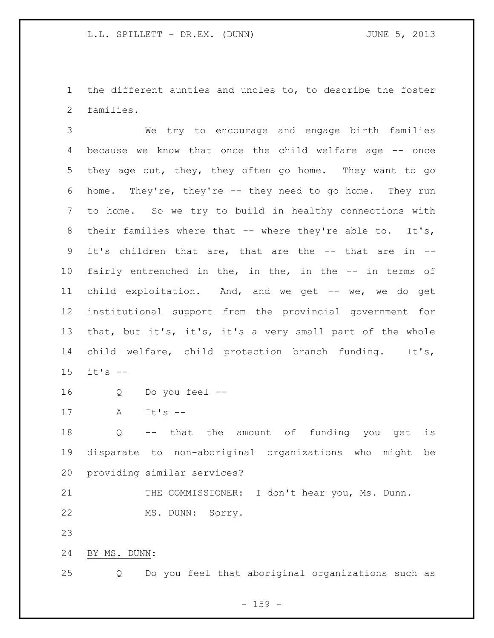the different aunties and uncles to, to describe the foster families.

 We try to encourage and engage birth families because we know that once the child welfare age -- once they age out, they, they often go home. They want to go home. They're, they're -- they need to go home. They run to home. So we try to build in healthy connections with 8 their families where that -- where they're able to. It's, it's children that are, that are the -- that are in -- fairly entrenched in the, in the, in the -- in terms of child exploitation. And, and we get -- we, we do get institutional support from the provincial government for that, but it's, it's, it's a very small part of the whole child welfare, child protection branch funding. It's, it's --

Q Do you feel --

A It's --

 Q -- that the amount of funding you get is disparate to non-aboriginal organizations who might be providing similar services?

21 THE COMMISSIONER: I don't hear you, Ms. Dunn. MS. DUNN: Sorry.

BY MS. DUNN:

Q Do you feel that aboriginal organizations such as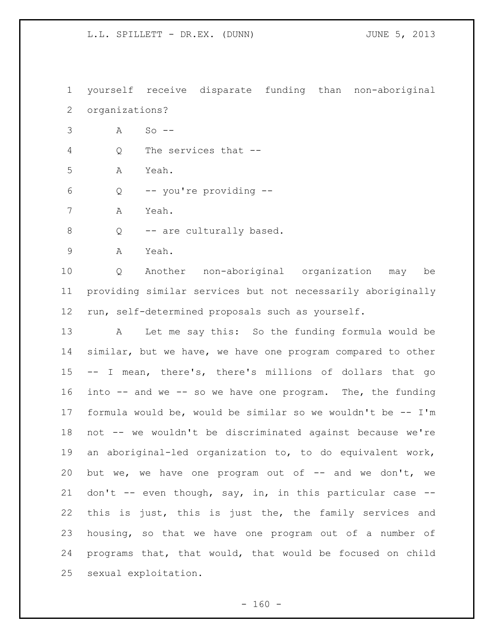yourself receive disparate funding than non-aboriginal organizations? A So -- Q The services that -- A Yeah. Q -- you're providing -- A Yeah. 8 Q -- are culturally based. A Yeah. Q Another non-aboriginal organization may be providing similar services but not necessarily aboriginally run, self-determined proposals such as yourself. A Let me say this: So the funding formula would be similar, but we have, we have one program compared to other -- I mean, there's, there's millions of dollars that go into -- and we -- so we have one program. The, the funding formula would be, would be similar so we wouldn't be -- I'm not -- we wouldn't be discriminated against because we're an aboriginal-led organization to, to do equivalent work, but we, we have one program out of -- and we don't, we don't -- even though, say, in, in this particular case -- this is just, this is just the, the family services and housing, so that we have one program out of a number of programs that, that would, that would be focused on child sexual exploitation.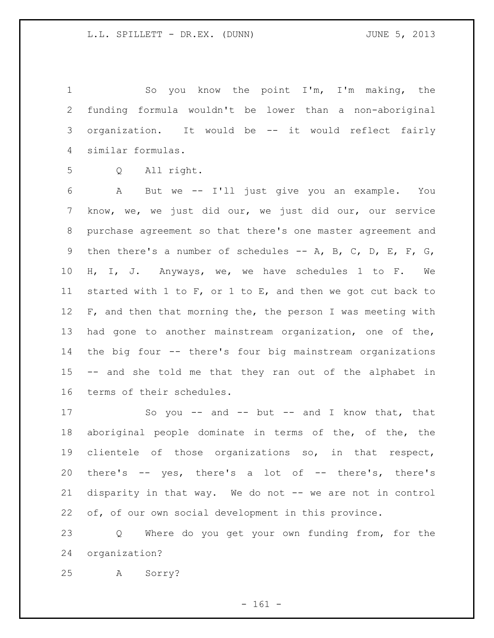So you know the point I'm, I'm making, the funding formula wouldn't be lower than a non-aboriginal organization. It would be -- it would reflect fairly similar formulas.

Q All right.

 A But we -- I'll just give you an example. You know, we, we just did our, we just did our, our service purchase agreement so that there's one master agreement and then there's a number of schedules -- A, B, C, D, E, F, G, H, I, J. Anyways, we, we have schedules 1 to F. We started with 1 to F, or 1 to E, and then we got cut back to 12 F, and then that morning the, the person I was meeting with had gone to another mainstream organization, one of the, the big four -- there's four big mainstream organizations -- and she told me that they ran out of the alphabet in terms of their schedules.

17 So you -- and -- but -- and I know that, that aboriginal people dominate in terms of the, of the, the clientele of those organizations so, in that respect, there's -- yes, there's a lot of -- there's, there's 21 disparity in that way. We do not -- we are not in control of, of our own social development in this province.

 Q Where do you get your own funding from, for the organization?

A Sorry?

- 161 -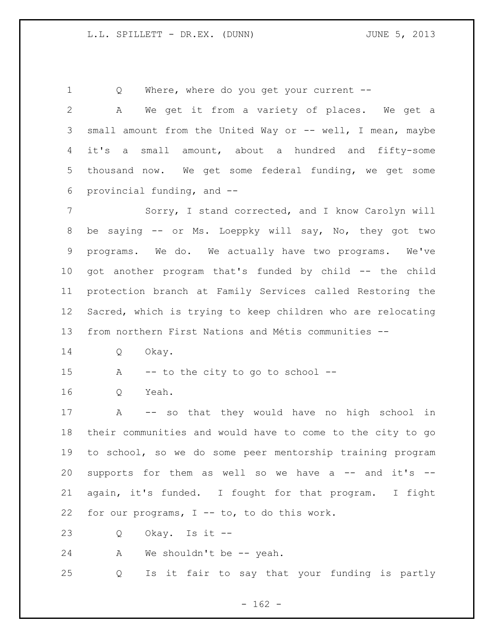Q Where, where do you get your current --

 A We get it from a variety of places. We get a 3 small amount from the United Way or -- well, I mean, maybe it's a small amount, about a hundred and fifty-some thousand now. We get some federal funding, we get some provincial funding, and -- Sorry, I stand corrected, and I know Carolyn will be saying -- or Ms. Loeppky will say, No, they got two programs. We do. We actually have two programs. We've got another program that's funded by child -- the child protection branch at Family Services called Restoring the Sacred, which is trying to keep children who are relocating from northern First Nations and Métis communities -- Q Okay. A -- to the city to go to school -- Q Yeah. A -- so that they would have no high school in their communities and would have to come to the city to go to school, so we do some peer mentorship training program 20 supports for them as well so we have a  $--$  and it's  $--$  again, it's funded. I fought for that program. I fight for our programs, I -- to, to do this work.

Q Okay. Is it --

24 A We shouldn't be -- yeah.

Q Is it fair to say that your funding is partly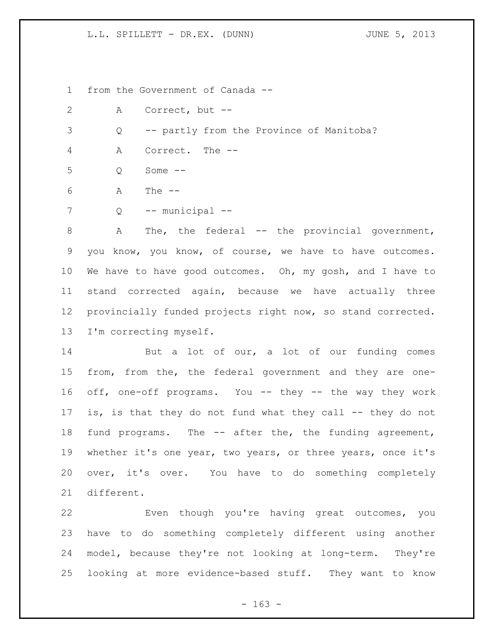from the Government of Canada --

A Correct, but --

Q -- partly from the Province of Manitoba?

A Correct. The --

Q Some --

A The --

Q -- municipal --

8 A The, the federal -- the provincial government, you know, you know, of course, we have to have outcomes. 10 We have to have good outcomes. Oh, my gosh, and I have to stand corrected again, because we have actually three provincially funded projects right now, so stand corrected. I'm correcting myself.

 But a lot of our, a lot of our funding comes from, from the, the federal government and they are one- off, one-off programs. You -- they -- the way they work 17 is, is that they do not fund what they call -- they do not fund programs. The -- after the, the funding agreement, whether it's one year, two years, or three years, once it's over, it's over. You have to do something completely different.

 Even though you're having great outcomes, you have to do something completely different using another model, because they're not looking at long-term. They're looking at more evidence-based stuff. They want to know

- 163 -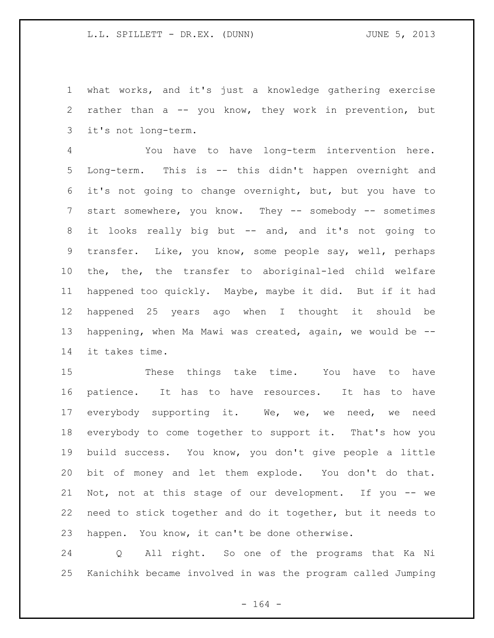what works, and it's just a knowledge gathering exercise rather than a -- you know, they work in prevention, but it's not long-term.

 You have to have long-term intervention here. Long-term. This is -- this didn't happen overnight and it's not going to change overnight, but, but you have to 7 start somewhere, you know. They -- somebody -- sometimes it looks really big but -- and, and it's not going to transfer. Like, you know, some people say, well, perhaps the, the, the transfer to aboriginal-led child welfare happened too quickly. Maybe, maybe it did. But if it had happened 25 years ago when I thought it should be happening, when Ma Mawi was created, again, we would be -- it takes time.

 These things take time. You have to have patience. It has to have resources. It has to have everybody supporting it. We, we, we need, we need everybody to come together to support it. That's how you build success. You know, you don't give people a little bit of money and let them explode. You don't do that. Not, not at this stage of our development. If you -- we need to stick together and do it together, but it needs to happen. You know, it can't be done otherwise.

 Q All right. So one of the programs that Ka Ni Kanichihk became involved in was the program called Jumping

- 164 -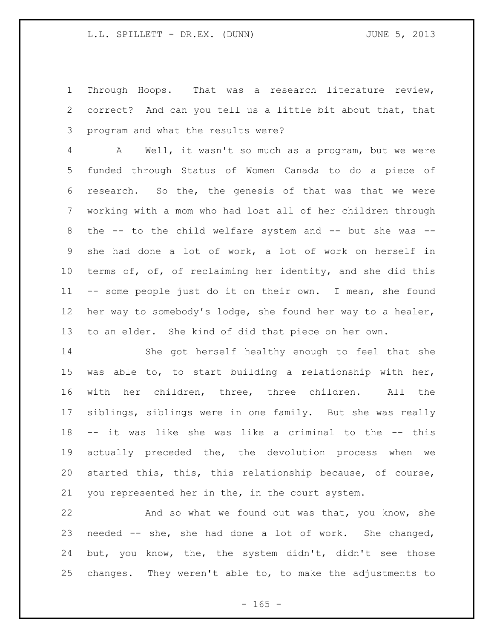Through Hoops. That was a research literature review, correct? And can you tell us a little bit about that, that program and what the results were?

 A Well, it wasn't so much as a program, but we were funded through Status of Women Canada to do a piece of research. So the, the genesis of that was that we were working with a mom who had lost all of her children through the -- to the child welfare system and -- but she was -- she had done a lot of work, a lot of work on herself in 10 terms of, of, of reclaiming her identity, and she did this -- some people just do it on their own. I mean, she found her way to somebody's lodge, she found her way to a healer, to an elder. She kind of did that piece on her own.

 She got herself healthy enough to feel that she was able to, to start building a relationship with her, with her children, three, three children. All the siblings, siblings were in one family. But she was really -- it was like she was like a criminal to the -- this actually preceded the, the devolution process when we started this, this, this relationship because, of course, you represented her in the, in the court system.

22 And so what we found out was that, you know, she needed -- she, she had done a lot of work. She changed, but, you know, the, the system didn't, didn't see those changes. They weren't able to, to make the adjustments to

 $- 165 -$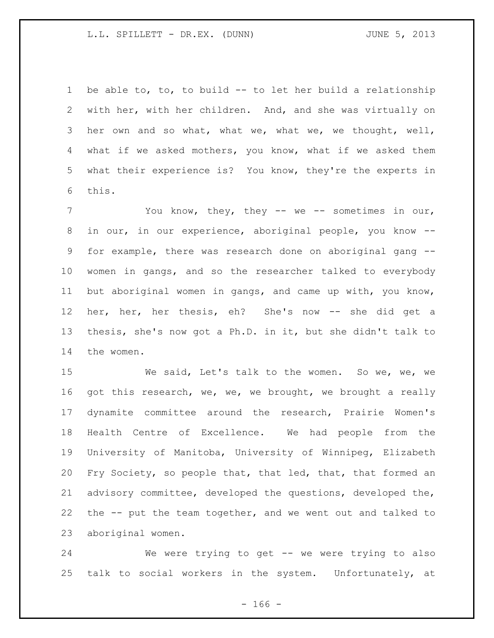be able to, to, to build -- to let her build a relationship with her, with her children. And, and she was virtually on her own and so what, what we, what we, we thought, well, what if we asked mothers, you know, what if we asked them what their experience is? You know, they're the experts in this.

 You know, they, they -- we -- sometimes in our, in our, in our experience, aboriginal people, you know -- for example, there was research done on aboriginal gang -- women in gangs, and so the researcher talked to everybody but aboriginal women in gangs, and came up with, you know, her, her, her thesis, eh? She's now -- she did get a thesis, she's now got a Ph.D. in it, but she didn't talk to the women.

 We said, Let's talk to the women. So we, we, we 16 got this research, we, we, we brought, we brought a really dynamite committee around the research, Prairie Women's Health Centre of Excellence. We had people from the University of Manitoba, University of Winnipeg, Elizabeth Fry Society, so people that, that led, that, that formed an advisory committee, developed the questions, developed the, the -- put the team together, and we went out and talked to aboriginal women.

 We were trying to get -- we were trying to also talk to social workers in the system. Unfortunately, at

- 166 -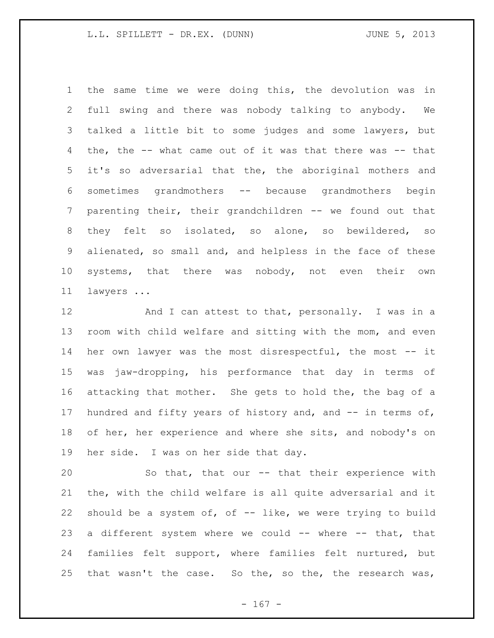the same time we were doing this, the devolution was in full swing and there was nobody talking to anybody. We talked a little bit to some judges and some lawyers, but the, the -- what came out of it was that there was -- that it's so adversarial that the, the aboriginal mothers and sometimes grandmothers -- because grandmothers begin parenting their, their grandchildren -- we found out that they felt so isolated, so alone, so bewildered, so alienated, so small and, and helpless in the face of these systems, that there was nobody, not even their own lawyers ...

 And I can attest to that, personally. I was in a room with child welfare and sitting with the mom, and even her own lawyer was the most disrespectful, the most -- it was jaw-dropping, his performance that day in terms of attacking that mother. She gets to hold the, the bag of a 17 hundred and fifty years of history and, and -- in terms of, 18 of her, her experience and where she sits, and nobody's on her side. I was on her side that day.

 So that, that our -- that their experience with the, with the child welfare is all quite adversarial and it 22 should be a system of, of  $-$  like, we were trying to build a different system where we could -- where -- that, that families felt support, where families felt nurtured, but that wasn't the case. So the, so the, the research was,

- 167 -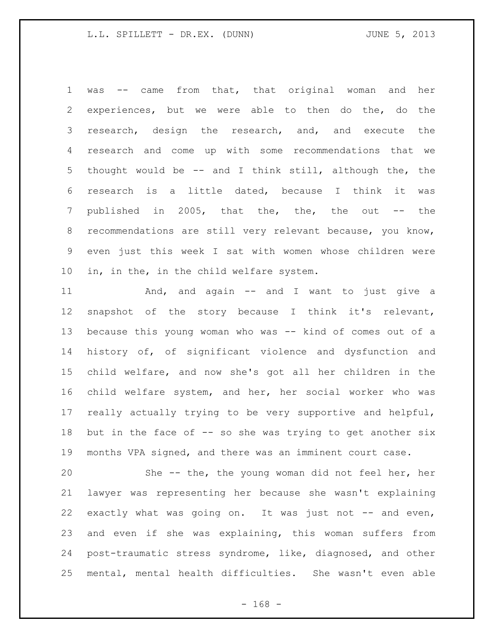was -- came from that, that original woman and her experiences, but we were able to then do the, do the research, design the research, and, and execute the research and come up with some recommendations that we thought would be -- and I think still, although the, the research is a little dated, because I think it was published in 2005, that the, the, the out -- the recommendations are still very relevant because, you know, even just this week I sat with women whose children were in, in the, in the child welfare system.

 And, and again -- and I want to just give a snapshot of the story because I think it's relevant, because this young woman who was -- kind of comes out of a history of, of significant violence and dysfunction and child welfare, and now she's got all her children in the child welfare system, and her, her social worker who was really actually trying to be very supportive and helpful, 18 but in the face of -- so she was trying to get another six months VPA signed, and there was an imminent court case.

 She -- the, the young woman did not feel her, her lawyer was representing her because she wasn't explaining exactly what was going on. It was just not -- and even, and even if she was explaining, this woman suffers from post-traumatic stress syndrome, like, diagnosed, and other mental, mental health difficulties. She wasn't even able

 $- 168 -$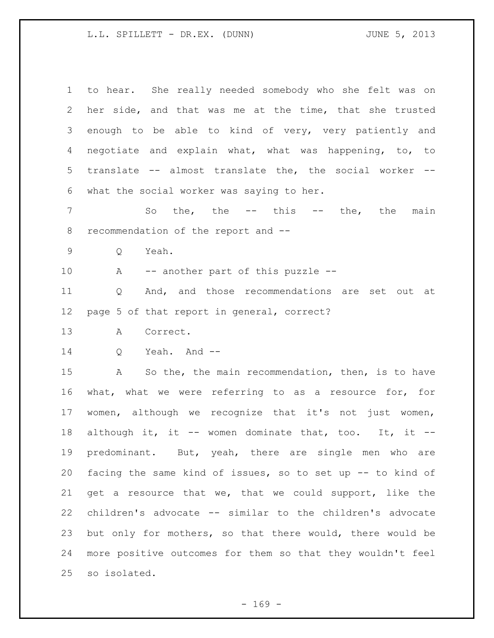| $\mathbf 1$       | to hear. She really needed somebody who she felt was on          |
|-------------------|------------------------------------------------------------------|
| 2                 | her side, and that was me at the time, that she trusted          |
| 3                 | enough to be able to kind of very, very patiently and            |
| 4                 | negotiate and explain what, what was happening, to, to           |
| 5                 | translate -- almost translate the, the social worker --          |
| 6                 | what the social worker was saying to her.                        |
| 7                 | So the, the $--$ this $--$ the, the<br>main                      |
| 8                 | recommendation of the report and --                              |
| $\mathsf 9$       | Yeah.<br>Q                                                       |
| 10                | A<br>-- another part of this puzzle --                           |
| 11                | And, and those recommendations are set out at<br>Q               |
| $12 \overline{ }$ | page 5 of that report in general, correct?                       |
| 13                | Correct.<br>А                                                    |
| 14                | Yeah. And --<br>Q                                                |
| 15                | $\mathbb A$<br>So the, the main recommendation, then, is to have |
| 16                | what, what we were referring to as a resource for, for           |
| 17                | women, although we recognize that it's not just women,           |
| 18                | although it, it -- women dominate that, too. It, it --           |
| 19                | predominant. But, yeah, there are single men who are             |
| 20                | facing the same kind of issues, so to set up -- to kind of       |
| 21                | get a resource that we, that we could support, like the          |
| 22                | children's advocate -- similar to the children's advocate        |
| 23                | but only for mothers, so that there would, there would be        |
| 24                | more positive outcomes for them so that they wouldn't feel       |
| 25                | so isolated.                                                     |

- 169 -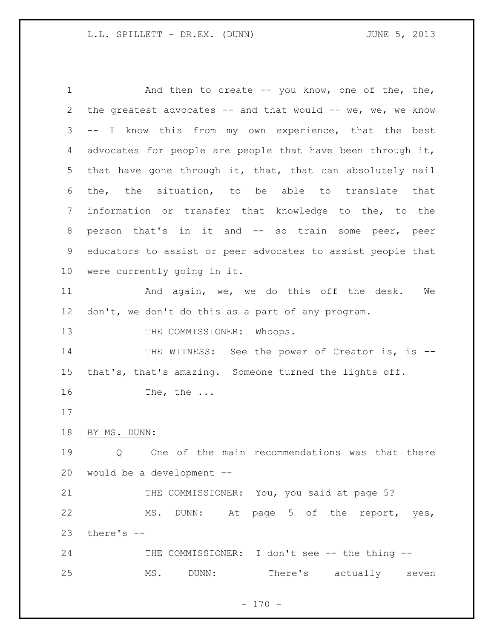1 and then to create -- you know, one of the, the, the greatest advocates -- and that would -- we, we, we know -- I know this from my own experience, that the best advocates for people are people that have been through it, that have gone through it, that, that can absolutely nail the, the situation, to be able to translate that information or transfer that knowledge to the, to the person that's in it and -- so train some peer, peer educators to assist or peer advocates to assist people that were currently going in it. 11 And again, we, we do this off the desk. We don't, we don't do this as a part of any program. 13 THE COMMISSIONER: Whoops. 14 THE WITNESS: See the power of Creator is, is -- that's, that's amazing. Someone turned the lights off. The, the ... BY MS. DUNN: Q One of the main recommendations was that there would be a development -- 21 THE COMMISSIONER: You, you said at page 5? MS. DUNN: At page 5 of the report, yes, there's -- THE COMMISSIONER: I don't see -- the thing -- MS. DUNN: There's actually seven

 $- 170 -$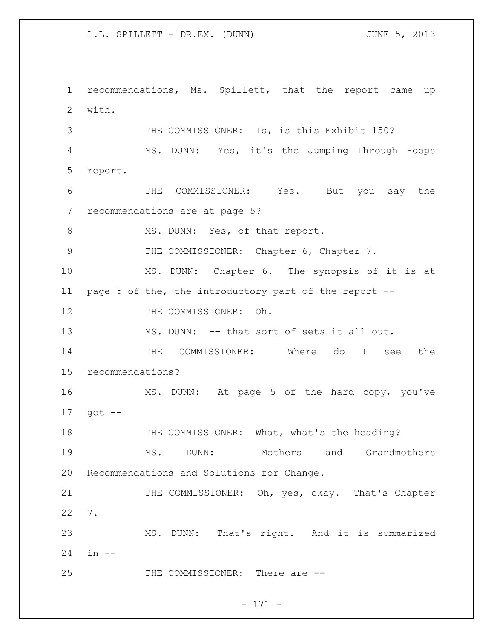recommendations, Ms. Spillett, that the report came up with. 3 THE COMMISSIONER: Is, is this Exhibit 150? MS. DUNN: Yes, it's the Jumping Through Hoops report. THE COMMISSIONER: Yes. But you say the recommendations are at page 5? 8 MS. DUNN: Yes, of that report. THE COMMISSIONER: Chapter 6, Chapter 7. MS. DUNN: Chapter 6. The synopsis of it is at page 5 of the, the introductory part of the report -- 12 THE COMMISSIONER: Oh. MS. DUNN: -- that sort of sets it all out. THE COMMISSIONER: Where do I see the recommendations? MS. DUNN: At page 5 of the hard copy, you've got -- 18 THE COMMISSIONER: What, what's the heading? MS. DUNN: Mothers and Grandmothers Recommendations and Solutions for Change. 21 THE COMMISSIONER: Oh, yes, okay. That's Chapter 7. MS. DUNN: That's right. And it is summarized in -- 25 THE COMMISSIONER: There are --

- 171 -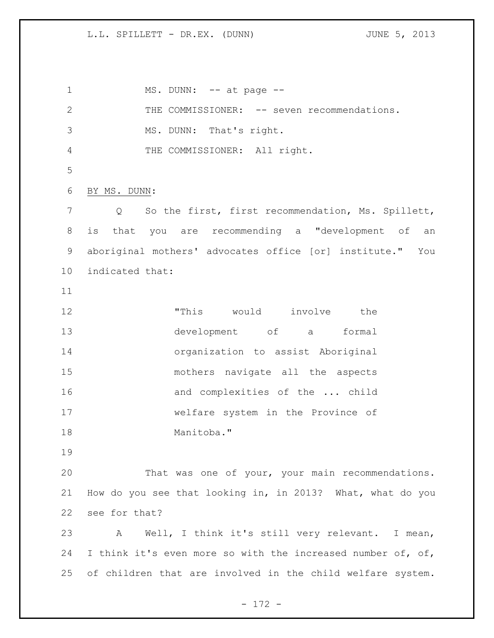1 MS. DUNN: -- at page --2 THE COMMISSIONER: -- seven recommendations. MS. DUNN: That's right. THE COMMISSIONER: All right. BY MS. DUNN: Q So the first, first recommendation, Ms. Spillett, is that you are recommending a "development of an aboriginal mothers' advocates office [or] institute." You indicated that: "This would involve the development of a formal organization to assist Aboriginal mothers navigate all the aspects 16 and complexities of the ... child welfare system in the Province of Manitoba." That was one of your, your main recommendations. How do you see that looking in, in 2013? What, what do you see for that? A Well, I think it's still very relevant. I mean, 24 I think it's even more so with the increased number of, of, of children that are involved in the child welfare system.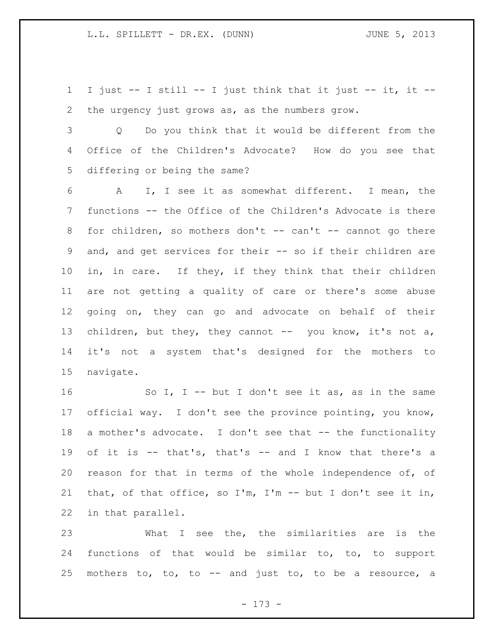I just -- I still -- I just think that it just -- it, it -- the urgency just grows as, as the numbers grow.

 Q Do you think that it would be different from the Office of the Children's Advocate? How do you see that differing or being the same?

 A I, I see it as somewhat different. I mean, the functions -- the Office of the Children's Advocate is there 8 for children, so mothers don't -- can't -- cannot go there and, and get services for their -- so if their children are in, in care. If they, if they think that their children are not getting a quality of care or there's some abuse going on, they can go and advocate on behalf of their 13 children, but they, they cannot -- you know, it's not a, it's not a system that's designed for the mothers to navigate.

 So I, I -- but I don't see it as, as in the same official way. I don't see the province pointing, you know, 18 a mother's advocate. I don't see that -- the functionality of it is -- that's, that's -- and I know that there's a reason for that in terms of the whole independence of, of that, of that office, so I'm, I'm -- but I don't see it in, in that parallel.

 What I see the, the similarities are is the functions of that would be similar to, to, to support mothers to, to, to -- and just to, to be a resource, a

- 173 -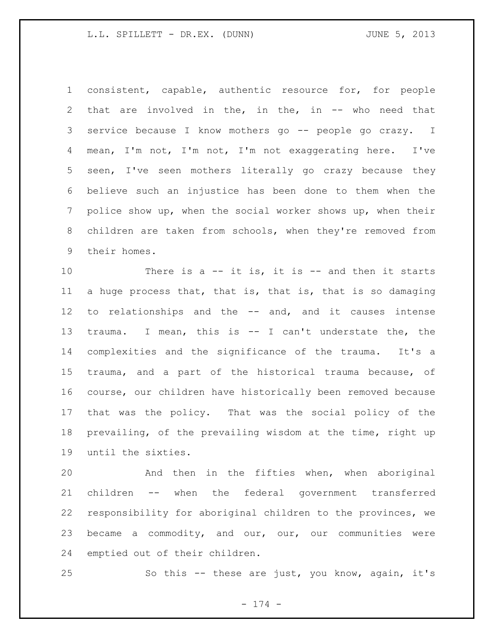consistent, capable, authentic resource for, for people that are involved in the, in the, in -- who need that service because I know mothers go -- people go crazy. I mean, I'm not, I'm not, I'm not exaggerating here. I've seen, I've seen mothers literally go crazy because they believe such an injustice has been done to them when the police show up, when the social worker shows up, when their children are taken from schools, when they're removed from their homes.

10 There is a -- it is, it is -- and then it starts a huge process that, that is, that is, that is so damaging to relationships and the -- and, and it causes intense trauma. I mean, this is -- I can't understate the, the complexities and the significance of the trauma. It's a trauma, and a part of the historical trauma because, of course, our children have historically been removed because that was the policy. That was the social policy of the prevailing, of the prevailing wisdom at the time, right up until the sixties.

 And then in the fifties when, when aboriginal children -- when the federal government transferred responsibility for aboriginal children to the provinces, we became a commodity, and our, our, our communities were emptied out of their children.

So this -- these are just, you know, again, it's

- 174 -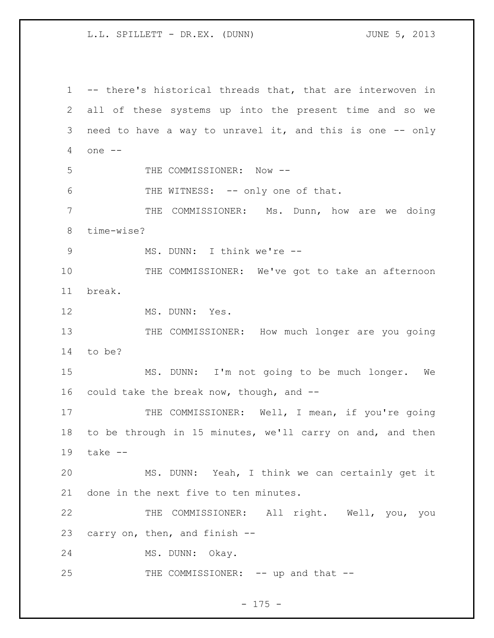-- there's historical threads that, that are interwoven in all of these systems up into the present time and so we need to have a way to unravel it, and this is one -- only one -- 5 THE COMMISSIONER: Now --6 THE WITNESS: -- only one of that. THE COMMISSIONER: Ms. Dunn, how are we doing time-wise? 9 MS. DUNN: I think we're -- THE COMMISSIONER: We've got to take an afternoon break. 12 MS. DUNN: Yes. 13 THE COMMISSIONER: How much longer are you going to be? MS. DUNN: I'm not going to be much longer. We could take the break now, though, and -- 17 THE COMMISSIONER: Well, I mean, if you're going to be through in 15 minutes, we'll carry on and, and then take -- MS. DUNN: Yeah, I think we can certainly get it done in the next five to ten minutes. THE COMMISSIONER: All right. Well, you, you carry on, then, and finish -- MS. DUNN: Okay. 25 THE COMMISSIONER: -- up and that --

#### - 175 -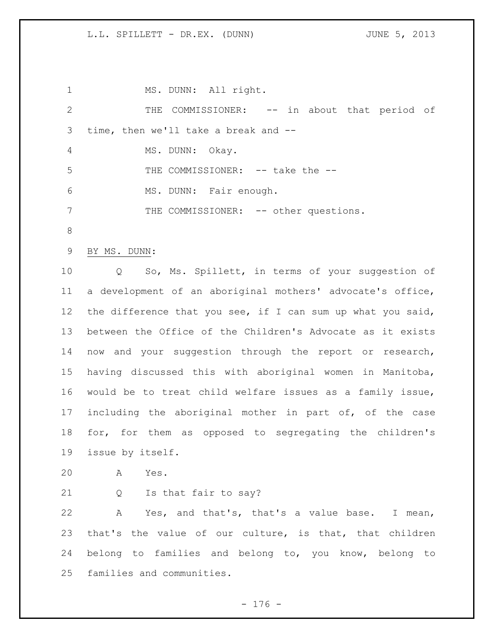1 MS. DUNN: All right. THE COMMISSIONER: -- in about that period of time, then we'll take a break and -- MS. DUNN: Okay. 5 THE COMMISSIONER: -- take the -- MS. DUNN: Fair enough. 7 THE COMMISSIONER: -- other questions. BY MS. DUNN: Q So, Ms. Spillett, in terms of your suggestion of a development of an aboriginal mothers' advocate's office, the difference that you see, if I can sum up what you said, between the Office of the Children's Advocate as it exists now and your suggestion through the report or research, having discussed this with aboriginal women in Manitoba, would be to treat child welfare issues as a family issue, including the aboriginal mother in part of, of the case for, for them as opposed to segregating the children's issue by itself. A Yes. Q Is that fair to say? A Yes, and that's, that's a value base. I mean, that's the value of our culture, is that, that children belong to families and belong to, you know, belong to families and communities.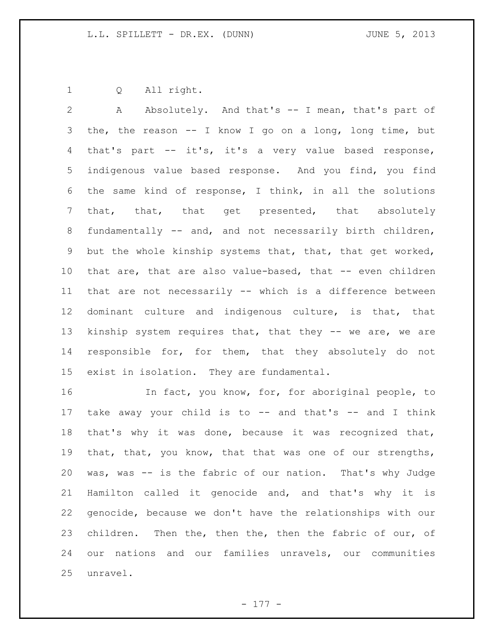Q All right.

 A Absolutely. And that's -- I mean, that's part of the, the reason -- I know I go on a long, long time, but that's part -- it's, it's a very value based response, indigenous value based response. And you find, you find the same kind of response, I think, in all the solutions that, that, that get presented, that absolutely fundamentally -- and, and not necessarily birth children, but the whole kinship systems that, that, that get worked, that are, that are also value-based, that -- even children that are not necessarily -- which is a difference between dominant culture and indigenous culture, is that, that kinship system requires that, that they -- we are, we are responsible for, for them, that they absolutely do not exist in isolation. They are fundamental.

 In fact, you know, for, for aboriginal people, to take away your child is to -- and that's -- and I think that's why it was done, because it was recognized that, that, that, you know, that that was one of our strengths, was, was -- is the fabric of our nation. That's why Judge Hamilton called it genocide and, and that's why it is genocide, because we don't have the relationships with our children. Then the, then the, then the fabric of our, of our nations and our families unravels, our communities unravel.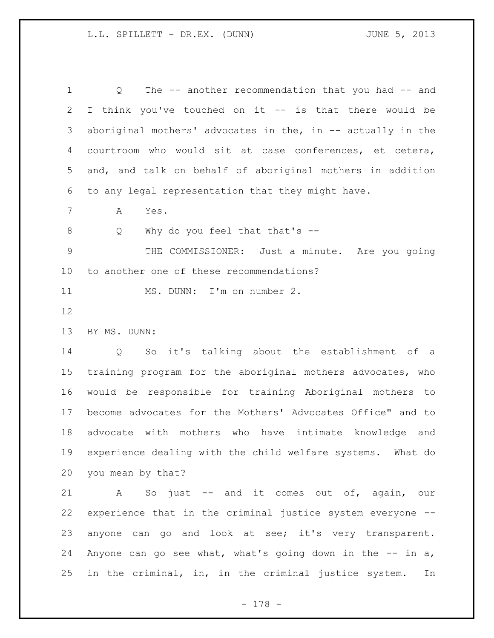1 0 The -- another recommendation that you had -- and I think you've touched on it -- is that there would be aboriginal mothers' advocates in the, in -- actually in the courtroom who would sit at case conferences, et cetera, and, and talk on behalf of aboriginal mothers in addition to any legal representation that they might have.

A Yes.

8 Q Why do you feel that that's --

 THE COMMISSIONER: Just a minute. Are you going to another one of these recommendations?

11 MS. DUNN: I'm on number 2.

BY MS. DUNN:

 Q So it's talking about the establishment of a training program for the aboriginal mothers advocates, who would be responsible for training Aboriginal mothers to become advocates for the Mothers' Advocates Office" and to advocate with mothers who have intimate knowledge and experience dealing with the child welfare systems. What do you mean by that?

 A So just -- and it comes out of, again, our experience that in the criminal justice system everyone -- anyone can go and look at see; it's very transparent. Anyone can go see what, what's going down in the -- in a, in the criminal, in, in the criminal justice system. In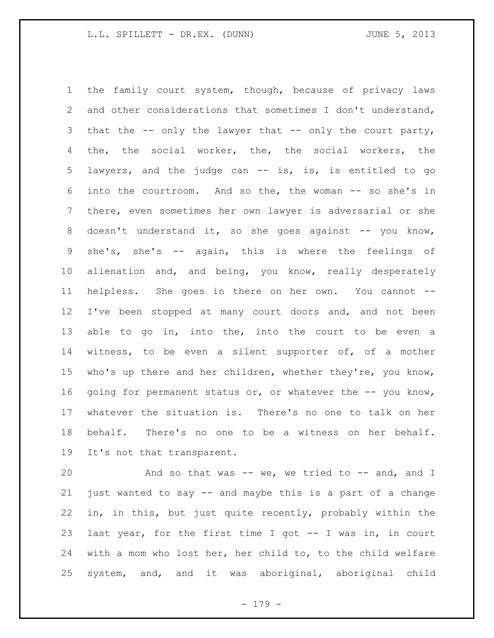the family court system, though, because of privacy laws and other considerations that sometimes I don't understand, that the -- only the lawyer that -- only the court party, the, the social worker, the, the social workers, the lawyers, and the judge can -- is, is, is entitled to go into the courtroom. And so the, the woman -- so she's in there, even sometimes her own lawyer is adversarial or she 8 doesn't understand it, so she goes against -- you know, she's, she's -- again, this is where the feelings of alienation and, and being, you know, really desperately helpless. She goes in there on her own. You cannot -- I've been stopped at many court doors and, and not been 13 able to go in, into the, into the court to be even a witness, to be even a silent supporter of, of a mother 15 who's up there and her children, whether they're, you know, 16 going for permanent status or, or whatever the -- you know, whatever the situation is. There's no one to talk on her behalf. There's no one to be a witness on her behalf. It's not that transparent.

20 And so that was -- we, we tried to -- and, and I just wanted to say -- and maybe this is a part of a change in, in this, but just quite recently, probably within the last year, for the first time I got -- I was in, in court with a mom who lost her, her child to, to the child welfare system, and, and it was aboriginal, aboriginal child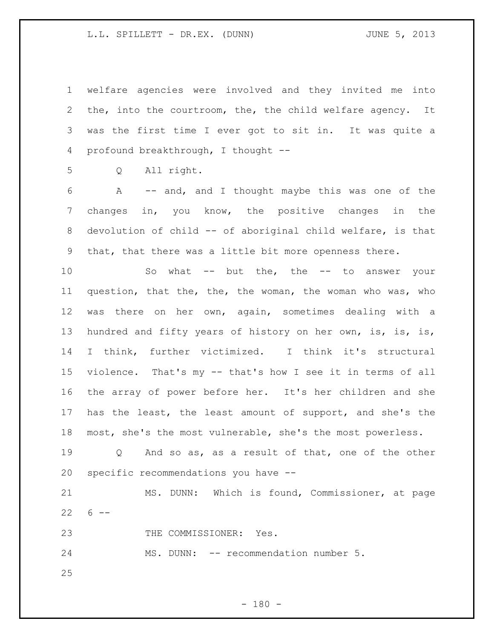welfare agencies were involved and they invited me into the, into the courtroom, the, the child welfare agency. It was the first time I ever got to sit in. It was quite a profound breakthrough, I thought --

Q All right.

 A -- and, and I thought maybe this was one of the changes in, you know, the positive changes in the devolution of child -- of aboriginal child welfare, is that that, that there was a little bit more openness there.

10 So what -- but the, the -- to answer your question, that the, the, the woman, the woman who was, who was there on her own, again, sometimes dealing with a hundred and fifty years of history on her own, is, is, is, I think, further victimized. I think it's structural violence. That's my -- that's how I see it in terms of all the array of power before her. It's her children and she has the least, the least amount of support, and she's the most, she's the most vulnerable, she's the most powerless.

19 0 And so as, as a result of that, one of the other specific recommendations you have --

 MS. DUNN: Which is found, Commissioner, at page  $22 \t 6 - -$ 

23 THE COMMISSIONER: Yes.

24 MS. DUNN: -- recommendation number 5.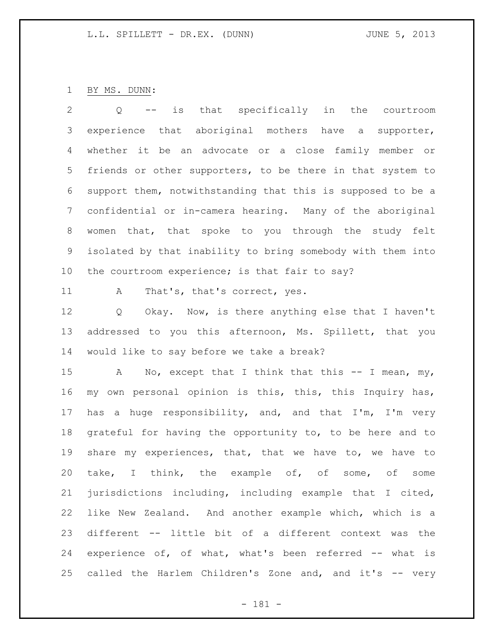BY MS. DUNN:

 Q -- is that specifically in the courtroom experience that aboriginal mothers have a supporter, whether it be an advocate or a close family member or friends or other supporters, to be there in that system to support them, notwithstanding that this is supposed to be a confidential or in-camera hearing. Many of the aboriginal women that, that spoke to you through the study felt isolated by that inability to bring somebody with them into the courtroom experience; is that fair to say? 11 A That's, that's correct, yes. Q Okay. Now, is there anything else that I haven't addressed to you this afternoon, Ms. Spillett, that you

would like to say before we take a break?

15 A No, except that I think that this -- I mean, my, my own personal opinion is this, this, this Inquiry has, has a huge responsibility, and, and that I'm, I'm very grateful for having the opportunity to, to be here and to share my experiences, that, that we have to, we have to take, I think, the example of, of some, of some jurisdictions including, including example that I cited, like New Zealand. And another example which, which is a different -- little bit of a different context was the experience of, of what, what's been referred -- what is 25 called the Harlem Children's Zone and, and it's -- very

- 181 -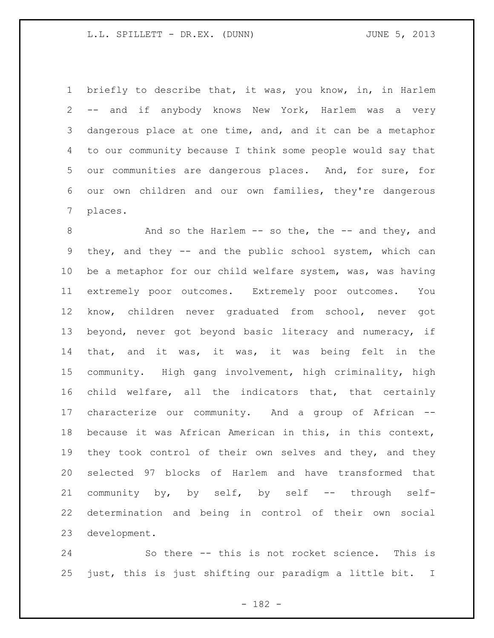briefly to describe that, it was, you know, in, in Harlem -- and if anybody knows New York, Harlem was a very dangerous place at one time, and, and it can be a metaphor to our community because I think some people would say that our communities are dangerous places. And, for sure, for our own children and our own families, they're dangerous places.

8 And so the Harlem -- so the, the -- and they, and they, and they -- and the public school system, which can be a metaphor for our child welfare system, was, was having extremely poor outcomes. Extremely poor outcomes. You know, children never graduated from school, never got beyond, never got beyond basic literacy and numeracy, if that, and it was, it was, it was being felt in the community. High gang involvement, high criminality, high child welfare, all the indicators that, that certainly characterize our community. And a group of African -- because it was African American in this, in this context, they took control of their own selves and they, and they selected 97 blocks of Harlem and have transformed that community by, by self, by self -- through self- determination and being in control of their own social development.

 So there -- this is not rocket science. This is just, this is just shifting our paradigm a little bit. I

- 182 -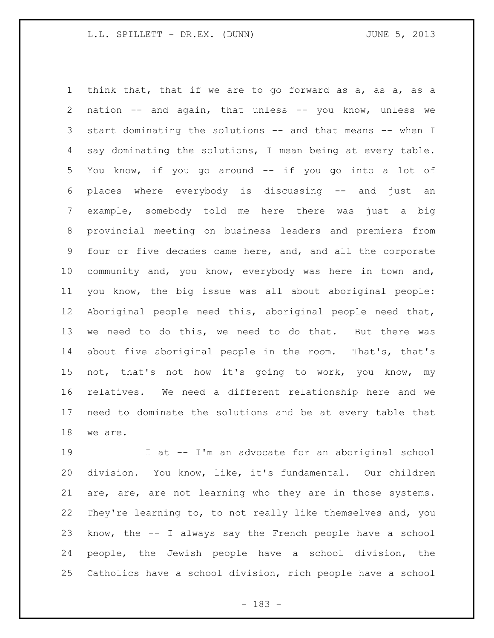think that, that if we are to go forward as a, as a, as a nation -- and again, that unless -- you know, unless we start dominating the solutions -- and that means -- when I say dominating the solutions, I mean being at every table. You know, if you go around -- if you go into a lot of places where everybody is discussing -- and just an example, somebody told me here there was just a big provincial meeting on business leaders and premiers from four or five decades came here, and, and all the corporate community and, you know, everybody was here in town and, you know, the big issue was all about aboriginal people: Aboriginal people need this, aboriginal people need that, we need to do this, we need to do that. But there was about five aboriginal people in the room. That's, that's not, that's not how it's going to work, you know, my relatives. We need a different relationship here and we need to dominate the solutions and be at every table that we are.

 I at -- I'm an advocate for an aboriginal school division. You know, like, it's fundamental. Our children are, are, are not learning who they are in those systems. They're learning to, to not really like themselves and, you know, the -- I always say the French people have a school people, the Jewish people have a school division, the Catholics have a school division, rich people have a school

- 183 -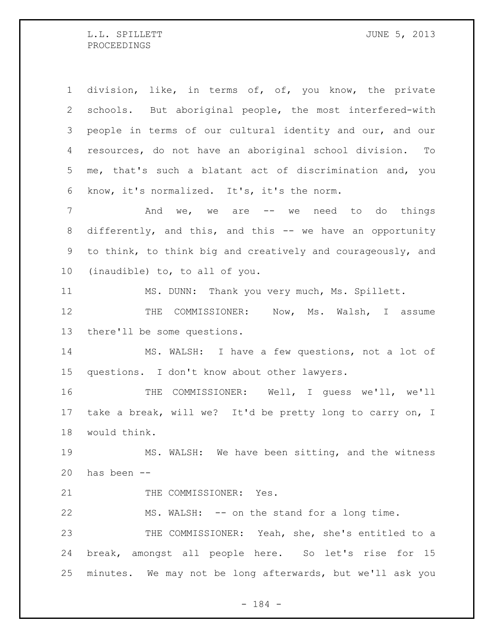division, like, in terms of, of, you know, the private schools. But aboriginal people, the most interfered-with people in terms of our cultural identity and our, and our resources, do not have an aboriginal school division. To me, that's such a blatant act of discrimination and, you know, it's normalized. It's, it's the norm. 7 and we, we are -- we need to do things 8 differently, and this, and this -- we have an opportunity to think, to think big and creatively and courageously, and (inaudible) to, to all of you. MS. DUNN: Thank you very much, Ms. Spillett. 12 THE COMMISSIONER: Now, Ms. Walsh, I assume there'll be some questions. MS. WALSH: I have a few questions, not a lot of questions. I don't know about other lawyers. THE COMMISSIONER: Well, I guess we'll, we'll take a break, will we? It'd be pretty long to carry on, I would think. MS. WALSH: We have been sitting, and the witness has been -- 21 THE COMMISSIONER: Yes. MS. WALSH: -- on the stand for a long time. THE COMMISSIONER: Yeah, she, she's entitled to a break, amongst all people here. So let's rise for 15 minutes. We may not be long afterwards, but we'll ask you

- 184 -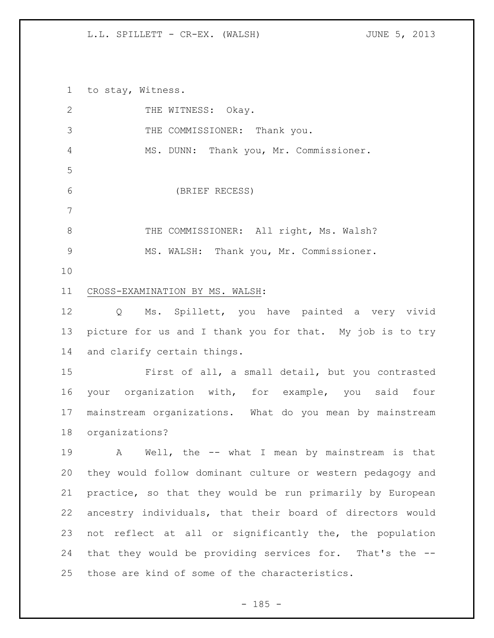to stay, Witness.

| $\overline{2}$ | THE WITNESS: Okay.                                         |
|----------------|------------------------------------------------------------|
| 3              | THE COMMISSIONER: Thank you.                               |
| 4              | MS. DUNN: Thank you, Mr. Commissioner.                     |
| 5              |                                                            |
| 6              | (BRIEF RECESS)                                             |
| $\overline{7}$ |                                                            |
| $8\,$          | THE COMMISSIONER: All right, Ms. Walsh?                    |
| $\mathcal{G}$  | MS. WALSH: Thank you, Mr. Commissioner.                    |
| 10             |                                                            |
| 11             | CROSS-EXAMINATION BY MS. WALSH:                            |
| 12             | Q Ms. Spillett, you have painted a very vivid              |
| 13             | picture for us and I thank you for that. My job is to try  |
| 14             | and clarify certain things.                                |
| 15             | First of all, a small detail, but you contrasted           |
| 16             | your organization with, for example, you said four         |
| 17             | mainstream organizations. What do you mean by mainstream   |
| 18             | organizations?                                             |
| 19             | A Well, the -- what I mean by mainstream is that           |
| 20             | they would follow dominant culture or western pedagogy and |
| 21             | practice, so that they would be run primarily by European  |
| 22             | ancestry individuals, that their board of directors would  |
| 23             | not reflect at all or significantly the, the population    |
| 24             | that they would be providing services for. That's the --   |
| 25             | those are kind of some of the characteristics.             |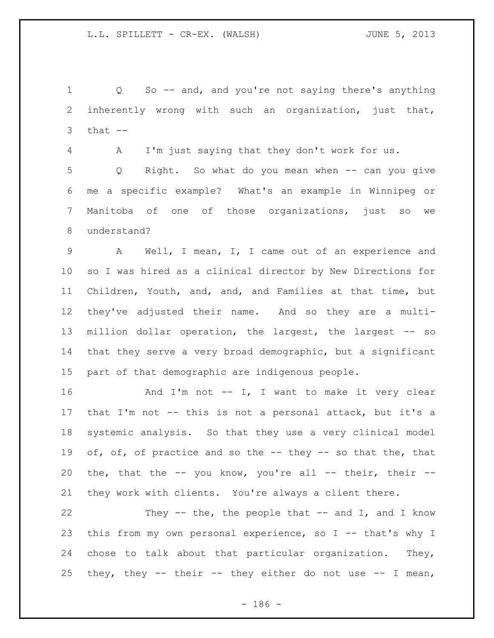Q So -- and, and you're not saying there's anything inherently wrong with such an organization, just that, that  $-$ 

A I'm just saying that they don't work for us.

 Q Right. So what do you mean when -- can you give me a specific example? What's an example in Winnipeg or Manitoba of one of those organizations, just so we understand?

 A Well, I mean, I, I came out of an experience and so I was hired as a clinical director by New Directions for Children, Youth, and, and, and Families at that time, but they've adjusted their name. And so they are a multi- million dollar operation, the largest, the largest -- so that they serve a very broad demographic, but a significant part of that demographic are indigenous people.

16 And I'm not -- I, I want to make it very clear that I'm not -- this is not a personal attack, but it's a systemic analysis. So that they use a very clinical model 19 of, of, of practice and so the -- they -- so that the, that 20 the, that the  $-$ - you know, you're all  $-$  their, their  $-$ -they work with clients. You're always a client there.

22 They -- the, the people that -- and I, and I know this from my own personal experience, so I -- that's why I chose to talk about that particular organization. They, 25 they, they  $-$  their  $-$  they either do not use  $-$  I mean,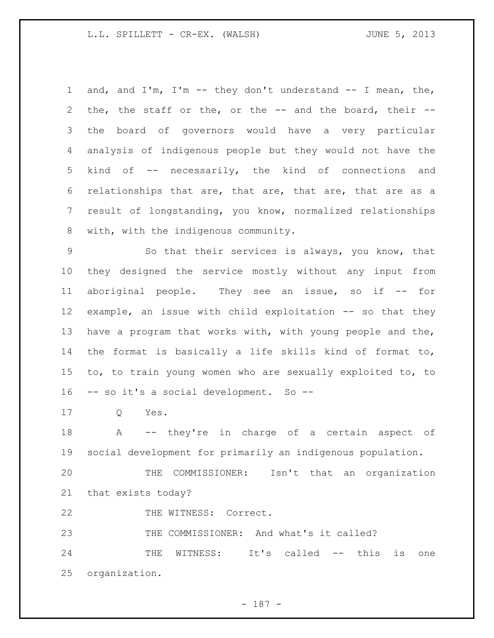and, and I'm, I'm -- they don't understand -- I mean, the, the, the staff or the, or the -- and the board, their -- the board of governors would have a very particular analysis of indigenous people but they would not have the kind of -- necessarily, the kind of connections and relationships that are, that are, that are, that are as a result of longstanding, you know, normalized relationships with, with the indigenous community.

 So that their services is always, you know, that they designed the service mostly without any input from aboriginal people. They see an issue, so if -- for example, an issue with child exploitation -- so that they have a program that works with, with young people and the, the format is basically a life skills kind of format to, to, to train young women who are sexually exploited to, to -- so it's a social development. So --

Q Yes.

18 A -- they're in charge of a certain aspect of social development for primarily an indigenous population.

 THE COMMISSIONER: Isn't that an organization that exists today?

22 THE WITNESS: Correct.

THE COMMISSIONER: And what's it called?

 THE WITNESS: It's called -- this is one organization.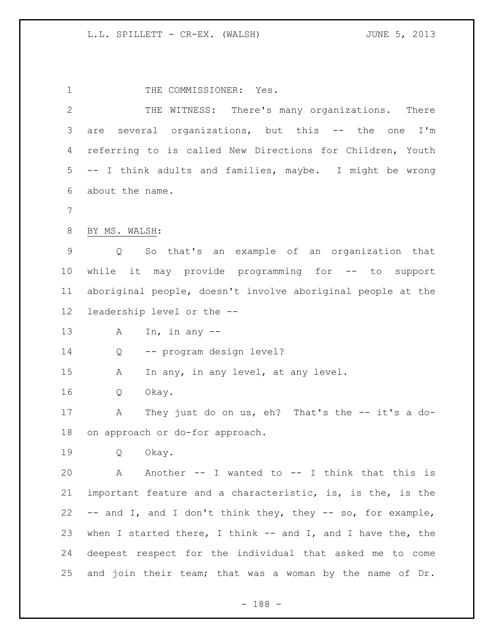1 THE COMMISSIONER: Yes. THE WITNESS: There's many organizations. There are several organizations, but this -- the one I'm referring to is called New Directions for Children, Youth -- I think adults and families, maybe. I might be wrong about the name. BY MS. WALSH: Q So that's an example of an organization that while it may provide programming for -- to support aboriginal people, doesn't involve aboriginal people at the leadership level or the -- A In, in any -- Q -- program design level? A In any, in any level, at any level. Q Okay. A They just do on us, eh? That's the -- it's a do- on approach or do-for approach. Q Okay. A Another -- I wanted to -- I think that this is important feature and a characteristic, is, is the, is the -- and I, and I don't think they, they -- so, for example, 23 when I started there, I think -- and I, and I have the, the deepest respect for the individual that asked me to come and join their team; that was a woman by the name of Dr.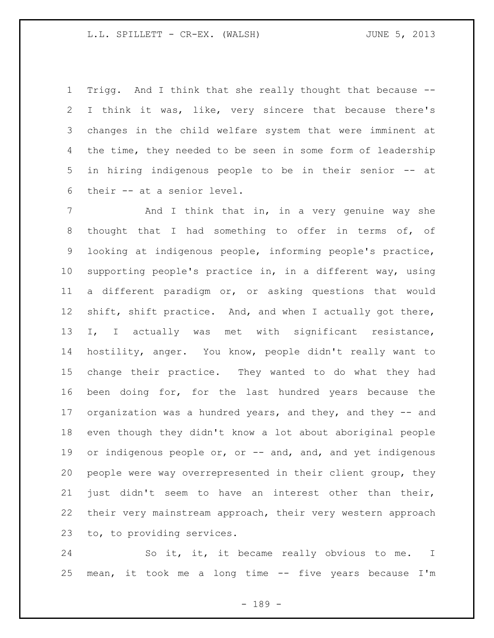Trigg. And I think that she really thought that because -- I think it was, like, very sincere that because there's changes in the child welfare system that were imminent at 4 the time, they needed to be seen in some form of leadership in hiring indigenous people to be in their senior -- at their -- at a senior level.

 And I think that in, in a very genuine way she thought that I had something to offer in terms of, of looking at indigenous people, informing people's practice, supporting people's practice in, in a different way, using a different paradigm or, or asking questions that would shift, shift practice. And, and when I actually got there, I, I actually was met with significant resistance, hostility, anger. You know, people didn't really want to change their practice. They wanted to do what they had been doing for, for the last hundred years because the organization was a hundred years, and they, and they -- and even though they didn't know a lot about aboriginal people 19 or indigenous people or, or -- and, and, and yet indigenous people were way overrepresented in their client group, they just didn't seem to have an interest other than their, their very mainstream approach, their very western approach to, to providing services.

 So it, it, it became really obvious to me. I mean, it took me a long time -- five years because I'm

- 189 -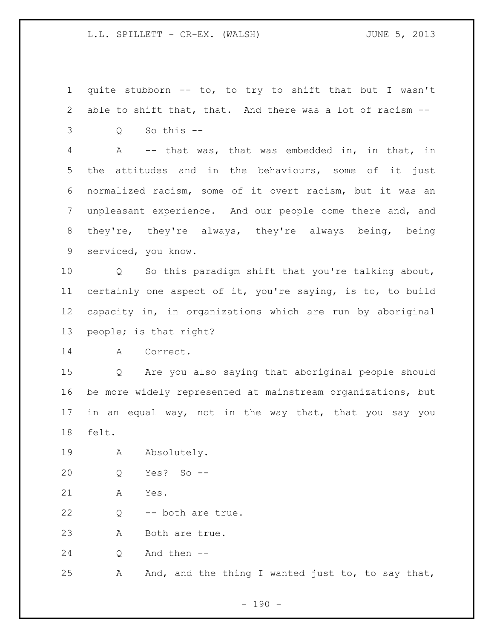quite stubborn -- to, to try to shift that but I wasn't able to shift that, that. And there was a lot of racism --

Q So this --

 A -- that was, that was embedded in, in that, in the attitudes and in the behaviours, some of it just normalized racism, some of it overt racism, but it was an unpleasant experience. And our people come there and, and they're, they're always, they're always being, being serviced, you know.

 Q So this paradigm shift that you're talking about, certainly one aspect of it, you're saying, is to, to build capacity in, in organizations which are run by aboriginal people; is that right?

A Correct.

 Q Are you also saying that aboriginal people should be more widely represented at mainstream organizations, but in an equal way, not in the way that, that you say you felt.

19 A Absolutely.

Q Yes? So --

A Yes.

Q -- both are true.

A Both are true.

Q And then --

A And, and the thing I wanted just to, to say that,

 $- 190 -$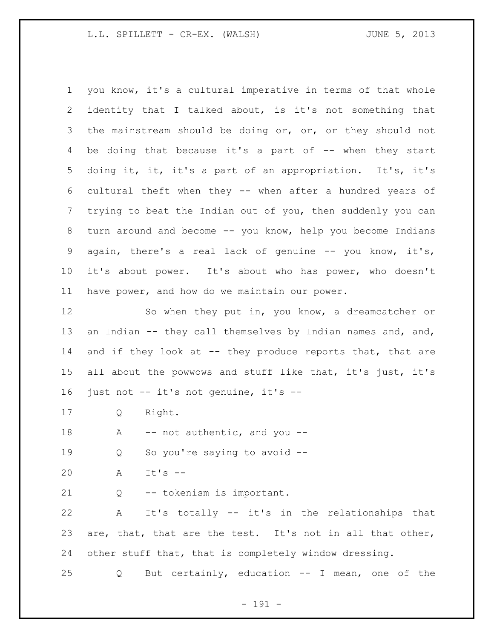you know, it's a cultural imperative in terms of that whole identity that I talked about, is it's not something that 3 the mainstream should be doing or, or, or they should not 4 be doing that because it's a part of -- when they start doing it, it, it's a part of an appropriation. It's, it's cultural theft when they -- when after a hundred years of trying to beat the Indian out of you, then suddenly you can turn around and become -- you know, help you become Indians again, there's a real lack of genuine -- you know, it's, it's about power. It's about who has power, who doesn't have power, and how do we maintain our power. So when they put in, you know, a dreamcatcher or 13 an Indian -- they call themselves by Indian names and, and, 14 and if they look at -- they produce reports that, that are all about the powwows and stuff like that, it's just, it's just not -- it's not genuine, it's --

Q Right.

18 A -- not authentic, and you --

Q So you're saying to avoid --

A It's --

Q -- tokenism is important.

 A It's totally -- it's in the relationships that are, that, that are the test. It's not in all that other, other stuff that, that is completely window dressing.

Q But certainly, education -- I mean, one of the

- 191 -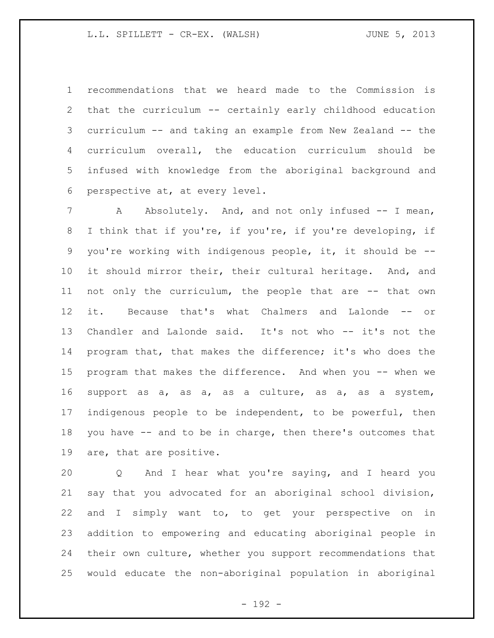recommendations that we heard made to the Commission is that the curriculum -- certainly early childhood education curriculum -- and taking an example from New Zealand -- the curriculum overall, the education curriculum should be infused with knowledge from the aboriginal background and perspective at, at every level.

7 A Absolutely. And, and not only infused -- I mean, I think that if you're, if you're, if you're developing, if you're working with indigenous people, it, it should be -- it should mirror their, their cultural heritage. And, and not only the curriculum, the people that are -- that own it. Because that's what Chalmers and Lalonde -- or Chandler and Lalonde said. It's not who -- it's not the program that, that makes the difference; it's who does the program that makes the difference. And when you -- when we support as a, as a, as a culture, as a, as a system, indigenous people to be independent, to be powerful, then you have -- and to be in charge, then there's outcomes that are, that are positive.

 Q And I hear what you're saying, and I heard you say that you advocated for an aboriginal school division, and I simply want to, to get your perspective on in addition to empowering and educating aboriginal people in their own culture, whether you support recommendations that would educate the non-aboriginal population in aboriginal

- 192 -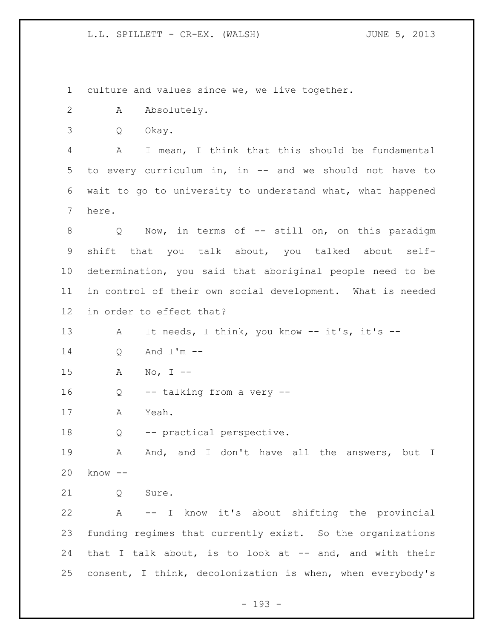culture and values since we, we live together.

- A Absolutely.
- Q Okay.

 A I mean, I think that this should be fundamental to every curriculum in, in -- and we should not have to wait to go to university to understand what, what happened here.

8 Q Now, in terms of -- still on, on this paradigm shift that you talk about, you talked about self- determination, you said that aboriginal people need to be in control of their own social development. What is needed in order to effect that?

13 A It needs, I think, you know -- it's, it's --

Q And I'm --

A No, I --

Q -- talking from a very --

A Yeah.

Q -- practical perspective.

 A And, and I don't have all the answers, but I know --

21 0 Sure.

 A -- I know it's about shifting the provincial funding regimes that currently exist. So the organizations that I talk about, is to look at -- and, and with their consent, I think, decolonization is when, when everybody's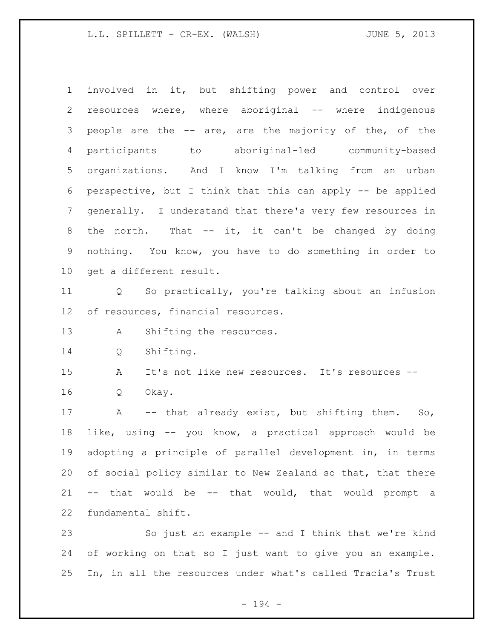involved in it, but shifting power and control over resources where, where aboriginal -- where indigenous people are the -- are, are the majority of the, of the participants to aboriginal-led community-based organizations. And I know I'm talking from an urban perspective, but I think that this can apply -- be applied generally. I understand that there's very few resources in 8 the north. That -- it, it can't be changed by doing nothing. You know, you have to do something in order to get a different result.

 Q So practically, you're talking about an infusion of resources, financial resources.

13 A Shifting the resources.

Q Shifting.

 A It's not like new resources. It's resources -- Q Okay.

17 A -- that already exist, but shifting them. So, like, using -- you know, a practical approach would be adopting a principle of parallel development in, in terms of social policy similar to New Zealand so that, that there -- that would be -- that would, that would prompt a fundamental shift.

 So just an example -- and I think that we're kind of working on that so I just want to give you an example. In, in all the resources under what's called Tracia's Trust

- 194 -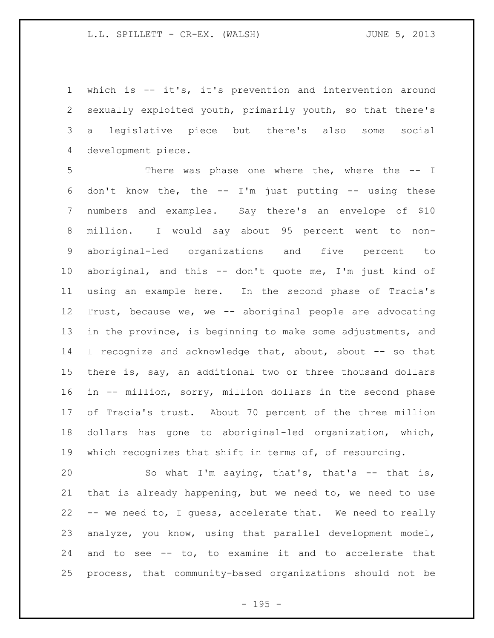which is -- it's, it's prevention and intervention around sexually exploited youth, primarily youth, so that there's a legislative piece but there's also some social development piece.

 There was phase one where the, where the -- I don't know the, the -- I'm just putting -- using these numbers and examples. Say there's an envelope of \$10 million. I would say about 95 percent went to non- aboriginal-led organizations and five percent to aboriginal, and this -- don't quote me, I'm just kind of using an example here. In the second phase of Tracia's Trust, because we, we -- aboriginal people are advocating in the province, is beginning to make some adjustments, and I recognize and acknowledge that, about, about -- so that there is, say, an additional two or three thousand dollars in -- million, sorry, million dollars in the second phase of Tracia's trust. About 70 percent of the three million dollars has gone to aboriginal-led organization, which, which recognizes that shift in terms of, of resourcing.

 So what I'm saying, that's, that's -- that is, that is already happening, but we need to, we need to use -- we need to, I guess, accelerate that. We need to really analyze, you know, using that parallel development model, and to see -- to, to examine it and to accelerate that process, that community-based organizations should not be

 $- 195 -$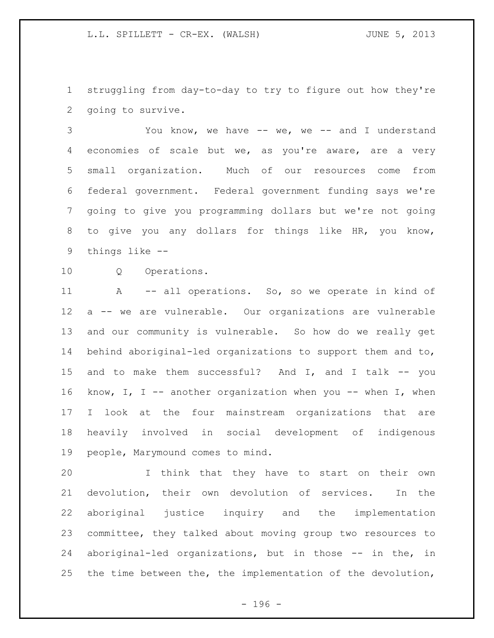struggling from day-to-day to try to figure out how they're going to survive.

 You know, we have -- we, we -- and I understand economies of scale but we, as you're aware, are a very small organization. Much of our resources come from federal government. Federal government funding says we're going to give you programming dollars but we're not going to give you any dollars for things like HR, you know, things like --

Q Operations.

11 A -- all operations. So, so we operate in kind of a -- we are vulnerable. Our organizations are vulnerable and our community is vulnerable. So how do we really get behind aboriginal-led organizations to support them and to, and to make them successful? And I, and I talk -- you know, I, I -- another organization when you -- when I, when I look at the four mainstream organizations that are heavily involved in social development of indigenous people, Marymound comes to mind.

 I think that they have to start on their own devolution, their own devolution of services. In the aboriginal justice inquiry and the implementation committee, they talked about moving group two resources to aboriginal-led organizations, but in those -- in the, in the time between the, the implementation of the devolution,

- 196 -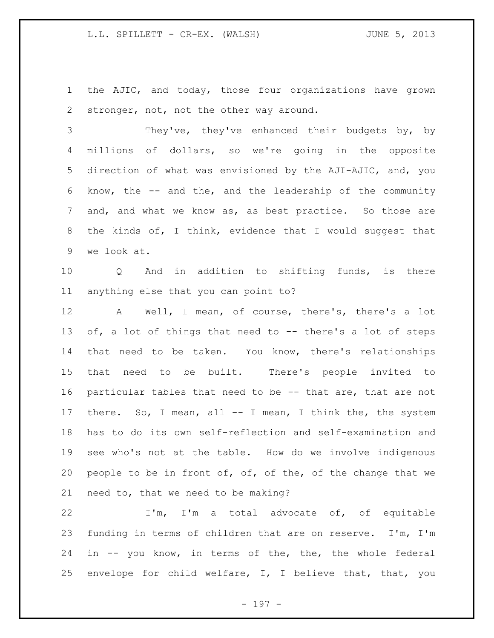the AJIC, and today, those four organizations have grown 2 stronger, not, not the other way around.

 They've, they've enhanced their budgets by, by millions of dollars, so we're going in the opposite direction of what was envisioned by the AJI-AJIC, and, you know, the -- and the, and the leadership of the community and, and what we know as, as best practice. So those are the kinds of, I think, evidence that I would suggest that we look at.

 Q And in addition to shifting funds, is there anything else that you can point to?

 A Well, I mean, of course, there's, there's a lot 13 of, a lot of things that need to -- there's a lot of steps that need to be taken. You know, there's relationships that need to be built. There's people invited to particular tables that need to be -- that are, that are not there. So, I mean, all -- I mean, I think the, the system has to do its own self-reflection and self-examination and see who's not at the table. How do we involve indigenous 20 people to be in front of, of, of the, of the change that we need to, that we need to be making?

 I'm, I'm a total advocate of, of equitable funding in terms of children that are on reserve. I'm, I'm in -- you know, in terms of the, the, the whole federal envelope for child welfare, I, I believe that, that, you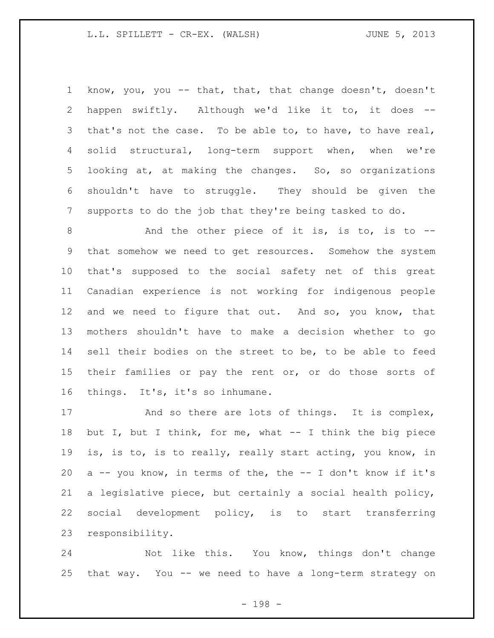know, you, you -- that, that, that change doesn't, doesn't happen swiftly. Although we'd like it to, it does -- that's not the case. To be able to, to have, to have real, solid structural, long-term support when, when we're looking at, at making the changes. So, so organizations shouldn't have to struggle. They should be given the supports to do the job that they're being tasked to do.

8 And the other piece of it is, is to, is to -- that somehow we need to get resources. Somehow the system that's supposed to the social safety net of this great Canadian experience is not working for indigenous people and we need to figure that out. And so, you know, that mothers shouldn't have to make a decision whether to go sell their bodies on the street to be, to be able to feed 15 their families or pay the rent or, or do those sorts of things. It's, it's so inhumane.

17 And so there are lots of things. It is complex, but I, but I think, for me, what -- I think the big piece is, is to, is to really, really start acting, you know, in  $a - -$  you know, in terms of the, the  $- -$  I don't know if it's a legislative piece, but certainly a social health policy, social development policy, is to start transferring responsibility.

 Not like this. You know, things don't change that way. You -- we need to have a long-term strategy on

- 198 -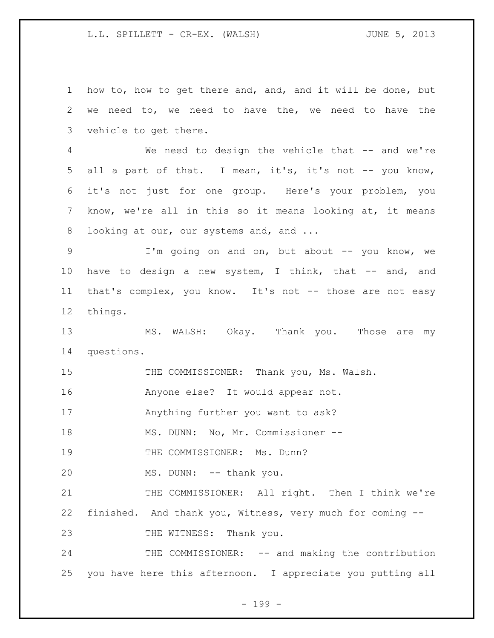1 how to, how to get there and, and, and it will be done, but 2 we need to, we need to have the, we need to have the 3 vehicle to get there. 4 We need to design the vehicle that -- and we're 5 all a part of that. I mean, it's, it's not -- you know, 6 it's not just for one group. Here's your problem, you 7 know, we're all in this so it means looking at, it means 8 looking at our, our systems and, and ... 9 I'm going on and on, but about -- you know, we 10 have to design a new system, I think, that -- and, and 11 that's complex, you know. It's not -- those are not easy 12 things. 13 MS. WALSH: Okay. Thank you. Those are my 14 questions. 15 THE COMMISSIONER: Thank you, Ms. Walsh. 16 Anyone else? It would appear not. 17 Anything further you want to ask? 18 MS. DUNN: No, Mr. Commissioner --19 THE COMMISSIONER: Ms. Dunn? 20 MS. DUNN: -- thank you. 21 THE COMMISSIONER: All right. Then I think we're 22 finished. And thank you, Witness, very much for coming -- 23 THE WITNESS: Thank you. 24 THE COMMISSIONER: -- and making the contribution 25 you have here this afternoon. I appreciate you putting all